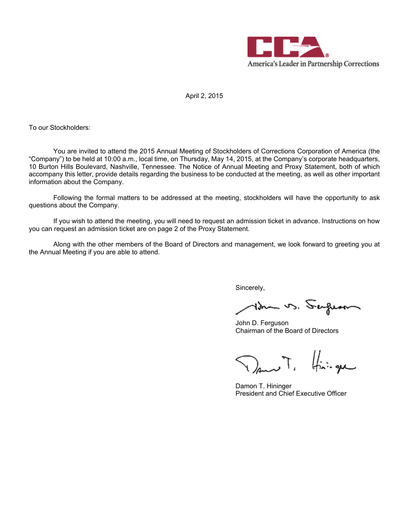

April 2, 2015

To our Stockholders:

You are invited to attend the 2015 Annual Meeting of Stockholders of Corrections Corporation of America (the "Company") to be held at 10:00 a.m., local time, on Thursday, May 14, 2015, at the Company's corporate headquarters, 10 Burton Hills Boulevard, Nashville, Tennessee. The Notice of Annual Meeting and Proxy Statement, both of which accompany this letter, provide details regarding the business to be conducted at the meeting, as well as other important information about the Company.

Following the formal matters to be addressed at the meeting, stockholders will have the opportunity to ask questions about the Company.

If you wish to attend the meeting, you will need to request an admission ticket in advance. Instructions on how you can request an admission ticket are on page 2 of the Proxy Statement.

Along with the other members of the Board of Directors and management, we look forward to greeting you at the Annual Meeting if you are able to attend.

Sincerely,

tden vs. Sufum

John D. Ferguson Chairman of the Board of Directors

 $\nabla$ ant, finique

Damon T. Hininger President and Chief Executive Officer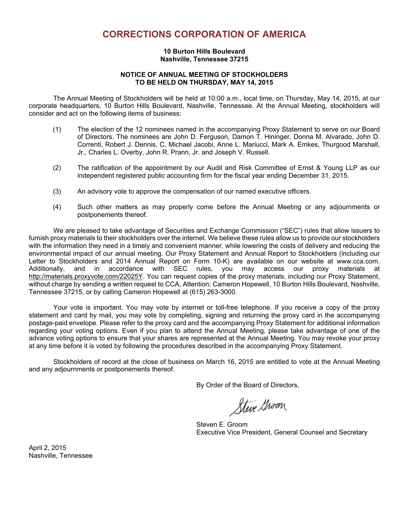# **CORRECTIONS CORPORATION OF AMERICA**

### **10 Burton Hills Boulevard Nashville, Tennessee 37215**

### **NOTICE OF ANNUAL MEETING OF STOCKHOLDERS TO BE HELD ON THURSDAY, MAY 14, 2015**

The Annual Meeting of Stockholders will be held at 10:00 a.m., local time, on Thursday, May 14, 2015, at our corporate headquarters, 10 Burton Hills Boulevard, Nashville, Tennessee. At the Annual Meeting, stockholders will consider and act on the following items of business:

- (1) The election of the 12 nominees named in the accompanying Proxy Statement to serve on our Board of Directors. The nominees are John D. Ferguson, Damon T. Hininger, Donna M. Alvarado, John D. Correnti, Robert J. Dennis, C. Michael Jacobi, Anne L. Mariucci, Mark A. Emkes, Thurgood Marshall, Jr., Charles L. Overby, John R. Prann, Jr. and Joseph V. Russell.
- (2) The ratification of the appointment by our Audit and Risk Committee of Ernst & Young LLP as our independent registered public accounting firm for the fiscal year ending December 31, 2015.
- (3) An advisory vote to approve the compensation of our named executive officers.
- (4) Such other matters as may properly come before the Annual Meeting or any adjournments or postponements thereof.

We are pleased to take advantage of Securities and Exchange Commission ("SEC") rules that allow issuers to furnish proxy materials to their stockholders over the internet. We believe these rules allow us to provide our stockholders with the information they need in a timely and convenient manner, while lowering the costs of delivery and reducing the environmental impact of our annual meeting. Our Proxy Statement and Annual Report to Stockholders (including our Letter to Stockholders and 2014 Annual Report on Form 10-K) are available on our website at www.cca.com. Additionally, and in accordance with SEC rules, you may access our proxy materials at http://materials.proxyvote.com/22025Y. You can request copies of the proxy materials, including our Proxy Statement, without charge by sending a written request to CCA, Attention: Cameron Hopewell, 10 Burton Hills Boulevard, Nashville, Tennessee 37215, or by calling Cameron Hopewell at (615) 263-3000.

Your vote is important. You may vote by internet or toll-free telephone. If you receive a copy of the proxy statement and card by mail, you may vote by completing, signing and returning the proxy card in the accompanying postage-paid envelope. Please refer to the proxy card and the accompanying Proxy Statement for additional information regarding your voting options. Even if you plan to attend the Annual Meeting, please take advantage of one of the advance voting options to ensure that your shares are represented at the Annual Meeting. You may revoke your proxy at any time before it is voted by following the procedures described in the accompanying Proxy Statement.

Stockholders of record at the close of business on March 16, 2015 are entitled to vote at the Annual Meeting and any adjournments or postponements thereof.

By Order of the Board of Directors,

Steve Groom

Steven E. Groom Executive Vice President, General Counsel and Secretary

April 2, 2015 Nashville, Tennessee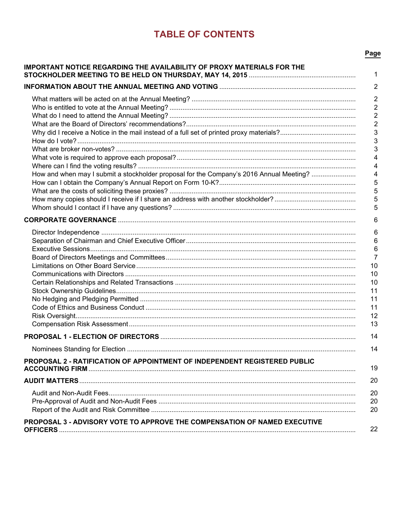# **TABLE OF CONTENTS**

| IMPORTANT NOTICE REGARDING THE AVAILABILITY OF PROXY MATERIALS FOR THE                         | 1              |
|------------------------------------------------------------------------------------------------|----------------|
|                                                                                                | $\overline{2}$ |
|                                                                                                | $\overline{2}$ |
|                                                                                                | $\overline{2}$ |
|                                                                                                | $\mathbf 2$    |
|                                                                                                | $\overline{2}$ |
|                                                                                                | 3              |
|                                                                                                | 3              |
|                                                                                                | 3              |
|                                                                                                | 4              |
|                                                                                                | 4              |
| How and when may I submit a stockholder proposal for the Company's 2016 Annual Meeting?        | 4              |
|                                                                                                | 5              |
|                                                                                                | 5              |
|                                                                                                | 5<br>5         |
|                                                                                                |                |
|                                                                                                | 6              |
|                                                                                                | 6              |
|                                                                                                | 6              |
|                                                                                                | 6              |
|                                                                                                | $\overline{7}$ |
|                                                                                                | 10             |
|                                                                                                | 10             |
|                                                                                                | 10<br>11       |
|                                                                                                | 11             |
|                                                                                                | 11             |
|                                                                                                | 12             |
|                                                                                                | 13             |
|                                                                                                | 14             |
|                                                                                                |                |
|                                                                                                | 14             |
| PROPOSAL 2 - RATIFICATION OF APPOINTMENT OF INDEPENDENT REGISTERED PUBLIC                      | 19             |
|                                                                                                | 20             |
|                                                                                                | 20             |
|                                                                                                | 20             |
|                                                                                                | 20             |
| PROPOSAL 3 - ADVISORY VOTE TO APPROVE THE COMPENSATION OF NAMED EXECUTIVE<br><b>OFFICERS</b> . | 22             |

# Page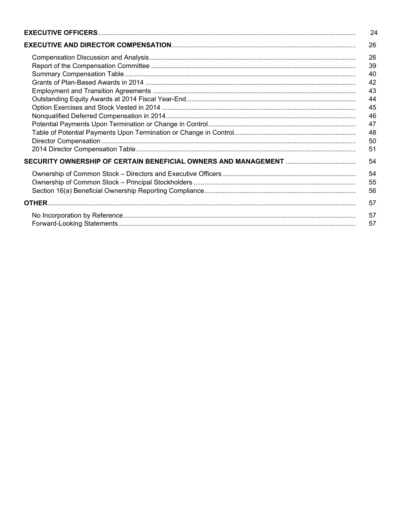| 24 |
|----|
| 26 |
| 26 |
| 39 |
| 40 |
| 42 |
| 43 |
| 44 |
| 45 |
| 46 |
| 47 |
| 48 |
| 50 |
| 51 |
| 54 |
| 54 |
| 55 |
| 56 |
| 57 |
| 57 |
| 57 |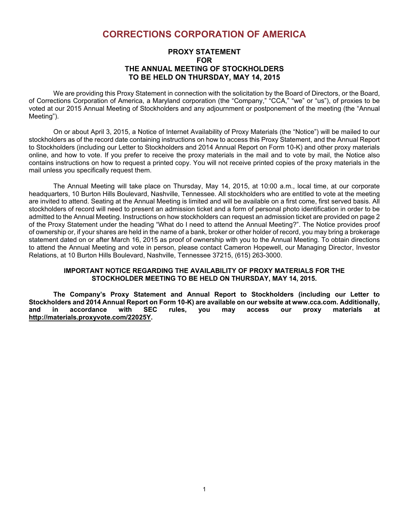# **CORRECTIONS CORPORATION OF AMERICA**

## **PROXY STATEMENT FOR THE ANNUAL MEETING OF STOCKHOLDERS TO BE HELD ON THURSDAY, MAY 14, 2015**

We are providing this Proxy Statement in connection with the solicitation by the Board of Directors, or the Board, of Corrections Corporation of America, a Maryland corporation (the "Company," "CCA," "we" or "us"), of proxies to be voted at our 2015 Annual Meeting of Stockholders and any adjournment or postponement of the meeting (the "Annual Meeting").

On or about April 3, 2015, a Notice of Internet Availability of Proxy Materials (the "Notice") will be mailed to our stockholders as of the record date containing instructions on how to access this Proxy Statement, and the Annual Report to Stockholders (including our Letter to Stockholders and 2014 Annual Report on Form 10-K) and other proxy materials online, and how to vote. If you prefer to receive the proxy materials in the mail and to vote by mail, the Notice also contains instructions on how to request a printed copy. You will not receive printed copies of the proxy materials in the mail unless you specifically request them.

The Annual Meeting will take place on Thursday, May 14, 2015, at 10:00 a.m., local time, at our corporate headquarters, 10 Burton Hills Boulevard, Nashville, Tennessee. All stockholders who are entitled to vote at the meeting are invited to attend. Seating at the Annual Meeting is limited and will be available on a first come, first served basis. All stockholders of record will need to present an admission ticket and a form of personal photo identification in order to be admitted to the Annual Meeting. Instructions on how stockholders can request an admission ticket are provided on page 2 of the Proxy Statement under the heading "What do I need to attend the Annual Meeting?". The Notice provides proof of ownership or, if your shares are held in the name of a bank, broker or other holder of record, you may bring a brokerage statement dated on or after March 16, 2015 as proof of ownership with you to the Annual Meeting. To obtain directions to attend the Annual Meeting and vote in person, please contact Cameron Hopewell, our Managing Director, Investor Relations, at 10 Burton Hills Boulevard, Nashville, Tennessee 37215, (615) 263-3000.

### **IMPORTANT NOTICE REGARDING THE AVAILABILITY OF PROXY MATERIALS FOR THE STOCKHOLDER MEETING TO BE HELD ON THURSDAY, MAY 14, 2015.**

**The Company's Proxy Statement and Annual Report to Stockholders (including our Letter to Stockholders and 2014 Annual Report on Form 10-K) are available on our website at www.cca.com. Additionally, and in accordance with SEC rules, you may access our proxy materials at http://materials.proxyvote.com/22025Y.**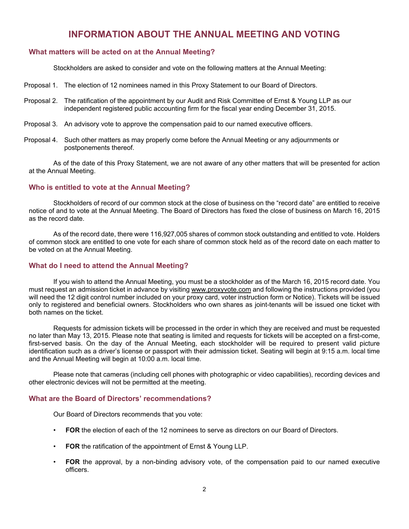# **INFORMATION ABOUT THE ANNUAL MEETING AND VOTING**

# **What matters will be acted on at the Annual Meeting?**

Stockholders are asked to consider and vote on the following matters at the Annual Meeting:

- Proposal 1. The election of 12 nominees named in this Proxy Statement to our Board of Directors.
- Proposal 2. The ratification of the appointment by our Audit and Risk Committee of Ernst & Young LLP as our independent registered public accounting firm for the fiscal year ending December 31, 2015.
- Proposal 3. An advisory vote to approve the compensation paid to our named executive officers.
- Proposal 4. Such other matters as may properly come before the Annual Meeting or any adjournments or postponements thereof.

As of the date of this Proxy Statement, we are not aware of any other matters that will be presented for action at the Annual Meeting.

## **Who is entitled to vote at the Annual Meeting?**

Stockholders of record of our common stock at the close of business on the "record date" are entitled to receive notice of and to vote at the Annual Meeting. The Board of Directors has fixed the close of business on March 16, 2015 as the record date.

As of the record date, there were 116,927,005 shares of common stock outstanding and entitled to vote. Holders of common stock are entitled to one vote for each share of common stock held as of the record date on each matter to be voted on at the Annual Meeting.

### **What do I need to attend the Annual Meeting?**

If you wish to attend the Annual Meeting, you must be a stockholder as of the March 16, 2015 record date. You must request an admission ticket in advance by visiting www.proxyvote.com and following the instructions provided (you will need the 12 digit control number included on your proxy card, voter instruction form or Notice). Tickets will be issued only to registered and beneficial owners. Stockholders who own shares as joint-tenants will be issued one ticket with both names on the ticket.

Requests for admission tickets will be processed in the order in which they are received and must be requested no later than May 13, 2015. Please note that seating is limited and requests for tickets will be accepted on a first-come, first-served basis. On the day of the Annual Meeting, each stockholder will be required to present valid picture identification such as a driver's license or passport with their admission ticket. Seating will begin at 9:15 a.m. local time and the Annual Meeting will begin at 10:00 a.m. local time.

Please note that cameras (including cell phones with photographic or video capabilities), recording devices and other electronic devices will not be permitted at the meeting.

### **What are the Board of Directors' recommendations?**

Our Board of Directors recommends that you vote:

- **FOR** the election of each of the 12 nominees to serve as directors on our Board of Directors.
- **FOR** the ratification of the appointment of Ernst & Young LLP.
- **FOR** the approval, by a non-binding advisory vote, of the compensation paid to our named executive officers.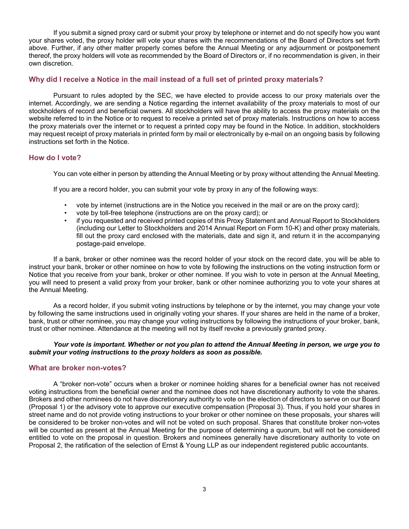If you submit a signed proxy card or submit your proxy by telephone or internet and do not specify how you want your shares voted, the proxy holder will vote your shares with the recommendations of the Board of Directors set forth above. Further, if any other matter properly comes before the Annual Meeting or any adjournment or postponement thereof, the proxy holders will vote as recommended by the Board of Directors or, if no recommendation is given, in their own discretion.

### **Why did I receive a Notice in the mail instead of a full set of printed proxy materials?**

Pursuant to rules adopted by the SEC, we have elected to provide access to our proxy materials over the internet. Accordingly, we are sending a Notice regarding the internet availability of the proxy materials to most of our stockholders of record and beneficial owners. All stockholders will have the ability to access the proxy materials on the website referred to in the Notice or to request to receive a printed set of proxy materials. Instructions on how to access the proxy materials over the internet or to request a printed copy may be found in the Notice. In addition, stockholders may request receipt of proxy materials in printed form by mail or electronically by e-mail on an ongoing basis by following instructions set forth in the Notice.

### **How do I vote?**

You can vote either in person by attending the Annual Meeting or by proxy without attending the Annual Meeting.

If you are a record holder, you can submit your vote by proxy in any of the following ways:

- vote by internet (instructions are in the Notice you received in the mail or are on the proxy card);
- vote by toll-free telephone (instructions are on the proxy card); or
- if you requested and received printed copies of this Proxy Statement and Annual Report to Stockholders (including our Letter to Stockholders and 2014 Annual Report on Form 10-K) and other proxy materials, fill out the proxy card enclosed with the materials, date and sign it, and return it in the accompanying postage-paid envelope.

If a bank, broker or other nominee was the record holder of your stock on the record date, you will be able to instruct your bank, broker or other nominee on how to vote by following the instructions on the voting instruction form or Notice that you receive from your bank, broker or other nominee. If you wish to vote in person at the Annual Meeting, you will need to present a valid proxy from your broker, bank or other nominee authorizing you to vote your shares at the Annual Meeting.

As a record holder, if you submit voting instructions by telephone or by the internet, you may change your vote by following the same instructions used in originally voting your shares. If your shares are held in the name of a broker, bank, trust or other nominee, you may change your voting instructions by following the instructions of your broker, bank, trust or other nominee. Attendance at the meeting will not by itself revoke a previously granted proxy.

### *Your vote is important. Whether or not you plan to attend the Annual Meeting in person, we urge you to submit your voting instructions to the proxy holders as soon as possible.*

### **What are broker non-votes?**

A "broker non-vote" occurs when a broker or nominee holding shares for a beneficial owner has not received voting instructions from the beneficial owner and the nominee does not have discretionary authority to vote the shares. Brokers and other nominees do not have discretionary authority to vote on the election of directors to serve on our Board (Proposal 1) or the advisory vote to approve our executive compensation (Proposal 3). Thus, if you hold your shares in street name and do not provide voting instructions to your broker or other nominee on these proposals, your shares will be considered to be broker non-votes and will not be voted on such proposal. Shares that constitute broker non-votes will be counted as present at the Annual Meeting for the purpose of determining a quorum, but will not be considered entitled to vote on the proposal in question. Brokers and nominees generally have discretionary authority to vote on Proposal 2, the ratification of the selection of Ernst & Young LLP as our independent registered public accountants.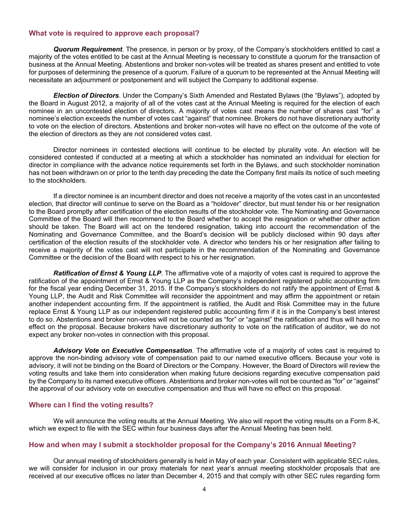### **What vote is required to approve each proposal?**

*Quorum Requirement*. The presence, in person or by proxy, of the Company's stockholders entitled to cast a majority of the votes entitled to be cast at the Annual Meeting is necessary to constitute a quorum for the transaction of business at the Annual Meeting. Abstentions and broker non-votes will be treated as shares present and entitled to vote for purposes of determining the presence of a quorum. Failure of a quorum to be represented at the Annual Meeting will necessitate an adjournment or postponement and will subject the Company to additional expense.

*Election of Directors*. Under the Company's Sixth Amended and Restated Bylaws (the "Bylaws"), adopted by the Board in August 2012, a majority of all of the votes cast at the Annual Meeting is required for the election of each nominee in an uncontested election of directors. A majority of votes cast means the number of shares cast "for" a nominee's election exceeds the number of votes cast "against" that nominee. Brokers do not have discretionary authority to vote on the election of directors. Abstentions and broker non-votes will have no effect on the outcome of the vote of the election of directors as they are not considered votes cast.

Director nominees in contested elections will continue to be elected by plurality vote. An election will be considered contested if conducted at a meeting at which a stockholder has nominated an individual for election for director in compliance with the advance notice requirements set forth in the Bylaws, and such stockholder nomination has not been withdrawn on or prior to the tenth day preceding the date the Company first mails its notice of such meeting to the stockholders.

If a director nominee is an incumbent director and does not receive a majority of the votes cast in an uncontested election, that director will continue to serve on the Board as a "holdover" director, but must tender his or her resignation to the Board promptly after certification of the election results of the stockholder vote. The Nominating and Governance Committee of the Board will then recommend to the Board whether to accept the resignation or whether other action should be taken. The Board will act on the tendered resignation, taking into account the recommendation of the Nominating and Governance Committee, and the Board's decision will be publicly disclosed within 90 days after certification of the election results of the stockholder vote. A director who tenders his or her resignation after failing to receive a majority of the votes cast will not participate in the recommendation of the Nominating and Governance Committee or the decision of the Board with respect to his or her resignation.

*Ratification of Ernst & Young LLP*. The affirmative vote of a majority of votes cast is required to approve the ratification of the appointment of Ernst & Young LLP as the Company's independent registered public accounting firm for the fiscal year ending December 31, 2015. If the Company's stockholders do not ratify the appointment of Ernst & Young LLP, the Audit and Risk Committee will reconsider the appointment and may affirm the appointment or retain another independent accounting firm. If the appointment is ratified, the Audit and Risk Committee may in the future replace Ernst & Young LLP as our independent registered public accounting firm if it is in the Company's best interest to do so. Abstentions and broker non-votes will not be counted as "for" or "against" the ratification and thus will have no effect on the proposal. Because brokers have discretionary authority to vote on the ratification of auditor, we do not expect any broker non-votes in connection with this proposal.

*Advisory Vote on Executive Compensation*. The affirmative vote of a majority of votes cast is required to approve the non-binding advisory vote of compensation paid to our named executive officers. Because your vote is advisory, it will not be binding on the Board of Directors or the Company. However, the Board of Directors will review the voting results and take them into consideration when making future decisions regarding executive compensation paid by the Company to its named executive officers. Abstentions and broker non-votes will not be counted as "for" or "against" the approval of our advisory vote on executive compensation and thus will have no effect on this proposal.

### **Where can I find the voting results?**

We will announce the voting results at the Annual Meeting. We also will report the voting results on a Form 8-K, which we expect to file with the SEC within four business days after the Annual Meeting has been held.

### **How and when may I submit a stockholder proposal for the Company's 2016 Annual Meeting?**

Our annual meeting of stockholders generally is held in May of each year. Consistent with applicable SEC rules, we will consider for inclusion in our proxy materials for next year's annual meeting stockholder proposals that are received at our executive offices no later than December 4, 2015 and that comply with other SEC rules regarding form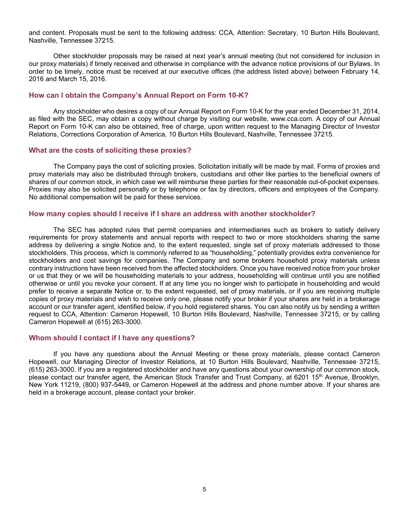and content. Proposals must be sent to the following address: CCA, Attention: Secretary, 10 Burton Hills Boulevard, Nashville, Tennessee 37215.

Other stockholder proposals may be raised at next year's annual meeting (but not considered for inclusion in our proxy materials) if timely received and otherwise in compliance with the advance notice provisions of our Bylaws. In order to be timely, notice must be received at our executive offices (the address listed above) between February 14, 2016 and March 15, 2016.

### **How can I obtain the Company's Annual Report on Form 10-K?**

Any stockholder who desires a copy of our Annual Report on Form 10-K for the year ended December 31, 2014, as filed with the SEC, may obtain a copy without charge by visiting our website, www.cca.com. A copy of our Annual Report on Form 10-K can also be obtained, free of charge, upon written request to the Managing Director of Investor Relations, Corrections Corporation of America, 10 Burton Hills Boulevard, Nashville, Tennessee 37215.

### **What are the costs of soliciting these proxies?**

The Company pays the cost of soliciting proxies. Solicitation initially will be made by mail. Forms of proxies and proxy materials may also be distributed through brokers, custodians and other like parties to the beneficial owners of shares of our common stock, in which case we will reimburse these parties for their reasonable out-of-pocket expenses. Proxies may also be solicited personally or by telephone or fax by directors, officers and employees of the Company. No additional compensation will be paid for these services.

### **How many copies should I receive if I share an address with another stockholder?**

The SEC has adopted rules that permit companies and intermediaries such as brokers to satisfy delivery requirements for proxy statements and annual reports with respect to two or more stockholders sharing the same address by delivering a single Notice and, to the extent requested, single set of proxy materials addressed to those stockholders. This process, which is commonly referred to as "householding," potentially provides extra convenience for stockholders and cost savings for companies. The Company and some brokers household proxy materials unless contrary instructions have been received from the affected stockholders. Once you have received notice from your broker or us that they or we will be householding materials to your address, householding will continue until you are notified otherwise or until you revoke your consent. If at any time you no longer wish to participate in householding and would prefer to receive a separate Notice or, to the extent requested, set of proxy materials, or if you are receiving multiple copies of proxy materials and wish to receive only one, please notify your broker if your shares are held in a brokerage account or our transfer agent, identified below, if you hold registered shares. You can also notify us by sending a written request to CCA, Attention: Cameron Hopewell, 10 Burton Hills Boulevard, Nashville, Tennessee 37215, or by calling Cameron Hopewell at (615) 263-3000.

### **Whom should I contact if I have any questions?**

If you have any questions about the Annual Meeting or these proxy materials, please contact Cameron Hopewell, our Managing Director of Investor Relations, at 10 Burton Hills Boulevard, Nashville, Tennessee 37215, (615) 263-3000. If you are a registered stockholder and have any questions about your ownership of our common stock, please contact our transfer agent, the American Stock Transfer and Trust Company, at 6201 15<sup>th</sup> Avenue, Brooklyn, New York 11219, (800) 937-5449, or Cameron Hopewell at the address and phone number above. If your shares are held in a brokerage account, please contact your broker.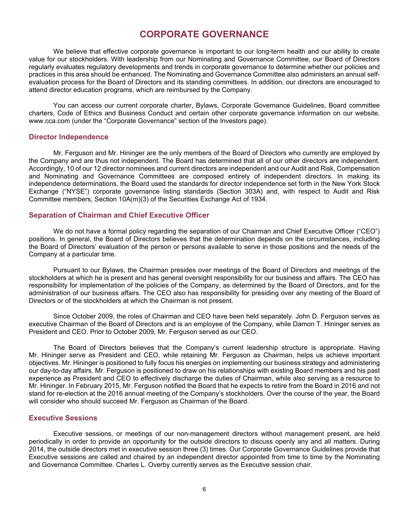# **CORPORATE GOVERNANCE**

We believe that effective corporate governance is important to our long-term health and our ability to create value for our stockholders. With leadership from our Nominating and Governance Committee, our Board of Directors regularly evaluates regulatory developments and trends in corporate governance to determine whether our policies and practices in this area should be enhanced. The Nominating and Governance Committee also administers an annual selfevaluation process for the Board of Directors and its standing committees. In addition, our directors are encouraged to attend director education programs, which are reimbursed by the Company.

You can access our current corporate charter, Bylaws, Corporate Governance Guidelines, Board committee charters, Code of Ethics and Business Conduct and certain other corporate governance information on our website, www.cca.com (under the "Corporate Governance" section of the Investors page).

### **Director Independence**

Mr. Ferguson and Mr. Hininger are the only members of the Board of Directors who currently are employed by the Company and are thus not independent. The Board has determined that all of our other directors are independent. Accordingly, 10 of our 12 director nominees and current directors are independent and our Audit and Risk, Compensation and Nominating and Governance Committees are composed entirely of independent directors. In making its independence determinations, the Board used the standards for director independence set forth in the New York Stock Exchange ("NYSE") corporate governance listing standards (Section 303A) and, with respect to Audit and Risk Committee members, Section 10A(m)(3) of the Securities Exchange Act of 1934.

### **Separation of Chairman and Chief Executive Officer**

We do not have a formal policy regarding the separation of our Chairman and Chief Executive Officer ("CEO") positions. In general, the Board of Directors believes that the determination depends on the circumstances, including the Board of Directors' evaluation of the person or persons available to serve in those positions and the needs of the Company at a particular time.

Pursuant to our Bylaws, the Chairman presides over meetings of the Board of Directors and meetings of the stockholders at which he is present and has general oversight responsibility for our business and affairs. The CEO has responsibility for implementation of the policies of the Company, as determined by the Board of Directors, and for the administration of our business affairs. The CEO also has responsibility for presiding over any meeting of the Board of Directors or of the stockholders at which the Chairman is not present.

Since October 2009, the roles of Chairman and CEO have been held separately. John D. Ferguson serves as executive Chairman of the Board of Directors and is an employee of the Company, while Damon T. Hininger serves as President and CEO. Prior to October 2009, Mr. Ferguson served as our CEO.

The Board of Directors believes that the Company's current leadership structure is appropriate. Having Mr. Hininger serve as President and CEO, while retaining Mr. Ferguson as Chairman, helps us achieve important objectives. Mr. Hininger is positioned to fully focus his energies on implementing our business strategy and administering our day-to-day affairs. Mr. Ferguson is positioned to draw on his relationships with existing Board members and his past experience as President and CEO to effectively discharge the duties of Chairman, while also serving as a resource to Mr. Hininger. In February 2015, Mr. Ferguson notified the Board that he expects to retire from the Board in 2016 and not stand for re-election at the 2016 annual meeting of the Company's stockholders. Over the course of the year, the Board will consider who should succeed Mr. Ferguson as Chairman of the Board.

### **Executive Sessions**

Executive sessions, or meetings of our non-management directors without management present, are held periodically in order to provide an opportunity for the outside directors to discuss openly any and all matters. During 2014, the outside directors met in executive session three (3) times. Our Corporate Governance Guidelines provide that Executive sessions are called and chaired by an independent director appointed from time to time by the Nominating and Governance Committee. Charles L. Overby currently serves as the Executive session chair.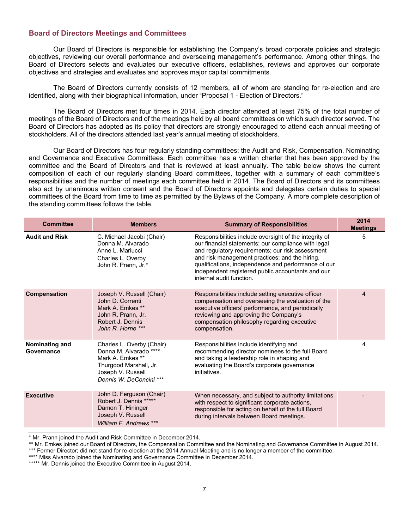### **Board of Directors Meetings and Committees**

Our Board of Directors is responsible for establishing the Company's broad corporate policies and strategic objectives, reviewing our overall performance and overseeing management's performance. Among other things, the Board of Directors selects and evaluates our executive officers, establishes, reviews and approves our corporate objectives and strategies and evaluates and approves major capital commitments.

The Board of Directors currently consists of 12 members, all of whom are standing for re-election and are identified, along with their biographical information, under "Proposal 1 - Election of Directors."

The Board of Directors met four times in 2014. Each director attended at least 75% of the total number of meetings of the Board of Directors and of the meetings held by all board committees on which such director served. The Board of Directors has adopted as its policy that directors are strongly encouraged to attend each annual meeting of stockholders. All of the directors attended last year's annual meeting of stockholders.

Our Board of Directors has four regularly standing committees: the Audit and Risk, Compensation, Nominating and Governance and Executive Committees. Each committee has a written charter that has been approved by the committee and the Board of Directors and that is reviewed at least annually. The table below shows the current composition of each of our regularly standing Board committees, together with a summary of each committee's responsibilities and the number of meetings each committee held in 2014. The Board of Directors and its committees also act by unanimous written consent and the Board of Directors appoints and delegates certain duties to special committees of the Board from time to time as permitted by the Bylaws of the Company. A more complete description of the standing committees follows the table.

| <b>Committee</b>             | <b>Members</b>                                                                                                                                    | <b>Summary of Responsibilities</b>                                                                                                                                                                                                                                                                                                                          | 2014<br><b>Meetings</b> |
|------------------------------|---------------------------------------------------------------------------------------------------------------------------------------------------|-------------------------------------------------------------------------------------------------------------------------------------------------------------------------------------------------------------------------------------------------------------------------------------------------------------------------------------------------------------|-------------------------|
| <b>Audit and Risk</b>        | C. Michael Jacobi (Chair)<br>Donna M. Alvarado<br>Anne L. Mariucci<br>Charles L. Overby<br>John R. Prann, Jr.*                                    | Responsibilities include oversight of the integrity of<br>our financial statements; our compliance with legal<br>and regulatory requirements; our risk assessment<br>and risk management practices; and the hiring,<br>qualifications, independence and performance of our<br>independent registered public accountants and our<br>internal audit function. | 5                       |
| Compensation                 | Joseph V. Russell (Chair)<br>John D. Correnti<br>Mark A. Emkes **<br>John R. Prann, Jr.<br>Robert J. Dennis<br>John R. Horne ***                  | Responsibilities include setting executive officer<br>compensation and overseeing the evaluation of the<br>executive officers' performance, and periodically<br>reviewing and approving the Company's<br>compensation philosophy regarding executive<br>compensation.                                                                                       | $\overline{4}$          |
| Nominating and<br>Governance | Charles L. Overby (Chair)<br>Donna M. Alvarado ****<br>Mark A. Emkes **<br>Thurgood Marshall, Jr.<br>Joseph V. Russell<br>Dennis W. DeConcini *** | Responsibilities include identifying and<br>recommending director nominees to the full Board<br>and taking a leadership role in shaping and<br>evaluating the Board's corporate governance<br>initiatives.                                                                                                                                                  | 4                       |
| <b>Executive</b>             | John D. Ferguson (Chair)<br>Robert J. Dennis *****<br>Damon T. Hininger<br>Joseph V. Russell<br>William F. Andrews ***                            | When necessary, and subject to authority limitations<br>with respect to significant corporate actions,<br>responsible for acting on behalf of the full Board<br>during intervals between Board meetings.                                                                                                                                                    |                         |

\* Mr. Prann joined the Audit and Risk Committee in December 2014.

\*\* Mr. Emkes joined our Board of Directors, the Compensation Committee and the Nominating and Governance Committee in August 2014.

\*\*\* Former Director; did not stand for re-election at the 2014 Annual Meeting and is no longer a member of the committee.

\*\*\*\* Miss Alvarado joined the Nominating and Governance Committee in December 2014.

\*\*\*\*\* Mr. Dennis joined the Executive Committee in August 2014.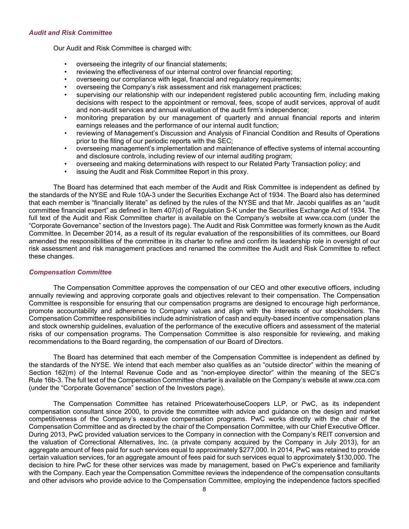### *Audit and Risk Committee*

Our Audit and Risk Committee is charged with:

- overseeing the integrity of our financial statements;
- reviewing the effectiveness of our internal control over financial reporting;
- overseeing our compliance with legal, financial and regulatory requirements;
- overseeing the Company's risk assessment and risk management practices;
- supervising our relationship with our independent registered public accounting firm, including making decisions with respect to the appointment or removal, fees, scope of audit services, approval of audit and non-audit services and annual evaluation of the audit firm's independence;
- monitoring preparation by our management of quarterly and annual financial reports and interim earnings releases and the performance of our internal audit function;
- reviewing of Management's Discussion and Analysis of Financial Condition and Results of Operations prior to the filing of our periodic reports with the SEC;
- overseeing management's implementation and maintenance of effective systems of internal accounting and disclosure controls, including review of our internal auditing program;
- overseeing and making determinations with respect to our Related Party Transaction policy; and
- issuing the Audit and Risk Committee Report in this proxy.

The Board has determined that each member of the Audit and Risk Committee is independent as defined by the standards of the NYSE and Rule 10A-3 under the Securities Exchange Act of 1934. The Board also has determined that each member is "financially literate" as defined by the rules of the NYSE and that Mr. Jacobi qualifies as an "audit committee financial expert" as defined in Item 407(d) of Regulation S-K under the Securities Exchange Act of 1934. The full text of the Audit and Risk Committee charter is available on the Company's website at www.cca.com (under the "Corporate Governance" section of the Investors page). The Audit and Risk Committee was formerly known as the Audit Committee. In December 2014, as a result of its regular evaluation of the responsibilities of its committees, our Board amended the responsibilities of the committee in its charter to refine and confirm its leadership role in oversight of our risk assessment and risk management practices and renamed the committee the Audit and Risk Committee to reflect these changes.

### *Compensation Committee*

The Compensation Committee approves the compensation of our CEO and other executive officers, including annually reviewing and approving corporate goals and objectives relevant to their compensation. The Compensation Committee is responsible for ensuring that our compensation programs are designed to encourage high performance, promote accountability and adherence to Company values and align with the interests of our stockholders. The Compensation Committee responsibilities include administration of cash and equity-based incentive compensation plans and stock ownership guidelines, evaluation of the performance of the executive officers and assessment of the material risks of our compensation programs. The Compensation Committee is also responsible for reviewing, and making recommendations to the Board regarding, the compensation of our Board of Directors.

The Board has determined that each member of the Compensation Committee is independent as defined by the standards of the NYSE. We intend that each member also qualifies as an "outside director" within the meaning of Section 162(m) of the Internal Revenue Code and as "non-employee director" within the meaning of the SEC's Rule 16b-3. The full text of the Compensation Committee charter is available on the Company's website at www.cca.com (under the "Corporate Governance" section of the Investors page).

The Compensation Committee has retained PricewaterhouseCoopers LLP, or PwC, as its independent compensation consultant since 2000, to provide the committee with advice and guidance on the design and market competitiveness of the Company's executive compensation programs. PwC works directly with the chair of the Compensation Committee and as directed by the chair of the Compensation Committee, with our Chief Executive Officer. During 2013, PwC provided valuation services to the Company in connection with the Company's REIT conversion and the valuation of Correctional Alternatives, Inc. (a private company acquired by the Company in July 2013), for an aggregate amount of fees paid for such services equal to approximately \$277,000. In 2014, PwC was retained to provide certain valuation services, for an aggregate amount of fees paid for such services equal to approximately \$130,000. The decision to hire PwC for these other services was made by management, based on PwC's experience and familiarity with the Company. Each year the Compensation Committee reviews the independence of the compensation consultants and other advisors who provide advice to the Compensation Committee, employing the independence factors specified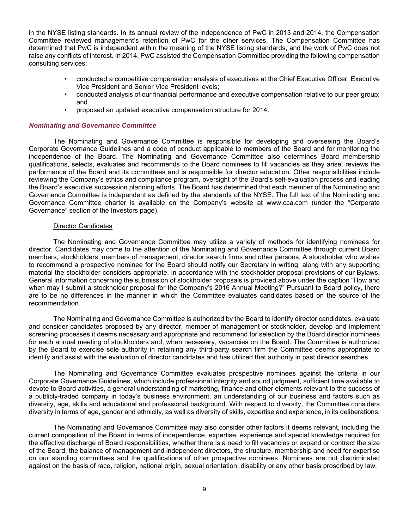in the NYSE listing standards. In its annual review of the independence of PwC in 2013 and 2014, the Compensation Committee reviewed management's retention of PwC for the other services. The Compensation Committee has determined that PwC is independent within the meaning of the NYSE listing standards, and the work of PwC does not raise any conflicts of interest. In 2014, PwC assisted the Compensation Committee providing the following compensation consulting services:

- conducted a competitive compensation analysis of executives at the Chief Executive Officer, Executive Vice President and Senior Vice President levels;
- conducted analysis of our financial performance and executive compensation relative to our peer group; and
- proposed an updated executive compensation structure for 2014.

### *Nominating and Governance Committee*

The Nominating and Governance Committee is responsible for developing and overseeing the Board's Corporate Governance Guidelines and a code of conduct applicable to members of the Board and for monitoring the independence of the Board. The Nominating and Governance Committee also determines Board membership qualifications, selects, evaluates and recommends to the Board nominees to fill vacancies as they arise, reviews the performance of the Board and its committees and is responsible for director education. Other responsibilities include reviewing the Company's ethics and compliance program, oversight of the Board's self-evaluation process and leading the Board's executive succession planning efforts. The Board has determined that each member of the Nominating and Governance Committee is independent as defined by the standards of the NYSE. The full text of the Nominating and Governance Committee charter is available on the Company's website at www.cca.com (under the "Corporate Governance" section of the Investors page).

### Director Candidates

The Nominating and Governance Committee may utilize a variety of methods for identifying nominees for director. Candidates may come to the attention of the Nominating and Governance Committee through current Board members, stockholders, members of management, director search firms and other persons. A stockholder who wishes to recommend a prospective nominee for the Board should notify our Secretary in writing, along with any supporting material the stockholder considers appropriate, in accordance with the stockholder proposal provisions of our Bylaws. General information concerning the submission of stockholder proposals is provided above under the caption "How and when may I submit a stockholder proposal for the Company's 2016 Annual Meeting?" Pursuant to Board policy, there are to be no differences in the manner in which the Committee evaluates candidates based on the source of the recommendation.

The Nominating and Governance Committee is authorized by the Board to identify director candidates, evaluate and consider candidates proposed by any director, member of management or stockholder, develop and implement screening processes it deems necessary and appropriate and recommend for selection by the Board director nominees for each annual meeting of stockholders and, when necessary, vacancies on the Board. The Committee is authorized by the Board to exercise sole authority in retaining any third-party search firm the Committee deems appropriate to identify and assist with the evaluation of director candidates and has utilized that authority in past director searches.

The Nominating and Governance Committee evaluates prospective nominees against the criteria in our Corporate Governance Guidelines, which include professional integrity and sound judgment, sufficient time available to devote to Board activities, a general understanding of marketing, finance and other elements relevant to the success of a publicly-traded company in today's business environment, an understanding of our business and factors such as diversity, age, skills and educational and professional background. With respect to diversity, the Committee considers diversity in terms of age, gender and ethnicity, as well as diversity of skills, expertise and experience, in its deliberations.

The Nominating and Governance Committee may also consider other factors it deems relevant, including the current composition of the Board in terms of independence, expertise, experience and special knowledge required for the effective discharge of Board responsibilities, whether there is a need to fill vacancies or expand or contract the size of the Board, the balance of management and independent directors, the structure, membership and need for expertise on our standing committees and the qualifications of other prospective nominees. Nominees are not discriminated against on the basis of race, religion, national origin, sexual orientation, disability or any other basis proscribed by law.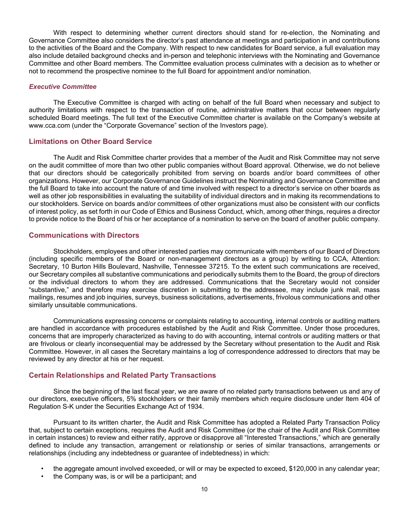With respect to determining whether current directors should stand for re-election, the Nominating and Governance Committee also considers the director's past attendance at meetings and participation in and contributions to the activities of the Board and the Company. With respect to new candidates for Board service, a full evaluation may also include detailed background checks and in-person and telephonic interviews with the Nominating and Governance Committee and other Board members. The Committee evaluation process culminates with a decision as to whether or not to recommend the prospective nominee to the full Board for appointment and/or nomination.

### *Executive Committee*

The Executive Committee is charged with acting on behalf of the full Board when necessary and subject to authority limitations with respect to the transaction of routine, administrative matters that occur between regularly scheduled Board meetings. The full text of the Executive Committee charter is available on the Company's website at www.cca.com (under the "Corporate Governance" section of the Investors page).

### **Limitations on Other Board Service**

The Audit and Risk Committee charter provides that a member of the Audit and Risk Committee may not serve on the audit committee of more than two other public companies without Board approval. Otherwise, we do not believe that our directors should be categorically prohibited from serving on boards and/or board committees of other organizations. However, our Corporate Governance Guidelines instruct the Nominating and Governance Committee and the full Board to take into account the nature of and time involved with respect to a director's service on other boards as well as other job responsibilities in evaluating the suitability of individual directors and in making its recommendations to our stockholders. Service on boards and/or committees of other organizations must also be consistent with our conflicts of interest policy, as set forth in our Code of Ethics and Business Conduct, which, among other things, requires a director to provide notice to the Board of his or her acceptance of a nomination to serve on the board of another public company.

### **Communications with Directors**

Stockholders, employees and other interested parties may communicate with members of our Board of Directors (including specific members of the Board or non-management directors as a group) by writing to CCA, Attention: Secretary, 10 Burton Hills Boulevard, Nashville, Tennessee 37215. To the extent such communications are received, our Secretary compiles all substantive communications and periodically submits them to the Board, the group of directors or the individual directors to whom they are addressed. Communications that the Secretary would not consider "substantive," and therefore may exercise discretion in submitting to the addressee, may include junk mail, mass mailings, resumes and job inquiries, surveys, business solicitations, advertisements, frivolous communications and other similarly unsuitable communications.

Communications expressing concerns or complaints relating to accounting, internal controls or auditing matters are handled in accordance with procedures established by the Audit and Risk Committee. Under those procedures, concerns that are improperly characterized as having to do with accounting, internal controls or auditing matters or that are frivolous or clearly inconsequential may be addressed by the Secretary without presentation to the Audit and Risk Committee. However, in all cases the Secretary maintains a log of correspondence addressed to directors that may be reviewed by any director at his or her request.

### **Certain Relationships and Related Party Transactions**

Since the beginning of the last fiscal year, we are aware of no related party transactions between us and any of our directors, executive officers, 5% stockholders or their family members which require disclosure under Item 404 of Regulation S-K under the Securities Exchange Act of 1934.

Pursuant to its written charter, the Audit and Risk Committee has adopted a Related Party Transaction Policy that, subject to certain exceptions, requires the Audit and Risk Committee (or the chair of the Audit and Risk Committee in certain instances) to review and either ratify, approve or disapprove all "Interested Transactions," which are generally defined to include any transaction, arrangement or relationship or series of similar transactions, arrangements or relationships (including any indebtedness or guarantee of indebtedness) in which:

- the aggregate amount involved exceeded, or will or may be expected to exceed, \$120,000 in any calendar year;
- the Company was, is or will be a participant; and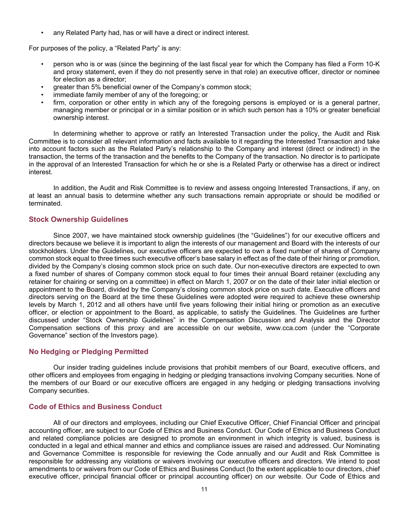any Related Party had, has or will have a direct or indirect interest.

For purposes of the policy, a "Related Party" is any:

- person who is or was (since the beginning of the last fiscal year for which the Company has filed a Form 10-K and proxy statement, even if they do not presently serve in that role) an executive officer, director or nominee for election as a director;
- greater than 5% beneficial owner of the Company's common stock;
- immediate family member of any of the foregoing; or
- firm. corporation or other entity in which any of the foregoing persons is employed or is a general partner, managing member or principal or in a similar position or in which such person has a 10% or greater beneficial ownership interest.

In determining whether to approve or ratify an Interested Transaction under the policy, the Audit and Risk Committee is to consider all relevant information and facts available to it regarding the Interested Transaction and take into account factors such as the Related Party's relationship to the Company and interest (direct or indirect) in the transaction, the terms of the transaction and the benefits to the Company of the transaction. No director is to participate in the approval of an Interested Transaction for which he or she is a Related Party or otherwise has a direct or indirect interest.

In addition, the Audit and Risk Committee is to review and assess ongoing Interested Transactions, if any, on at least an annual basis to determine whether any such transactions remain appropriate or should be modified or terminated.

## **Stock Ownership Guidelines**

Since 2007, we have maintained stock ownership guidelines (the "Guidelines") for our executive officers and directors because we believe it is important to align the interests of our management and Board with the interests of our stockholders. Under the Guidelines, our executive officers are expected to own a fixed number of shares of Company common stock equal to three times such executive officer's base salary in effect as of the date of their hiring or promotion, divided by the Company's closing common stock price on such date. Our non-executive directors are expected to own a fixed number of shares of Company common stock equal to four times their annual Board retainer (excluding any retainer for chairing or serving on a committee) in effect on March 1, 2007 or on the date of their later initial election or appointment to the Board, divided by the Company's closing common stock price on such date. Executive officers and directors serving on the Board at the time these Guidelines were adopted were required to achieve these ownership levels by March 1, 2012 and all others have until five years following their initial hiring or promotion as an executive officer, or election or appointment to the Board, as applicable, to satisfy the Guidelines. The Guidelines are further discussed under "Stock Ownership Guidelines" in the Compensation Discussion and Analysis and the Director Compensation sections of this proxy and are accessible on our website, www.cca.com (under the "Corporate Governance" section of the Investors page).

## **No Hedging or Pledging Permitted**

Our insider trading guidelines include provisions that prohibit members of our Board, executive officers, and other officers and employees from engaging in hedging or pledging transactions involving Company securities. None of the members of our Board or our executive officers are engaged in any hedging or pledging transactions involving Company securities.

# **Code of Ethics and Business Conduct**

All of our directors and employees, including our Chief Executive Officer, Chief Financial Officer and principal accounting officer, are subject to our Code of Ethics and Business Conduct. Our Code of Ethics and Business Conduct and related compliance policies are designed to promote an environment in which integrity is valued, business is conducted in a legal and ethical manner and ethics and compliance issues are raised and addressed. Our Nominating and Governance Committee is responsible for reviewing the Code annually and our Audit and Risk Committee is responsible for addressing any violations or waivers involving our executive officers and directors. We intend to post amendments to or waivers from our Code of Ethics and Business Conduct (to the extent applicable to our directors, chief executive officer, principal financial officer or principal accounting officer) on our website. Our Code of Ethics and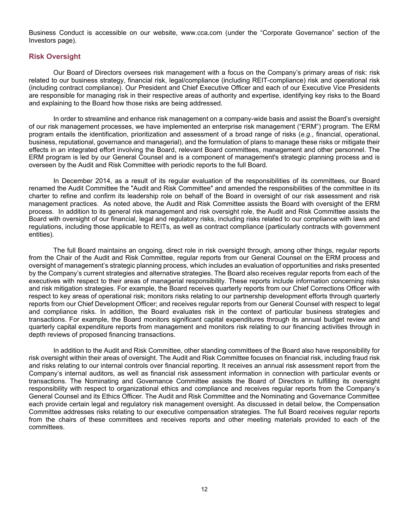Business Conduct is accessible on our website, www.cca.com (under the "Corporate Governance" section of the Investors page).

### **Risk Oversight**

Our Board of Directors oversees risk management with a focus on the Company's primary areas of risk: risk related to our business strategy, financial risk, legal/compliance (including REIT-compliance) risk and operational risk (including contract compliance). Our President and Chief Executive Officer and each of our Executive Vice Presidents are responsible for managing risk in their respective areas of authority and expertise, identifying key risks to the Board and explaining to the Board how those risks are being addressed.

In order to streamline and enhance risk management on a company-wide basis and assist the Board's oversight of our risk management processes, we have implemented an enterprise risk management ("ERM") program. The ERM program entails the identification, prioritization and assessment of a broad range of risks (*e.g.*, financial, operational, business, reputational, governance and managerial), and the formulation of plans to manage these risks or mitigate their effects in an integrated effort involving the Board, relevant Board committees, management and other personnel. The ERM program is led by our General Counsel and is a component of management's strategic planning process and is overseen by the Audit and Risk Committee with periodic reports to the full Board.

In December 2014, as a result of its regular evaluation of the responsibilities of its committees, our Board renamed the Audit Committee the "Audit and Risk Committee" and amended the responsibilities of the committee in its charter to refine and confirm its leadership role on behalf of the Board in oversight of our risk assessment and risk management practices. As noted above, the Audit and Risk Committee assists the Board with oversight of the ERM process. In addition to its general risk management and risk oversight role, the Audit and Risk Committee assists the Board with oversight of our financial, legal and regulatory risks, including risks related to our compliance with laws and regulations, including those applicable to REITs, as well as contract compliance (particularly contracts with government entities).

The full Board maintains an ongoing, direct role in risk oversight through, among other things, regular reports from the Chair of the Audit and Risk Committee, regular reports from our General Counsel on the ERM process and oversight of management's strategic planning process, which includes an evaluation of opportunities and risks presented by the Company's current strategies and alternative strategies. The Board also receives regular reports from each of the executives with respect to their areas of managerial responsibility. These reports include information concerning risks and risk mitigation strategies. For example, the Board receives quarterly reports from our Chief Corrections Officer with respect to key areas of operational risk; monitors risks relating to our partnership development efforts through quarterly reports from our Chief Development Officer; and receives regular reports from our General Counsel with respect to legal and compliance risks. In addition, the Board evaluates risk in the context of particular business strategies and transactions. For example, the Board monitors significant capital expenditures through its annual budget review and quarterly capital expenditure reports from management and monitors risk relating to our financing activities through in depth reviews of proposed financing transactions.

In addition to the Audit and Risk Committee, other standing committees of the Board also have responsibility for risk oversight within their areas of oversight. The Audit and Risk Committee focuses on financial risk, including fraud risk and risks relating to our internal controls over financial reporting. It receives an annual risk assessment report from the Company's internal auditors, as well as financial risk assessment information in connection with particular events or transactions. The Nominating and Governance Committee assists the Board of Directors in fulfilling its oversight responsibility with respect to organizational ethics and compliance and receives regular reports from the Company's General Counsel and its Ethics Officer. The Audit and Risk Committee and the Nominating and Governance Committee each provide certain legal and regulatory risk management oversight. As discussed in detail below, the Compensation Committee addresses risks relating to our executive compensation strategies. The full Board receives regular reports from the chairs of these committees and receives reports and other meeting materials provided to each of the committees.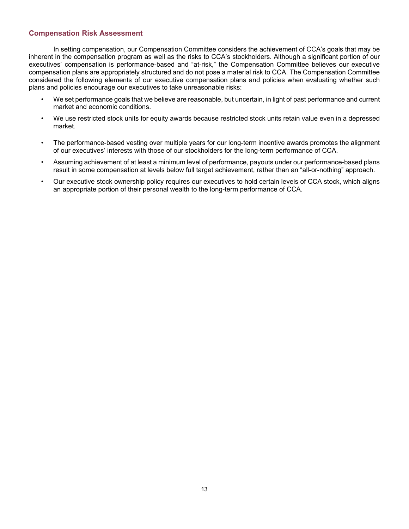## **Compensation Risk Assessment**

In setting compensation, our Compensation Committee considers the achievement of CCA's goals that may be inherent in the compensation program as well as the risks to CCA's stockholders. Although a significant portion of our executives' compensation is performance-based and "at-risk," the Compensation Committee believes our executive compensation plans are appropriately structured and do not pose a material risk to CCA. The Compensation Committee considered the following elements of our executive compensation plans and policies when evaluating whether such plans and policies encourage our executives to take unreasonable risks:

- We set performance goals that we believe are reasonable, but uncertain, in light of past performance and current market and economic conditions.
- We use restricted stock units for equity awards because restricted stock units retain value even in a depressed market.
- The performance-based vesting over multiple years for our long-term incentive awards promotes the alignment of our executives' interests with those of our stockholders for the long-term performance of CCA.
- Assuming achievement of at least a minimum level of performance, payouts under our performance-based plans result in some compensation at levels below full target achievement, rather than an "all-or-nothing" approach.
- Our executive stock ownership policy requires our executives to hold certain levels of CCA stock, which aligns an appropriate portion of their personal wealth to the long-term performance of CCA.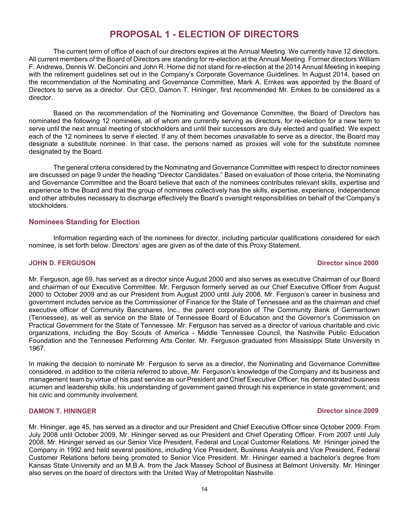# **PROPOSAL 1 - ELECTION OF DIRECTORS**

The current term of office of each of our directors expires at the Annual Meeting. We currently have 12 directors. All current members of the Board of Directors are standing for re-election at the Annual Meeting. Former directors William F. Andrews, Dennis W. DeConcini and John R. Horne did not stand for re-election at the 2014 Annual Meeting in keeping with the retirement guidelines set out in the Company's Corporate Governance Guidelines. In August 2014, based on the recommendation of the Nominating and Governance Committee, Mark A. Emkes was appointed by the Board of Directors to serve as a director. Our CEO, Damon T. Hininger, first recommended Mr. Emkes to be considered as a director.

Based on the recommendation of the Nominating and Governance Committee, the Board of Directors has nominated the following 12 nominees, all of whom are currently serving as directors, for re-election for a new term to serve until the next annual meeting of stockholders and until their successors are duly elected and qualified. We expect each of the 12 nominees to serve if elected. If any of them becomes unavailable to serve as a director, the Board may designate a substitute nominee. In that case, the persons named as proxies will vote for the substitute nominee designated by the Board.

The general criteria considered by the Nominating and Governance Committee with respect to director nominees are discussed on page 9 under the heading "Director Candidates." Based on evaluation of those criteria, the Nominating and Governance Committee and the Board believe that each of the nominees contributes relevant skills, expertise and experience to the Board and that the group of nominees collectively has the skills, expertise, experience, independence and other attributes necessary to discharge effectively the Board's oversight responsibilities on behalf of the Company's stockholders.

## **Nominees Standing for Election**

Information regarding each of the nominees for director, including particular qualifications considered for each nominee, is set forth below. Directors' ages are given as of the date of this Proxy Statement.

### **JOHN D. FERGUSON Director since 2000**

Mr. Ferguson, age 69, has served as a director since August 2000 and also serves as executive Chairman of our Board and chairman of our Executive Committee. Mr. Ferguson formerly served as our Chief Executive Officer from August 2000 to October 2009 and as our President from August 2000 until July 2008. Mr. Ferguson's career in business and government includes service as the Commissioner of Finance for the State of Tennessee and as the chairman and chief executive officer of Community Bancshares, Inc., the parent corporation of The Community Bank of Germantown (Tennessee), as well as service on the State of Tennessee Board of Education and the Governor's Commission on Practical Government for the State of Tennessee. Mr. Ferguson has served as a director of various charitable and civic organizations, including the Boy Scouts of America - Middle Tennessee Council, the Nashville Public Education Foundation and the Tennessee Performing Arts Center. Mr. Ferguson graduated from Mississippi State University in 1967.

In making the decision to nominate Mr. Ferguson to serve as a director, the Nominating and Governance Committee considered, in addition to the criteria referred to above, Mr. Ferguson's knowledge of the Company and its business and management team by virtue of his past service as our President and Chief Executive Officer; his demonstrated business acumen and leadership skills; his understanding of government gained through his experience in state government; and his civic and community involvement.

Mr. Hininger, age 45, has served as a director and our President and Chief Executive Officer since October 2009. From July 2008 until October 2009, Mr. Hininger served as our President and Chief Operating Officer. From 2007 until July 2008, Mr. Hininger served as our Senior Vice President, Federal and Local Customer Relations. Mr. Hininger joined the Company in 1992 and held several positions, including Vice President, Business Analysis and Vice President, Federal Customer Relations before being promoted to Senior Vice President. Mr. Hininger earned a bachelor's degree from Kansas State University and an M.B.A. from the Jack Massey School of Business at Belmont University. Mr. Hininger also serves on the board of directors with the United Way of Metropolitan Nashville.

### **DAMON T. HININGER Director since 2009**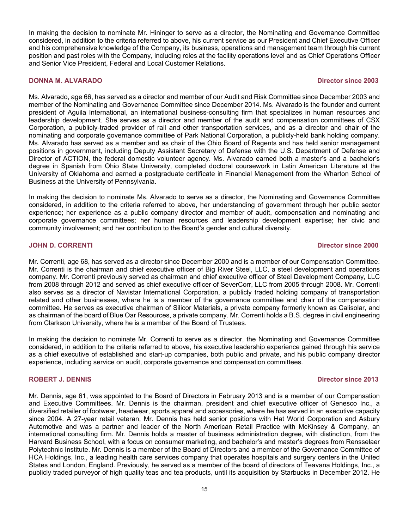In making the decision to nominate Mr. Hininger to serve as a director, the Nominating and Governance Committee considered, in addition to the criteria referred to above, his current service as our President and Chief Executive Officer and his comprehensive knowledge of the Company, its business, operations and management team through his current position and past roles with the Company, including roles at the facility operations level and as Chief Operations Officer and Senior Vice President, Federal and Local Customer Relations.

### **DONNA M. ALVARADO Director since 2003**

Ms. Alvarado, age 66, has served as a director and member of our Audit and Risk Committee since December 2003 and member of the Nominating and Governance Committee since December 2014. Ms. Alvarado is the founder and current president of Aguila International, an international business-consulting firm that specializes in human resources and leadership development. She serves as a director and member of the audit and compensation committees of CSX Corporation, a publicly-traded provider of rail and other transportation services, and as a director and chair of the nominating and corporate governance committee of Park National Corporation, a publicly-held bank holding company. Ms. Alvarado has served as a member and as chair of the Ohio Board of Regents and has held senior management positions in government, including Deputy Assistant Secretary of Defense with the U.S. Department of Defense and Director of ACTION, the federal domestic volunteer agency. Ms. Alvarado earned both a master's and a bachelor's degree in Spanish from Ohio State University, completed doctoral coursework in Latin American Literature at the University of Oklahoma and earned a postgraduate certificate in Financial Management from the Wharton School of Business at the University of Pennsylvania.

In making the decision to nominate Ms. Alvarado to serve as a director, the Nominating and Governance Committee considered, in addition to the criteria referred to above, her understanding of government through her public sector experience; her experience as a public company director and member of audit, compensation and nominating and corporate governance committees; her human resources and leadership development expertise; her civic and community involvement; and her contribution to the Board's gender and cultural diversity.

### **JOHN D. CORRENTI Director since 2000**

Mr. Correnti, age 68, has served as a director since December 2000 and is a member of our Compensation Committee. Mr. Correnti is the chairman and chief executive officer of Big River Steel, LLC, a steel development and operations company. Mr. Correnti previously served as chairman and chief executive officer of Steel Development Company, LLC from 2008 through 2012 and served as chief executive officer of SeverCorr, LLC from 2005 through 2008. Mr. Correnti also serves as a director of Navistar International Corporation, a publicly traded holding company of transportation related and other businesses, where he is a member of the governance committee and chair of the compensation committee. He serves as executive chairman of Silicor Materials, a private company formerly known as Calisolar, and as chairman of the board of Blue Oar Resources, a private company. Mr. Correnti holds a B.S. degree in civil engineering from Clarkson University, where he is a member of the Board of Trustees.

In making the decision to nominate Mr. Correnti to serve as a director, the Nominating and Governance Committee considered, in addition to the criteria referred to above, his executive leadership experience gained through his service as a chief executive of established and start-up companies, both public and private, and his public company director experience, including service on audit, corporate governance and compensation committees.

### **ROBERT J. DENNIS DIRECTOR CONSUMING THE SECOND STATE OF A SECOND STATE OF A SECOND STATE OF A SECOND STATE OF A SECOND STATE OF A SECOND STATE OF A SECOND STATE OF A SECOND STATE OF A SECOND STATE OF A SECOND STATE OF A**

Mr. Dennis, age 61, was appointed to the Board of Directors in February 2013 and is a member of our Compensation and Executive Committees. Mr. Dennis is the chairman, president and chief executive officer of Genesco Inc., a diversified retailer of footwear, headwear, sports apparel and accessories, where he has served in an executive capacity since 2004. A 27-year retail veteran, Mr. Dennis has held senior positions with Hat World Corporation and Asbury Automotive and was a partner and leader of the North American Retail Practice with McKinsey & Company, an international consulting firm. Mr. Dennis holds a master of business administration degree, with distinction, from the Harvard Business School, with a focus on consumer marketing, and bachelor's and master's degrees from Rensselaer Polytechnic Institute. Mr. Dennis is a member of the Board of Directors and a member of the Governance Committee of HCA Holdings, Inc., a leading health care services company that operates hospitals and surgery centers in the United States and London, England. Previously, he served as a member of the board of directors of Teavana Holdings, Inc., a publicly traded purveyor of high quality teas and tea products, until its acquisition by Starbucks in December 2012. He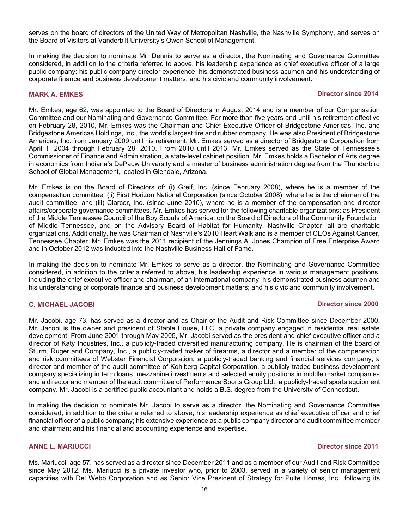serves on the board of directors of the United Way of Metropolitan Nashville, the Nashville Symphony, and serves on the Board of Visitors at Vanderbilt University's Owen School of Management.

In making the decision to nominate Mr. Dennis to serve as a director, the Nominating and Governance Committee considered, in addition to the criteria referred to above, his leadership experience as chief executive officer of a large public company; his public company director experience; his demonstrated business acumen and his understanding of corporate finance and business development matters; and his civic and community involvement.

### **MARK A. EMKES Director since 2014**

Mr. Emkes, age 62, was appointed to the Board of Directors in August 2014 and is a member of our Compensation Committee and our Nominating and Governance Committee. For more than five years and until his retirement effective on February 28, 2010, Mr. Emkes was the Chairman and Chief Executive Officer of Bridgestone Americas, Inc. and Bridgestone Americas Holdings, Inc., the world's largest tire and rubber company. He was also President of Bridgestone Americas, Inc. from January 2009 until his retirement. Mr. Emkes served as a director of Bridgestone Corporation from April 1, 2004 through February 28, 2010. From 2010 until 2013, Mr. Emkes served as the State of Tennessee's Commissioner of Finance and Administration, a state-level cabinet position. Mr. Emkes holds a Bachelor of Arts degree in economics from Indiana's DePauw University and a master of business administration degree from the Thunderbird School of Global Management, located in Glendale, Arizona.

Mr. Emkes is on the Board of Directors of: (i) Greif, Inc. (since February 2008), where he is a member of the compensation committee, (ii) First Horizon National Corporation (since October 2008), where he is the chairman of the audit committee, and (iii) Clarcor, Inc. (since June 2010), where he is a member of the compensation and director affairs/corporate governance committees. Mr. Emkes has served for the following charitable organizations: as President of the Middle Tennessee Council of the Boy Scouts of America, on the Board of Directors of the Community Foundation of Middle Tennessee, and on the Advisory Board of Habitat for Humanity, Nashville Chapter, all are charitable organizations. Additionally, he was Chairman of Nashville's 2010 Heart Walk and is a member of CEOs Against Cancer, Tennessee Chapter. Mr. Emkes was the 2011 recipient of the Jennings A. Jones Champion of Free Enterprise Award and in October 2012 was inducted into the Nashville Business Hall of Fame.

In making the decision to nominate Mr. Emkes to serve as a director, the Nominating and Governance Committee considered, in addition to the criteria referred to above, his leadership experience in various management positions, including the chief executive officer and chairman, of an international company; his demonstrated business acumen and his understanding of corporate finance and business development matters; and his civic and community involvement.

### **C. MICHAEL JACOBI Director since 2000**

Mr. Jacobi, age 73, has served as a director and as Chair of the Audit and Risk Committee since December 2000. Mr. Jacobi is the owner and president of Stable House, LLC, a private company engaged in residential real estate development. From June 2001 through May 2005, Mr. Jacobi served as the president and chief executive officer and a director of Katy Industries, Inc., a publicly-traded diversified manufacturing company. He is chairman of the board of Sturm, Ruger and Company, Inc., a publicly-traded maker of firearms, a director and a member of the compensation and risk committees of Webster Financial Corporation, a publicly-traded banking and financial services company, a director and member of the audit committee of Kohlberg Capital Corporation, a publicly-traded business development company specializing in term loans, mezzanine investments and selected equity positions in middle market companies and a director and member of the audit committee of Performance Sports Group Ltd., a publicly-traded sports equipment company. Mr. Jacobi is a certified public accountant and holds a B.S. degree from the University of Connecticut.

In making the decision to nominate Mr. Jacobi to serve as a director, the Nominating and Governance Committee considered, in addition to the criteria referred to above, his leadership experience as chief executive officer and chief financial officer of a public company; his extensive experience as a public company director and audit committee member and chairman; and his financial and accounting experience and expertise.

### **ANNE L. MARIUCCI Director since 2011**

Ms. Mariucci, age 57, has served as a director since December 2011 and as a member of our Audit and Risk Committee since May 2012. Ms. Mariucci is a private investor who, prior to 2003, served in a variety of senior management capacities with Del Webb Corporation and as Senior Vice President of Strategy for Pulte Homes, Inc., following its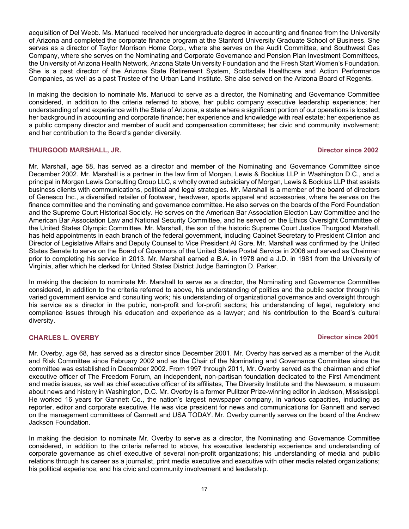acquisition of Del Webb. Ms. Mariucci received her undergraduate degree in accounting and finance from the University of Arizona and completed the corporate finance program at the Stanford University Graduate School of Business. She serves as a director of Taylor Morrison Home Corp., where she serves on the Audit Committee, and Southwest Gas Company, where she serves on the Nominating and Corporate Governance and Pension Plan Investment Committees, the University of Arizona Health Network, Arizona State University Foundation and the Fresh Start Women's Foundation. She is a past director of the Arizona State Retirement System, Scottsdale Healthcare and Action Performance Companies, as well as a past Trustee of the Urban Land Institute. She also served on the Arizona Board of Regents.

In making the decision to nominate Ms. Mariucci to serve as a director, the Nominating and Governance Committee considered, in addition to the criteria referred to above, her public company executive leadership experience; her understanding of and experience with the State of Arizona, a state where a significant portion of our operations is located; her background in accounting and corporate finance; her experience and knowledge with real estate; her experience as a public company director and member of audit and compensation committees; her civic and community involvement; and her contribution to the Board's gender diversity.

### **THURGOOD MARSHALL, JR. Director since 2002**

Mr. Marshall, age 58, has served as a director and member of the Nominating and Governance Committee since December 2002. Mr. Marshall is a partner in the law firm of Morgan, Lewis & Bockius LLP in Washington D.C., and a principal in Morgan Lewis Consulting Group LLC, a wholly owned subsidiary of Morgan, Lewis & Bockius LLP that assists business clients with communications, political and legal strategies. Mr. Marshall is a member of the board of directors of Genesco Inc., a diversified retailer of footwear, headwear, sports apparel and accessories, where he serves on the finance committee and the nominating and governance committee. He also serves on the boards of the Ford Foundation and the Supreme Court Historical Society. He serves on the American Bar Association Election Law Committee and the American Bar Association Law and National Security Committee, and he served on the Ethics Oversight Committee of the United States Olympic Committee. Mr. Marshall, the son of the historic Supreme Court Justice Thurgood Marshall, has held appointments in each branch of the federal government, including Cabinet Secretary to President Clinton and Director of Legislative Affairs and Deputy Counsel to Vice President Al Gore. Mr. Marshall was confirmed by the United States Senate to serve on the Board of Governors of the United States Postal Service in 2006 and served as Chairman prior to completing his service in 2013. Mr. Marshall earned a B.A. in 1978 and a J.D. in 1981 from the University of Virginia, after which he clerked for United States District Judge Barrington D. Parker.

In making the decision to nominate Mr. Marshall to serve as a director, the Nominating and Governance Committee considered, in addition to the criteria referred to above, his understanding of politics and the public sector through his varied government service and consulting work; his understanding of organizational governance and oversight through his service as a director in the public, non-profit and for-profit sectors; his understanding of legal, regulatory and compliance issues through his education and experience as a lawyer; and his contribution to the Board's cultural diversity.

### **CHARLES L. OVERBY Director since 2001**

Mr. Overby, age 68, has served as a director since December 2001. Mr. Overby has served as a member of the Audit and Risk Committee since February 2002 and as the Chair of the Nominating and Governance Committee since the committee was established in December 2002. From 1997 through 2011, Mr. Overby served as the chairman and chief executive officer of The Freedom Forum, an independent, non-partisan foundation dedicated to the First Amendment and media issues, as well as chief executive officer of its affiliates, The Diversity Institute and the Newseum, a museum about news and history in Washington, D.C. Mr. Overby is a former Pulitzer Prize-winning editor in Jackson, Mississippi. He worked 16 years for Gannett Co., the nation's largest newspaper company, in various capacities, including as reporter, editor and corporate executive. He was vice president for news and communications for Gannett and served on the management committees of Gannett and USA TODAY. Mr. Overby currently serves on the board of the Andrew Jackson Foundation.

In making the decision to nominate Mr. Overby to serve as a director, the Nominating and Governance Committee considered, in addition to the criteria referred to above, his executive leadership experience and understanding of corporate governance as chief executive of several non-profit organizations; his understanding of media and public relations through his career as a journalist, print media executive and executive with other media related organizations; his political experience; and his civic and community involvement and leadership.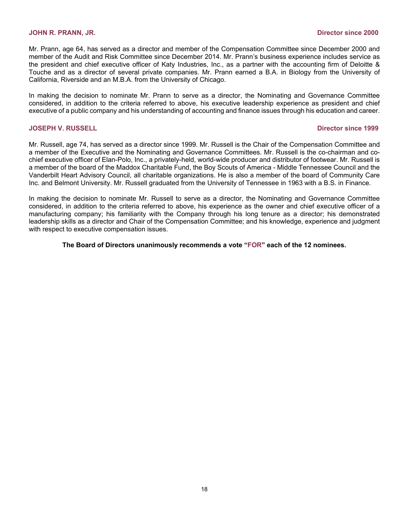Mr. Prann, age 64, has served as a director and member of the Compensation Committee since December 2000 and member of the Audit and Risk Committee since December 2014. Mr. Prann's business experience includes service as the president and chief executive officer of Katy Industries, Inc., as a partner with the accounting firm of Deloitte & Touche and as a director of several private companies. Mr. Prann earned a B.A. in Biology from the University of California, Riverside and an M.B.A. from the University of Chicago.

In making the decision to nominate Mr. Prann to serve as a director, the Nominating and Governance Committee considered, in addition to the criteria referred to above, his executive leadership experience as president and chief executive of a public company and his understanding of accounting and finance issues through his education and career.

### **JOSEPH V. RUSSELL Director since 1999**

Mr. Russell, age 74, has served as a director since 1999. Mr. Russell is the Chair of the Compensation Committee and a member of the Executive and the Nominating and Governance Committees. Mr. Russell is the co-chairman and cochief executive officer of Elan-Polo, Inc., a privately-held, world-wide producer and distributor of footwear. Mr. Russell is a member of the board of the Maddox Charitable Fund, the Boy Scouts of America - Middle Tennessee Council and the Vanderbilt Heart Advisory Council, all charitable organizations. He is also a member of the board of Community Care Inc. and Belmont University. Mr. Russell graduated from the University of Tennessee in 1963 with a B.S. in Finance.

In making the decision to nominate Mr. Russell to serve as a director, the Nominating and Governance Committee considered, in addition to the criteria referred to above, his experience as the owner and chief executive officer of a manufacturing company; his familiarity with the Company through his long tenure as a director; his demonstrated leadership skills as a director and Chair of the Compensation Committee; and his knowledge, experience and judgment with respect to executive compensation issues.

### **The Board of Directors unanimously recommends a vote "FOR" each of the 12 nominees.**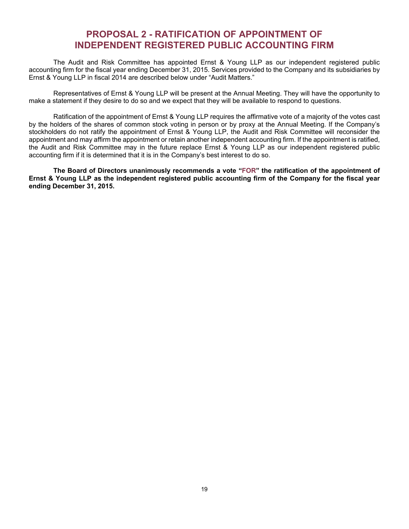# **PROPOSAL 2 - RATIFICATION OF APPOINTMENT OF INDEPENDENT REGISTERED PUBLIC ACCOUNTING FIRM**

The Audit and Risk Committee has appointed Ernst & Young LLP as our independent registered public accounting firm for the fiscal year ending December 31, 2015. Services provided to the Company and its subsidiaries by Ernst & Young LLP in fiscal 2014 are described below under "Audit Matters."

Representatives of Ernst & Young LLP will be present at the Annual Meeting. They will have the opportunity to make a statement if they desire to do so and we expect that they will be available to respond to questions.

Ratification of the appointment of Ernst & Young LLP requires the affirmative vote of a majority of the votes cast by the holders of the shares of common stock voting in person or by proxy at the Annual Meeting. If the Company's stockholders do not ratify the appointment of Ernst & Young LLP, the Audit and Risk Committee will reconsider the appointment and may affirm the appointment or retain another independent accounting firm. If the appointment is ratified, the Audit and Risk Committee may in the future replace Ernst & Young LLP as our independent registered public accounting firm if it is determined that it is in the Company's best interest to do so.

**The Board of Directors unanimously recommends a vote "FOR" the ratification of the appointment of Ernst & Young LLP as the independent registered public accounting firm of the Company for the fiscal year ending December 31, 2015.**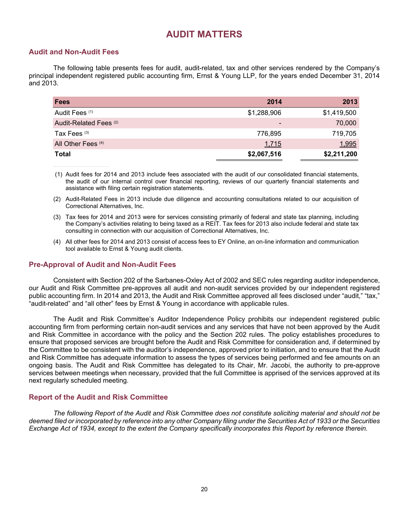# **AUDIT MATTERS**

## **Audit and Non-Audit Fees**

The following table presents fees for audit, audit-related, tax and other services rendered by the Company's principal independent registered public accounting firm, Ernst & Young LLP, for the years ended December 31, 2014 and 2013.

| <b>Fees</b>                   | 2014                     | 2013        |
|-------------------------------|--------------------------|-------------|
| Audit Fees (1)                | \$1,288,906              | \$1,419,500 |
| Audit-Related Fees (2)        | $\overline{\phantom{a}}$ | 70,000      |
| Tax Fees (3)                  | 776,895                  | 719,705     |
| All Other Fees <sup>(4)</sup> | 1,715                    | 1,995       |
| <b>Total</b>                  | \$2,067,516              | \$2,211,200 |

 (1) Audit fees for 2014 and 2013 include fees associated with the audit of our consolidated financial statements, the audit of our internal control over financial reporting, reviews of our quarterly financial statements and assistance with filing certain registration statements.

(2) Audit-Related Fees in 2013 include due diligence and accounting consultations related to our acquisition of Correctional Alternatives, Inc.

- (3) Tax fees for 2014 and 2013 were for services consisting primarily of federal and state tax planning, including the Company's activities relating to being taxed as a REIT. Tax fees for 2013 also include federal and state tax consulting in connection with our acquisition of Correctional Alternatives, Inc.
- (4) All other fees for 2014 and 2013 consist of access fees to EY Online, an on-line information and communication tool available to Ernst & Young audit clients.

### **Pre-Approval of Audit and Non-Audit Fees**

Consistent with Section 202 of the Sarbanes-Oxley Act of 2002 and SEC rules regarding auditor independence, our Audit and Risk Committee pre-approves all audit and non-audit services provided by our independent registered public accounting firm. In 2014 and 2013, the Audit and Risk Committee approved all fees disclosed under "audit," "tax," "audit-related" and "all other" fees by Ernst & Young in accordance with applicable rules.

The Audit and Risk Committee's Auditor Independence Policy prohibits our independent registered public accounting firm from performing certain non-audit services and any services that have not been approved by the Audit and Risk Committee in accordance with the policy and the Section 202 rules. The policy establishes procedures to ensure that proposed services are brought before the Audit and Risk Committee for consideration and, if determined by the Committee to be consistent with the auditor's independence, approved prior to initiation, and to ensure that the Audit and Risk Committee has adequate information to assess the types of services being performed and fee amounts on an ongoing basis. The Audit and Risk Committee has delegated to its Chair, Mr. Jacobi, the authority to pre-approve services between meetings when necessary, provided that the full Committee is apprised of the services approved at its next regularly scheduled meeting.

### **Report of the Audit and Risk Committee**

*The following Report of the Audit and Risk Committee does not constitute soliciting material and should not be deemed filed or incorporated by reference into any other Company filing under the Securities Act of 1933 or the Securities Exchange Act of 1934, except to the extent the Company specifically incorporates this Report by reference therein.*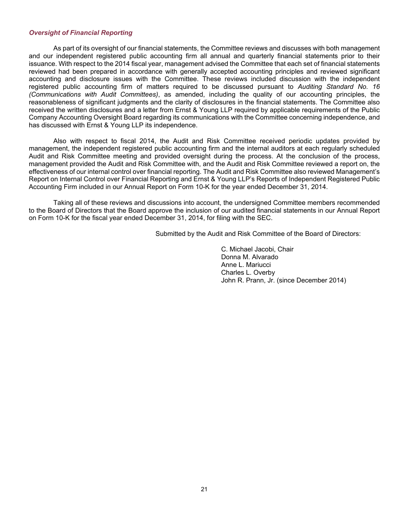### *Oversight of Financial Reporting*

As part of its oversight of our financial statements, the Committee reviews and discusses with both management and our independent registered public accounting firm all annual and quarterly financial statements prior to their issuance. With respect to the 2014 fiscal year, management advised the Committee that each set of financial statements reviewed had been prepared in accordance with generally accepted accounting principles and reviewed significant accounting and disclosure issues with the Committee. These reviews included discussion with the independent registered public accounting firm of matters required to be discussed pursuant to *Auditing Standard No. 16 (Communications with Audit Committees)*, as amended, including the quality of our accounting principles, the reasonableness of significant judgments and the clarity of disclosures in the financial statements. The Committee also received the written disclosures and a letter from Ernst & Young LLP required by applicable requirements of the Public Company Accounting Oversight Board regarding its communications with the Committee concerning independence, and has discussed with Ernst & Young LLP its independence.

Also with respect to fiscal 2014, the Audit and Risk Committee received periodic updates provided by management, the independent registered public accounting firm and the internal auditors at each regularly scheduled Audit and Risk Committee meeting and provided oversight during the process. At the conclusion of the process, management provided the Audit and Risk Committee with, and the Audit and Risk Committee reviewed a report on, the effectiveness of our internal control over financial reporting. The Audit and Risk Committee also reviewed Management's Report on Internal Control over Financial Reporting and Ernst & Young LLP's Reports of Independent Registered Public Accounting Firm included in our Annual Report on Form 10-K for the year ended December 31, 2014.

Taking all of these reviews and discussions into account, the undersigned Committee members recommended to the Board of Directors that the Board approve the inclusion of our audited financial statements in our Annual Report on Form 10-K for the fiscal year ended December 31, 2014, for filing with the SEC.

Submitted by the Audit and Risk Committee of the Board of Directors:

C. Michael Jacobi, Chair Donna M. Alvarado Anne L. Mariucci Charles L. Overby John R. Prann, Jr. (since December 2014)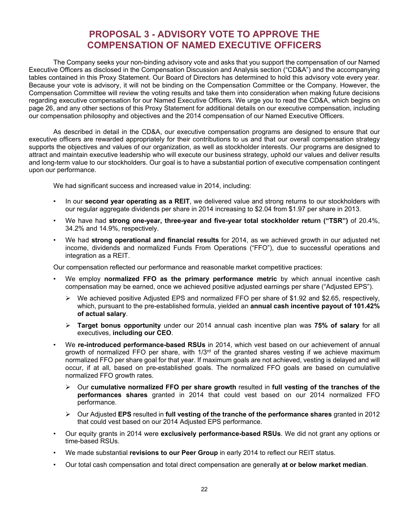# **PROPOSAL 3 - ADVISORY VOTE TO APPROVE THE COMPENSATION OF NAMED EXECUTIVE OFFICERS**

The Company seeks your non-binding advisory vote and asks that you support the compensation of our Named Executive Officers as disclosed in the Compensation Discussion and Analysis section ("CD&A") and the accompanying tables contained in this Proxy Statement. Our Board of Directors has determined to hold this advisory vote every year. Because your vote is advisory, it will not be binding on the Compensation Committee or the Company. However, the Compensation Committee will review the voting results and take them into consideration when making future decisions regarding executive compensation for our Named Executive Officers. We urge you to read the CD&A, which begins on page 26, and any other sections of this Proxy Statement for additional details on our executive compensation, including our compensation philosophy and objectives and the 2014 compensation of our Named Executive Officers.

As described in detail in the CD&A, our executive compensation programs are designed to ensure that our executive officers are rewarded appropriately for their contributions to us and that our overall compensation strategy supports the objectives and values of our organization, as well as stockholder interests. Our programs are designed to attract and maintain executive leadership who will execute our business strategy, uphold our values and deliver results and long-term value to our stockholders. Our goal is to have a substantial portion of executive compensation contingent upon our performance.

We had significant success and increased value in 2014, including:

- In our **second year operating as a REIT**, we delivered value and strong returns to our stockholders with our regular aggregate dividends per share in 2014 increasing to \$2.04 from \$1.97 per share in 2013.
- We have had **strong one-year, three-year and five-year total stockholder return ("TSR")** of 20.4%, 34.2% and 14.9%, respectively.
- We had **strong operational and financial results** for 2014, as we achieved growth in our adjusted net income, dividends and normalized Funds From Operations ("FFO"), due to successful operations and integration as a REIT.

Our compensation reflected our performance and reasonable market competitive practices:

- We employ **normalized FFO as the primary performance metric** by which annual incentive cash compensation may be earned, once we achieved positive adjusted earnings per share ("Adjusted EPS").
	- $\triangleright$  We achieved positive Adjusted EPS and normalized FFO per share of \$1.92 and \$2.65, respectively, which, pursuant to the pre-established formula, yielded an **annual cash incentive payout of 101.42% of actual salary**.
	- **Target bonus opportunity** under our 2014 annual cash incentive plan was **75% of salary** for all executives, **including our CEO**.
- We **re-introduced performance-based RSUs** in 2014, which vest based on our achievement of annual growth of normalized FFO per share, with 1/3<sup>rd</sup> of the granted shares vesting if we achieve maximum normalized FFO per share goal for that year. If maximum goals are not achieved, vesting is delayed and will occur, if at all, based on pre-established goals. The normalized FFO goals are based on cumulative normalized FFO growth rates.
	- Our **cumulative normalized FFO per share growth** resulted in **full vesting of the tranches of the performances shares** granted in 2014 that could vest based on our 2014 normalized FFO performance.
	- Our Adjusted **EPS** resulted in **full vesting of the tranche of the performance shares** granted in 2012 that could vest based on our 2014 Adjusted EPS performance.
- Our equity grants in 2014 were **exclusively performance-based RSUs**. We did not grant any options or time-based RSUs.
- We made substantial **revisions to our Peer Group** in early 2014 to reflect our REIT status.
- Our total cash compensation and total direct compensation are generally **at or below market median**.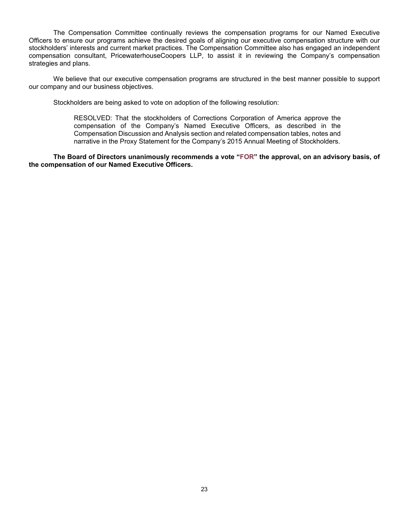The Compensation Committee continually reviews the compensation programs for our Named Executive Officers to ensure our programs achieve the desired goals of aligning our executive compensation structure with our stockholders' interests and current market practices. The Compensation Committee also has engaged an independent compensation consultant, PricewaterhouseCoopers LLP, to assist it in reviewing the Company's compensation strategies and plans.

We believe that our executive compensation programs are structured in the best manner possible to support our company and our business objectives.

Stockholders are being asked to vote on adoption of the following resolution:

RESOLVED: That the stockholders of Corrections Corporation of America approve the compensation of the Company's Named Executive Officers, as described in the Compensation Discussion and Analysis section and related compensation tables, notes and narrative in the Proxy Statement for the Company's 2015 Annual Meeting of Stockholders.

**The Board of Directors unanimously recommends a vote "FOR" the approval, on an advisory basis, of the compensation of our Named Executive Officers.**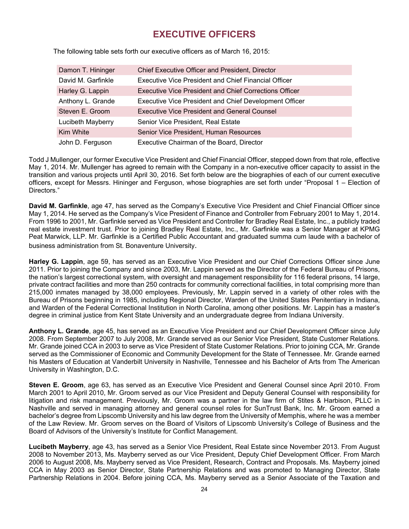# **EXECUTIVE OFFICERS**

| Damon T. Hininger  | <b>Chief Executive Officer and President, Director</b>        |
|--------------------|---------------------------------------------------------------|
| David M. Garfinkle | Executive Vice President and Chief Financial Officer          |
| Harley G. Lappin   | <b>Executive Vice President and Chief Corrections Officer</b> |
| Anthony L. Grande  | <b>Executive Vice President and Chief Development Officer</b> |
| Steven E. Groom    | <b>Executive Vice President and General Counsel</b>           |
| Lucibeth Mayberry  | Senior Vice President, Real Estate                            |
| Kim White          | Senior Vice President, Human Resources                        |
| John D. Ferguson   | Executive Chairman of the Board, Director                     |

The following table sets forth our executive officers as of March 16, 2015:

Todd J Mullenger, our former Executive Vice President and Chief Financial Officer, stepped down from that role, effective May 1, 2014. Mr. Mullenger has agreed to remain with the Company in a non-executive officer capacity to assist in the transition and various projects until April 30, 2016. Set forth below are the biographies of each of our current executive officers, except for Messrs. Hininger and Ferguson, whose biographies are set forth under "Proposal 1 – Election of Directors."

**David M. Garfinkle**, age 47, has served as the Company's Executive Vice President and Chief Financial Officer since May 1, 2014. He served as the Company's Vice President of Finance and Controller from February 2001 to May 1, 2014. From 1996 to 2001, Mr. Garfinkle served as Vice President and Controller for Bradley Real Estate, Inc., a publicly traded real estate investment trust. Prior to joining Bradley Real Estate, Inc., Mr. Garfinkle was a Senior Manager at KPMG Peat Marwick, LLP. Mr. Garfinkle is a Certified Public Accountant and graduated summa cum laude with a bachelor of business administration from St. Bonaventure University.

**Harley G. Lappin**, age 59, has served as an Executive Vice President and our Chief Corrections Officer since June 2011. Prior to joining the Company and since 2003, Mr. Lappin served as the Director of the Federal Bureau of Prisons, the nation's largest correctional system, with oversight and management responsibility for 116 federal prisons, 14 large, private contract facilities and more than 250 contracts for community correctional facilities, in total comprising more than 215,000 inmates managed by 38,000 employees. Previously, Mr. Lappin served in a variety of other roles with the Bureau of Prisons beginning in 1985, including Regional Director, Warden of the United States Penitentiary in Indiana, and Warden of the Federal Correctional Institution in North Carolina, among other positions. Mr. Lappin has a master's degree in criminal justice from Kent State University and an undergraduate degree from Indiana University.

**Anthony L. Grande**, age 45, has served as an Executive Vice President and our Chief Development Officer since July 2008. From September 2007 to July 2008, Mr. Grande served as our Senior Vice President, State Customer Relations. Mr. Grande joined CCA in 2003 to serve as Vice President of State Customer Relations. Prior to joining CCA, Mr. Grande served as the Commissioner of Economic and Community Development for the State of Tennessee. Mr. Grande earned his Masters of Education at Vanderbilt University in Nashville, Tennessee and his Bachelor of Arts from The American University in Washington, D.C.

**Steven E. Groom**, age 63, has served as an Executive Vice President and General Counsel since April 2010. From March 2001 to April 2010, Mr. Groom served as our Vice President and Deputy General Counsel with responsibility for litigation and risk management. Previously, Mr. Groom was a partner in the law firm of Stites & Harbison, PLLC in Nashville and served in managing attorney and general counsel roles for SunTrust Bank, Inc. Mr. Groom earned a bachelor's degree from Lipscomb University and his law degree from the University of Memphis, where he was a member of the Law Review. Mr. Groom serves on the Board of Visitors of Lipscomb University's College of Business and the Board of Advisors of the University's Institute for Conflict Management.

**Lucibeth Mayberry**, age 43, has served as a Senior Vice President, Real Estate since November 2013. From August 2008 to November 2013, Ms. Mayberry served as our Vice President, Deputy Chief Development Officer. From March 2006 to August 2008, Ms. Mayberry served as Vice President, Research, Contract and Proposals. Ms. Mayberry joined CCA in May 2003 as Senior Director, State Partnership Relations and was promoted to Managing Director, State Partnership Relations in 2004. Before joining CCA, Ms. Mayberry served as a Senior Associate of the Taxation and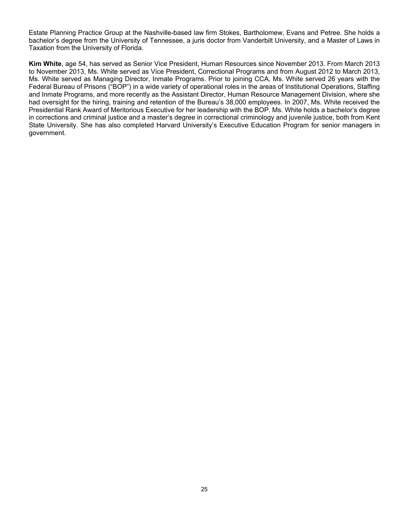Estate Planning Practice Group at the Nashville-based law firm Stokes, Bartholomew, Evans and Petree. She holds a bachelor's degree from the University of Tennessee, a juris doctor from Vanderbilt University, and a Master of Laws in Taxation from the University of Florida.

**Kim White**, age 54, has served as Senior Vice President, Human Resources since November 2013. From March 2013 to November 2013, Ms. White served as Vice President, Correctional Programs and from August 2012 to March 2013, Ms. White served as Managing Director, Inmate Programs. Prior to joining CCA, Ms. White served 26 years with the Federal Bureau of Prisons ("BOP") in a wide variety of operational roles in the areas of Institutional Operations, Staffing and Inmate Programs, and more recently as the Assistant Director, Human Resource Management Division, where she had oversight for the hiring, training and retention of the Bureau's 38,000 employees. In 2007, Ms. White received the Presidential Rank Award of Meritorious Executive for her leadership with the BOP. Ms. White holds a bachelor's degree in corrections and criminal justice and a master's degree in correctional criminology and juvenile justice, both from Kent State University. She has also completed Harvard University's Executive Education Program for senior managers in government.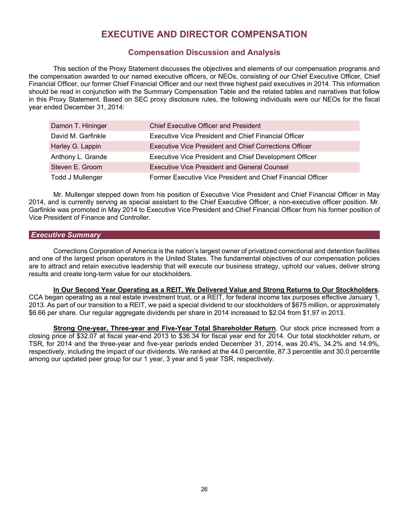# **EXECUTIVE AND DIRECTOR COMPENSATION**

# **Compensation Discussion and Analysis**

This section of the Proxy Statement discusses the objectives and elements of our compensation programs and the compensation awarded to our named executive officers, or NEOs, consisting of our Chief Executive Officer, Chief Financial Officer, our former Chief Financial Officer and our next three highest paid executives in 2014. This information should be read in conjunction with the Summary Compensation Table and the related tables and narratives that follow in this Proxy Statement. Based on SEC proxy disclosure rules, the following individuals were our NEOs for the fiscal year ended December 31, 2014:

| Damon T. Hininger  | <b>Chief Executive Officer and President</b>                |
|--------------------|-------------------------------------------------------------|
| David M. Garfinkle | <b>Executive Vice President and Chief Financial Officer</b> |
| Harley G. Lappin   | Executive Vice President and Chief Corrections Officer      |
| Anthony L. Grande  | Executive Vice President and Chief Development Officer      |
| Steven E. Groom    | <b>Executive Vice President and General Counsel</b>         |
| Todd J Mullenger   | Former Executive Vice President and Chief Financial Officer |

Mr. Mullenger stepped down from his position of Executive Vice President and Chief Financial Officer in May 2014, and is currently serving as special assistant to the Chief Executive Officer, a non-executive officer position. Mr. Garfinkle was promoted in May 2014 to Executive Vice President and Chief Financial Officer from his former position of Vice President of Finance and Controller.

### *Executive Summary*

Corrections Corporation of America is the nation's largest owner of privatized correctional and detention facilities and one of the largest prison operators in the United States. The fundamental objectives of our compensation policies are to attract and retain executive leadership that will execute our business strategy, uphold our values, deliver strong results and create long-term value for our stockholders.

# **In Our Second Year Operating as a REIT, We Delivered Value and Strong Returns to Our Stockholders.**

CCA began operating as a real estate investment trust, or a REIT, for federal income tax purposes effective January 1, 2013. As part of our transition to a REIT, we paid a special dividend to our stockholders of \$675 million, or approximately \$6.66 per share. Our regular aggregate dividends per share in 2014 increased to \$2.04 from \$1.97 in 2013.

**Strong One-year, Three-year and Five-Year Total Shareholder Return**. Our stock price increased from a closing price of \$32.07 at fiscal year-end 2013 to \$36.34 for fiscal year end for 2014. Our total stockholder return, or TSR, for 2014 and the three-year and five-year periods ended December 31, 2014, was 20.4%, 34.2% and 14.9%, respectively, including the impact of our dividends. We ranked at the 44.0 percentile, 87.3 percentile and 30.0 percentile among our updated peer group for our 1 year, 3 year and 5 year TSR, respectively.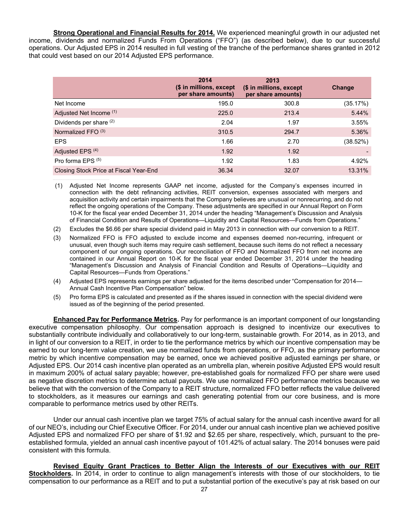**Strong Operational and Financial Results for 2014.** We experienced meaningful growth in our adjusted net income, dividends and normalized Funds From Operations ("FFO") (as described below), due to our successful operations. Our Adjusted EPS in 2014 resulted in full vesting of the tranche of the performance shares granted in 2012 that could vest based on our 2014 Adjusted EPS performance.

|                                        | 2014<br>(\$ in millions, except<br>per share amounts) | 2013<br>(\$ in millions, except<br>per share amounts) | Change   |
|----------------------------------------|-------------------------------------------------------|-------------------------------------------------------|----------|
| Net Income                             | 195.0                                                 | 300.8                                                 | (35.17%) |
| Adjusted Net Income (1)                | 225.0                                                 | 213.4                                                 | 5.44%    |
| Dividends per share (2)                | 2.04                                                  | 1.97                                                  | 3.55%    |
| Normalized FFO (3)                     | 310.5                                                 | 294.7                                                 | 5.36%    |
| <b>EPS</b>                             | 1.66                                                  | 2.70                                                  | (38.52%) |
| Adjusted EPS <sup>(4)</sup>            | 1.92                                                  | 1.92                                                  |          |
| Pro forma EPS <sup>(5)</sup>           | 1.92                                                  | 1.83                                                  | 4.92%    |
| Closing Stock Price at Fiscal Year-End | 36.34                                                 | 32.07                                                 | 13.31%   |

 (1) Adjusted Net Income represents GAAP net income, adjusted for the Company's expenses incurred in connection with the debt refinancing activities, REIT conversion, expenses associated with mergers and acquisition activity and certain impairments that the Company believes are unusual or nonrecurring, and do not reflect the ongoing operations of the Company. These adjustments are specified in our Annual Report on Form 10-K for the fiscal year ended December 31, 2014 under the heading "Management's Discussion and Analysis of Financial Condition and Results of Operations—Liquidity and Capital Resources—Funds from Operations."

- (2) Excludes the \$6.66 per share special dividend paid in May 2013 in connection with our conversion to a REIT.
- (3) Normalized FFO is FFO adjusted to exclude income and expenses deemed non-recurring, infrequent or unusual, even though such items may require cash settlement, because such items do not reflect a necessary component of our ongoing operations. Our reconciliation of FFO and Normalized FFO from net income are contained in our Annual Report on 10-K for the fiscal year ended December 31, 2014 under the heading "Management's Discussion and Analysis of Financial Condition and Results of Operations—Liquidity and Capital Resources—Funds from Operations."
- (4) Adjusted EPS represents earnings per share adjusted for the items described under "Compensation for 2014— Annual Cash Incentive Plan Compensation" below.
- (5) Pro forma EPS is calculated and presented as if the shares issued in connection with the special dividend were issued as of the beginning of the period presented.

**Enhanced Pay for Performance Metrics.** Pay for performance is an important component of our longstanding executive compensation philosophy. Our compensation approach is designed to incentivize our executives to substantially contribute individually and collaboratively to our long-term, sustainable growth. For 2014, as in 2013, and in light of our conversion to a REIT, in order to tie the performance metrics by which our incentive compensation may be earned to our long-term value creation, we use normalized funds from operations, or FFO, as the primary performance metric by which incentive compensation may be earned, once we achieved positive adjusted earnings per share, or Adjusted EPS. Our 2014 cash incentive plan operated as an umbrella plan, wherein positive Adjusted EPS would result in maximum 200% of actual salary payable; however, pre-established goals for normalized FFO per share were used as negative discretion metrics to determine actual payouts. We use normalized FFO performance metrics because we believe that with the conversion of the Company to a REIT structure, normalized FFO better reflects the value delivered to stockholders, as it measures our earnings and cash generating potential from our core business, and is more comparable to performance metrics used by other REITs.

Under our annual cash incentive plan we target 75% of actual salary for the annual cash incentive award for all of our NEO's, including our Chief Executive Officer. For 2014, under our annual cash incentive plan we achieved positive Adjusted EPS and normalized FFO per share of \$1.92 and \$2.65 per share, respectively, which, pursuant to the preestablished formula, yielded an annual cash incentive payout of 101.42% of actual salary. The 2014 bonuses were paid consistent with this formula.

**Revised Equity Grant Practices to Better Align the Interests of our Executives with our REIT**  Stockholders. In 2014, in order to continue to align management's interests with those of our stockholders, to tie compensation to our performance as a REIT and to put a substantial portion of the executive's pay at risk based on our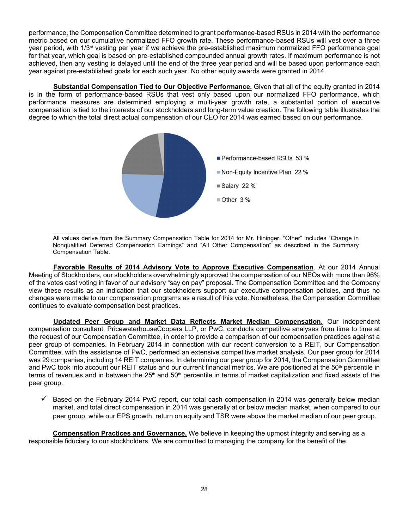performance, the Compensation Committee determined to grant performance-based RSUs in 2014 with the performance metric based on our cumulative normalized FFO growth rate. These performance-based RSUs will vest over a three year period, with 1/3rd vesting per year if we achieve the pre-established maximum normalized FFO performance goal for that year, which goal is based on pre-established compounded annual growth rates. If maximum performance is not achieved, then any vesting is delayed until the end of the three year period and will be based upon performance each year against pre-established goals for each such year. No other equity awards were granted in 2014.

**Substantial Compensation Tied to Our Objective Performance.** Given that all of the equity granted in 2014 is in the form of performance-based RSUs that vest only based upon our normalized FFO performance, which performance measures are determined employing a multi-year growth rate, a substantial portion of executive compensation is tied to the interests of our stockholders and long-term value creation. The following table illustrates the degree to which the total direct actual compensation of our CEO for 2014 was earned based on our performance.



All values derive from the Summary Compensation Table for 2014 for Mr. Hininger. "Other" includes "Change in Nonqualified Deferred Compensation Earnings" and "All Other Compensation" as described in the Summary Compensation Table.

**Favorable Results of 2014 Advisory Vote to Approve Executive Compensation**. At our 2014 Annual Meeting of Stockholders, our stockholders overwhelmingly approved the compensation of our NEOs with more than 96% of the votes cast voting in favor of our advisory "say on pay" proposal. The Compensation Committee and the Company view these results as an indication that our stockholders support our executive compensation policies, and thus no changes were made to our compensation programs as a result of this vote. Nonetheless, the Compensation Committee continues to evaluate compensation best practices.

**Updated Peer Group and Market Data Reflects Market Median Compensation.** Our independent compensation consultant, PricewaterhouseCoopers LLP, or PwC, conducts competitive analyses from time to time at the request of our Compensation Committee, in order to provide a comparison of our compensation practices against a peer group of companies. In February 2014 in connection with our recent conversion to a REIT, our Compensation Committee, with the assistance of PwC, performed an extensive competitive market analysis. Our peer group for 2014 was 29 companies, including 14 REIT companies. In determining our peer group for 2014, the Compensation Committee and PwC took into account our REIT status and our current financial metrics. We are positioned at the 50<sup>th</sup> percentile in terms of revenues and in between the 25<sup>th</sup> and 50<sup>th</sup> percentile in terms of market capitalization and fixed assets of the peer group.

 Based on the February 2014 PwC report, our total cash compensation in 2014 was generally below median market, and total direct compensation in 2014 was generally at or below median market, when compared to our peer group, while our EPS growth, return on equity and TSR were above the market median of our peer group.

**Compensation Practices and Governance.** We believe in keeping the upmost integrity and serving as a responsible fiduciary to our stockholders. We are committed to managing the company for the benefit of the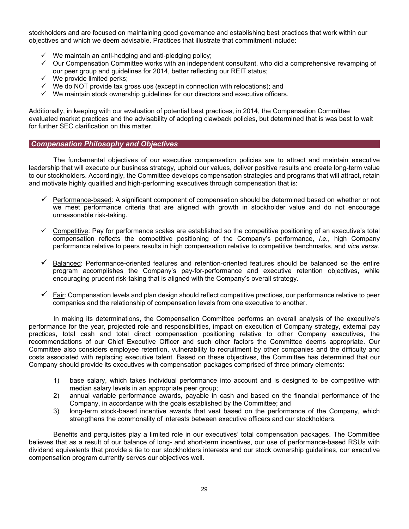stockholders and are focused on maintaining good governance and establishing best practices that work within our objectives and which we deem advisable. Practices that illustrate that commitment include:

- $\checkmark$  We maintain an anti-hedging and anti-pledging policy;
- $\checkmark$  Our Compensation Committee works with an independent consultant, who did a comprehensive revamping of our peer group and guidelines for 2014, better reflecting our REIT status;
- $\checkmark$  We provide limited perks:
- $\checkmark$  We do NOT provide tax gross ups (except in connection with relocations); and
- $\checkmark$  We maintain stock ownership guidelines for our directors and executive officers.

Additionally, in keeping with our evaluation of potential best practices, in 2014, the Compensation Committee evaluated market practices and the advisability of adopting clawback policies, but determined that is was best to wait for further SEC clarification on this matter.

### *Compensation Philosophy and Objectives*

The fundamental objectives of our executive compensation policies are to attract and maintain executive leadership that will execute our business strategy, uphold our values, deliver positive results and create long-term value to our stockholders. Accordingly, the Committee develops compensation strategies and programs that will attract, retain and motivate highly qualified and high-performing executives through compensation that is:

- $\checkmark$  Performance-based: A significant component of compensation should be determined based on whether or not we meet performance criteria that are aligned with growth in stockholder value and do not encourage unreasonable risk-taking.
- $\checkmark$  Competitive: Pay for performance scales are established so the competitive positioning of an executive's total compensation reflects the competitive positioning of the Company's performance, *i.e.*, high Company performance relative to peers results in high compensation relative to competitive benchmarks, and *vice versa.*
- $\checkmark$  Balanced: Performance-oriented features and retention-oriented features should be balanced so the entire program accomplishes the Company's pay-for-performance and executive retention objectives, while encouraging prudent risk-taking that is aligned with the Company's overall strategy.
- $\checkmark$  Fair: Compensation levels and plan design should reflect competitive practices, our performance relative to peer companies and the relationship of compensation levels from one executive to another.

In making its determinations, the Compensation Committee performs an overall analysis of the executive's performance for the year, projected role and responsibilities, impact on execution of Company strategy, external pay practices, total cash and total direct compensation positioning relative to other Company executives, the recommendations of our Chief Executive Officer and such other factors the Committee deems appropriate. Our Committee also considers employee retention, vulnerability to recruitment by other companies and the difficulty and costs associated with replacing executive talent. Based on these objectives, the Committee has determined that our Company should provide its executives with compensation packages comprised of three primary elements:

- 1) base salary, which takes individual performance into account and is designed to be competitive with median salary levels in an appropriate peer group;
- 2) annual variable performance awards, payable in cash and based on the financial performance of the Company, in accordance with the goals established by the Committee; and
- 3) long-term stock-based incentive awards that vest based on the performance of the Company, which strengthens the commonality of interests between executive officers and our stockholders.

Benefits and perquisites play a limited role in our executives' total compensation packages. The Committee believes that as a result of our balance of long- and short-term incentives, our use of performance-based RSUs with dividend equivalents that provide a tie to our stockholders interests and our stock ownership guidelines, our executive compensation program currently serves our objectives well.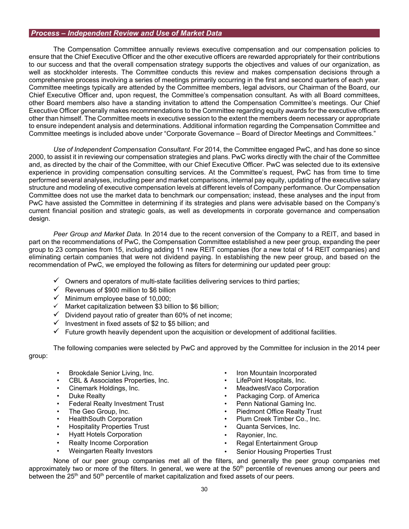### *Process – Independent Review and Use of Market Data*

The Compensation Committee annually reviews executive compensation and our compensation policies to ensure that the Chief Executive Officer and the other executive officers are rewarded appropriately for their contributions to our success and that the overall compensation strategy supports the objectives and values of our organization, as well as stockholder interests. The Committee conducts this review and makes compensation decisions through a comprehensive process involving a series of meetings primarily occurring in the first and second quarters of each year. Committee meetings typically are attended by the Committee members, legal advisors, our Chairman of the Board, our Chief Executive Officer and, upon request, the Committee's compensation consultant. As with all Board committees, other Board members also have a standing invitation to attend the Compensation Committee's meetings. Our Chief Executive Officer generally makes recommendations to the Committee regarding equity awards for the executive officers other than himself. The Committee meets in executive session to the extent the members deem necessary or appropriate to ensure independent analysis and determinations. Additional information regarding the Compensation Committee and Committee meetings is included above under "Corporate Governance – Board of Director Meetings and Committees."

*Use of Independent Compensation Consultant.* For 2014, the Committee engaged PwC, and has done so since 2000, to assist it in reviewing our compensation strategies and plans. PwC works directly with the chair of the Committee and, as directed by the chair of the Committee, with our Chief Executive Officer. PwC was selected due to its extensive experience in providing compensation consulting services. At the Committee's request, PwC has from time to time performed several analyses, including peer and market comparisons, internal pay equity, updating of the executive salary structure and modeling of executive compensation levels at different levels of Company performance. Our Compensation Committee does not use the market data to benchmark our compensation; instead, these analyses and the input from PwC have assisted the Committee in determining if its strategies and plans were advisable based on the Company's current financial position and strategic goals, as well as developments in corporate governance and compensation design.

*Peer Group and Market Data.* In 2014 due to the recent conversion of the Company to a REIT, and based in part on the recommendations of PwC, the Compensation Committee established a new peer group, expanding the peer group to 23 companies from 15, including adding 11 new REIT companies (for a new total of 14 REIT companies) and eliminating certain companies that were not dividend paying. In establishing the new peer group, and based on the recommendation of PwC, we employed the following as filters for determining our updated peer group:

- $\checkmark$  Owners and operators of multi-state facilities delivering services to third parties;
- $\checkmark$  Revenues of \$900 million to \$6 billion
- $\checkmark$  Minimum employee base of 10,000;<br> $\checkmark$  Market capitalization between \$3 bill
- Market capitalization between \$3 billion to \$6 billion;
- $\checkmark$  Dividend payout ratio of greater than 60% of net income;
- $\checkmark$  Investment in fixed assets of \$2 to \$5 billion; and
- $\checkmark$  Future growth heavily dependent upon the acquisition or development of additional facilities.

The following companies were selected by PwC and approved by the Committee for inclusion in the 2014 peer group:

- Brookdale Senior Living, Inc.
- CBL & Associates Properties, Inc.
- Cinemark Holdings, Inc.
- Duke Realty
- Federal Realty Investment Trust
- The Geo Group, Inc.
- HealthSouth Corporation
- Hospitality Properties Trust
- Hyatt Hotels Corporation
- Realty Income Corporation
- Weingarten Realty Investors
- Iron Mountain Incorporated
- LifePoint Hospitals, Inc.
- MeadwestVaco Corporation
- Packaging Corp. of America
- Penn National Gaming Inc.
- Piedmont Office Realty Trust
- Plum Creek Timber Co., Inc.
- Quanta Services, Inc.
- Rayonier, Inc.
- Regal Entertainment Group
- Senior Housing Properties Trust

None of our peer group companies met all of the filters, and generally the peer group companies met approximately two or more of the filters. In general, we were at the  $50<sup>th</sup>$  percentile of revenues among our peers and between the  $25<sup>th</sup>$  and  $50<sup>th</sup>$  percentile of market capitalization and fixed assets of our peers.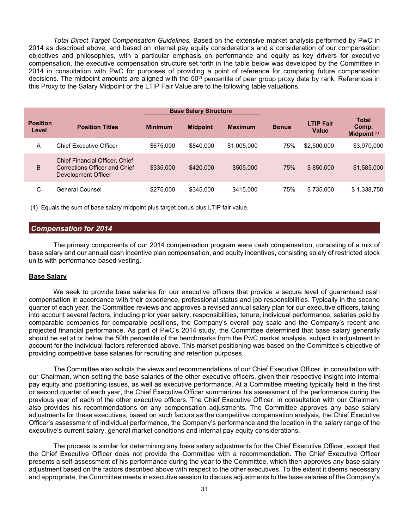*Total Direct Target Compensation Guidelines.* Based on the extensive market analysis performed by PwC in 2014 as described above, and based on internal pay equity considerations and a consideration of our compensation objectives and philosophies, with a particular emphasis on performance and equity as key drivers for executive compensation, the executive compensation structure set forth in the table below was developed by the Committee in 2014 in consultation with PwC for purposes of providing a point of reference for comparing future compensation decisions. The midpoint amounts are aligned with the  $50<sup>th</sup>$  percentile of peer group proxy data by rank. References in this Proxy to the Salary Midpoint or the LTIP Fair Value are to the following table valuations.

| <b>Base Salary Structure</b> |                                                                                               |                |                 |                |              |                           |                                              |
|------------------------------|-----------------------------------------------------------------------------------------------|----------------|-----------------|----------------|--------------|---------------------------|----------------------------------------------|
| <b>Position</b><br>Level     | <b>Position Titles</b>                                                                        | <b>Minimum</b> | <b>Midpoint</b> | <b>Maximum</b> | <b>Bonus</b> | <b>LTIP Fair</b><br>Value | <b>Total</b><br>Comp.<br><b>Midpoint (1)</b> |
| A                            | Chief Executive Officer                                                                       | \$675,000      | \$840,000       | \$1,005,000    | 75%          | \$2,500,000               | \$3,970,000                                  |
| B                            | <b>Chief Financial Officer, Chief</b><br>Corrections Officer and Chief<br>Development Officer | \$335,000      | \$420,000       | \$505,000      | 75%          | \$850,000                 | \$1,585,000                                  |
| C                            | General Counsel                                                                               | \$275,000      | \$345,000       | \$415,000      | 75%          | \$735,000                 | \$1,338,750                                  |

(1) Equals the sum of base salary midpoint plus target bonus plus LTIP fair value.

### *Compensation for 2014*

The primary components of our 2014 compensation program were cash compensation, consisting of a mix of base salary and our annual cash incentive plan compensation, and equity incentives, consisting solely of restricted stock units with performance-based vesting.

### **Base Salary**

We seek to provide base salaries for our executive officers that provide a secure level of guaranteed cash compensation in accordance with their experience, professional status and job responsibilities. Typically in the second quarter of each year, the Committee reviews and approves a revised annual salary plan for our executive officers, taking into account several factors, including prior year salary, responsibilities, tenure, individual performance, salaries paid by comparable companies for comparable positions, the Company's overall pay scale and the Company's recent and projected financial performance. As part of PwC's 2014 study, the Committee determined that base salary generally should be set at or below the 50th percentile of the benchmarks from the PwC market analysis, subject to adjustment to account for the individual factors referenced above. This market positioning was based on the Committee's objective of providing competitive base salaries for recruiting and retention purposes.

The Committee also solicits the views and recommendations of our Chief Executive Officer, in consultation with our Chairman, when setting the base salaries of the other executive officers, given their respective insight into internal pay equity and positioning issues, as well as executive performance. At a Committee meeting typically held in the first or second quarter of each year, the Chief Executive Officer summarizes his assessment of the performance during the previous year of each of the other executive officers. The Chief Executive Officer, in consultation with our Chairman, also provides his recommendations on any compensation adjustments. The Committee approves any base salary adjustments for these executives, based on such factors as the competitive compensation analysis, the Chief Executive Officer's assessment of individual performance, the Company's performance and the location in the salary range of the executive's current salary, general market conditions and internal pay equity considerations.

The process is similar for determining any base salary adjustments for the Chief Executive Officer, except that the Chief Executive Officer does not provide the Committee with a recommendation. The Chief Executive Officer presents a self-assessment of his performance during the year to the Committee, which then approves any base salary adjustment based on the factors described above with respect to the other executives. To the extent it deems necessary and appropriate, the Committee meets in executive session to discuss adjustments to the base salaries of the Company's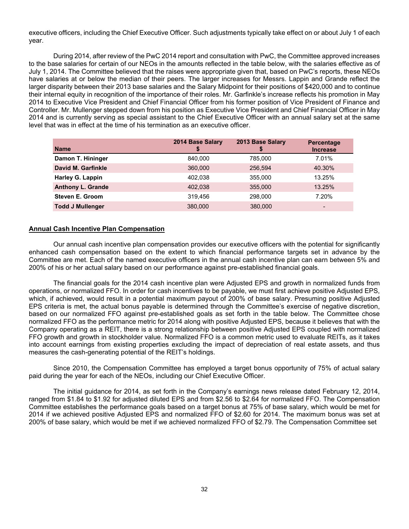executive officers, including the Chief Executive Officer. Such adjustments typically take effect on or about July 1 of each year.

During 2014, after review of the PwC 2014 report and consultation with PwC, the Committee approved increases to the base salaries for certain of our NEOs in the amounts reflected in the table below, with the salaries effective as of July 1, 2014. The Committee believed that the raises were appropriate given that, based on PwC's reports, these NEOs have salaries at or below the median of their peers. The larger increases for Messrs. Lappin and Grande reflect the larger disparity between their 2013 base salaries and the Salary Midpoint for their positions of \$420,000 and to continue their internal equity in recognition of the importance of their roles. Mr. Garfinkle's increase reflects his promotion in May 2014 to Executive Vice President and Chief Financial Officer from his former position of Vice President of Finance and Controller. Mr. Mullenger stepped down from his position as Executive Vice President and Chief Financial Officer in May 2014 and is currently serving as special assistant to the Chief Executive Officer with an annual salary set at the same level that was in effect at the time of his termination as an executive officer.

|                          | 2014 Base Salary | 2013 Base Salary | <b>Percentage</b>        |
|--------------------------|------------------|------------------|--------------------------|
| <b>Name</b>              |                  |                  | <b>Increase</b>          |
| Damon T. Hininger        | 840,000          | 785,000          | 7.01%                    |
| David M. Garfinkle       | 360,000          | 256.594          | 40.30%                   |
| <b>Harley G. Lappin</b>  | 402,038          | 355,000          | 13.25%                   |
| <b>Anthony L. Grande</b> | 402,038          | 355,000          | 13.25%                   |
| <b>Steven E. Groom</b>   | 319.456          | 298,000          | 7.20%                    |
| <b>Todd J Mullenger</b>  | 380,000          | 380,000          | $\overline{\phantom{0}}$ |

### **Annual Cash Incentive Plan Compensation**

Our annual cash incentive plan compensation provides our executive officers with the potential for significantly enhanced cash compensation based on the extent to which financial performance targets set in advance by the Committee are met. Each of the named executive officers in the annual cash incentive plan can earn between 5% and 200% of his or her actual salary based on our performance against pre-established financial goals.

The financial goals for the 2014 cash incentive plan were Adjusted EPS and growth in normalized funds from operations, or normalized FFO. In order for cash incentives to be payable, we must first achieve positive Adjusted EPS, which, if achieved, would result in a potential maximum payout of 200% of base salary. Presuming positive Adjusted EPS criteria is met, the actual bonus payable is determined through the Committee's exercise of negative discretion, based on our normalized FFO against pre-established goals as set forth in the table below. The Committee chose normalized FFO as the performance metric for 2014 along with positive Adjusted EPS, because it believes that with the Company operating as a REIT, there is a strong relationship between positive Adjusted EPS coupled with normalized FFO growth and growth in stockholder value. Normalized FFO is a common metric used to evaluate REITs, as it takes into account earnings from existing properties excluding the impact of depreciation of real estate assets, and thus measures the cash-generating potential of the REIT's holdings.

Since 2010, the Compensation Committee has employed a target bonus opportunity of 75% of actual salary paid during the year for each of the NEOs, including our Chief Executive Officer.

The initial guidance for 2014, as set forth in the Company's earnings news release dated February 12, 2014, ranged from \$1.84 to \$1.92 for adjusted diluted EPS and from \$2.56 to \$2.64 for normalized FFO. The Compensation Committee establishes the performance goals based on a target bonus at 75% of base salary, which would be met for 2014 if we achieved positive Adjusted EPS and normalized FFO of \$2.60 for 2014. The maximum bonus was set at 200% of base salary, which would be met if we achieved normalized FFO of \$2.79. The Compensation Committee set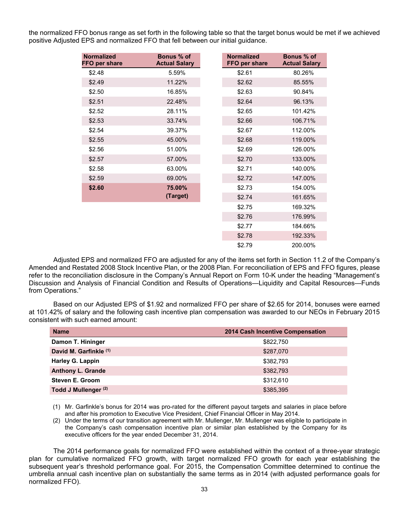the normalized FFO bonus range as set forth in the following table so that the target bonus would be met if we achieved positive Adjusted EPS and normalized FFO that fell between our initial guidance.

| <b>Normalized</b><br>FFO per share | Bonus % of<br><b>Actual Salary</b> | <b>Normalized</b><br>FFO per share | Bonus % of<br><b>Actual Salary</b> |
|------------------------------------|------------------------------------|------------------------------------|------------------------------------|
| \$2.48                             | 5.59%                              | \$2.61                             | 80.26%                             |
| \$2.49                             | 11.22%                             | \$2.62                             | 85.55%                             |
| \$2.50                             | 16.85%                             | \$2.63                             | 90.84%                             |
| \$2.51                             | 22.48%                             | \$2.64                             | 96.13%                             |
| \$2.52                             | 28.11%                             | \$2.65                             | 101.42%                            |
| \$2.53                             | 33.74%                             | \$2.66                             | 106.71%                            |
| \$2.54                             | 39.37%                             | \$2.67                             | 112.00%                            |
| \$2.55                             | 45.00%                             | \$2.68                             | 119.00%                            |
| \$2.56                             | 51.00%                             | \$2.69                             | 126.00%                            |
| \$2.57                             | 57.00%                             | \$2.70                             | 133.00%                            |
| \$2.58                             | 63.00%                             | \$2.71                             | 140.00%                            |
| \$2.59                             | 69.00%                             | \$2.72                             | 147.00%                            |
| \$2.60                             | 75.00%                             | \$2.73                             | 154.00%                            |
|                                    | (Target)                           | \$2.74                             | 161.65%                            |
|                                    |                                    | \$2.75                             | 169.32%                            |
|                                    |                                    | \$2.76                             | 176.99%                            |
|                                    |                                    | \$2.77                             | 184.66%                            |
|                                    |                                    | \$2.78                             | 192.33%                            |
|                                    |                                    | \$2.79                             | 200.00%                            |

Adjusted EPS and normalized FFO are adjusted for any of the items set forth in Section 11.2 of the Company's Amended and Restated 2008 Stock Incentive Plan, or the 2008 Plan. For reconciliation of EPS and FFO figures, please refer to the reconciliation disclosure in the Company's Annual Report on Form 10-K under the heading "Management's Discussion and Analysis of Financial Condition and Results of Operations—Liquidity and Capital Resources—Funds from Operations."

Based on our Adjusted EPS of \$1.92 and normalized FFO per share of \$2.65 for 2014, bonuses were earned at 101.42% of salary and the following cash incentive plan compensation was awarded to our NEOs in February 2015 consistent with such earned amount:

| <b>Name</b>                     | 2014 Cash Incentive Compensation |
|---------------------------------|----------------------------------|
| Damon T. Hininger               | \$822,750                        |
| David M. Garfinkle (1)          | \$287,070                        |
| <b>Harley G. Lappin</b>         | \$382,793                        |
| <b>Anthony L. Grande</b>        | \$382,793                        |
| Steven E. Groom                 | \$312,610                        |
| Todd J Mullenger <sup>(2)</sup> | \$385,395                        |

(1) Mr. Garfinkle's bonus for 2014 was pro-rated for the different payout targets and salaries in place before and after his promotion to Executive Vice President, Chief Financial Officer in May 2014.

(2) Under the terms of our transition agreement with Mr. Mullenger, Mr. Mullenger was eligible to participate in the Company's cash compensation incentive plan or similar plan established by the Company for its executive officers for the year ended December 31, 2014.

[ The 2014 performance goals for normalized FFO were established within the context of a three-year strategic plan for cumulative normalized FFO growth, with target normalized FFO growth for each year establishing the subsequent year's threshold performance goal. For 2015, the Compensation Committee determined to continue the umbrella annual cash incentive plan on substantially the same terms as in 2014 (with adjusted performance goals for normalized FFO).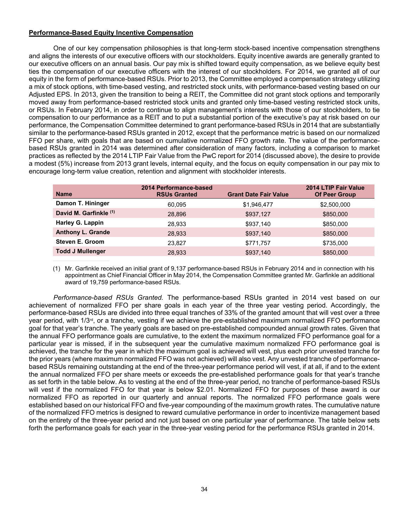## **Performance-Based Equity Incentive Compensation**

One of our key compensation philosophies is that long-term stock-based incentive compensation strengthens and aligns the interests of our executive officers with our stockholders. Equity incentive awards are generally granted to our executive officers on an annual basis. Our pay mix is shifted toward equity compensation, as we believe equity best ties the compensation of our executive officers with the interest of our stockholders. For 2014, we granted all of our equity in the form of performance-based RSUs. Prior to 2013, the Committee employed a compensation strategy utilizing a mix of stock options, with time-based vesting, and restricted stock units, with performance-based vesting based on our Adjusted EPS. In 2013, given the transition to being a REIT, the Committee did not grant stock options and temporarily moved away from performance-based restricted stock units and granted only time-based vesting restricted stock units, or RSUs. In February 2014, in order to continue to align management's interests with those of our stockholders, to tie compensation to our performance as a REIT and to put a substantial portion of the executive's pay at risk based on our performance, the Compensation Committee determined to grant performance-based RSUs in 2014 that are substantially similar to the performance-based RSUs granted in 2012, except that the performance metric is based on our normalized FFO per share, with goals that are based on cumulative normalized FFO growth rate. The value of the performancebased RSUs granted in 2014 was determined after consideration of many factors, including a comparison to market practices as reflected by the 2014 LTIP Fair Value from the PwC report for 2014 (discussed above), the desire to provide a modest (5%) increase from 2013 grant levels, internal equity, and the focus on equity compensation in our pay mix to encourage long-term value creation, retention and alignment with stockholder interests.

| <b>Name</b>              | 2014 Performance-based<br><b>RSUs Granted</b> | <b>Grant Date Fair Value</b> | 2014 LTIP Fair Value<br><b>Of Peer Group</b> |
|--------------------------|-----------------------------------------------|------------------------------|----------------------------------------------|
| Damon T. Hininger        | 60.095                                        | \$1,946,477                  | \$2,500,000                                  |
| David M. Garfinkle (1)   | 28.896                                        | \$937,127                    | \$850,000                                    |
| <b>Harley G. Lappin</b>  | 28.933                                        | \$937,140                    | \$850,000                                    |
| <b>Anthony L. Grande</b> | 28,933                                        | \$937,140                    | \$850,000                                    |
| <b>Steven E. Groom</b>   | 23,827                                        | \$771,757                    | \$735,000                                    |
| <b>Todd J Mullenger</b>  | 28,933                                        | \$937,140                    | \$850,000                                    |
|                          |                                               |                              |                                              |

(1) Mr. Garfinkle received an initial grant of 9,137 performance-based RSUs in February 2014 and in connection with his appointment as Chief Financial Officer in May 2014, the Compensation Committee granted Mr. Garfinkle an additional award of 19,759 performance-based RSUs.

*Performance-based RSUs Granted.* The performance-based RSUs granted in 2014 vest based on our achievement of normalized FFO per share goals in each year of the three year vesting period. Accordingly, the performance-based RSUs are divided into three equal tranches of 33% of the granted amount that will vest over a three year period, with 1/3rd, or a tranche, vesting if we achieve the pre-established maximum normalized FFO performance goal for that year's tranche. The yearly goals are based on pre-established compounded annual growth rates. Given that the annual FFO performance goals are cumulative, to the extent the maximum normalized FFO performance goal for a particular year is missed, if in the subsequent year the cumulative maximum normalized FFO performance goal is achieved, the tranche for the year in which the maximum goal is achieved will vest, plus each prior unvested tranche for the prior years (where maximum normalized FFO was not achieved) will also vest. Any unvested tranche of performancebased RSUs remaining outstanding at the end of the three-year performance period will vest, if at all, if and to the extent the annual normalized FFO per share meets or exceeds the pre-established performance goals for that year's tranche as set forth in the table below. As to vesting at the end of the three-year period, no tranche of performance-based RSUs will vest if the normalized FFO for that year is below \$2.01. Normalized FFO for purposes of these award is our normalized FFO as reported in our quarterly and annual reports. The normalized FFO performance goals were established based on our historical FFO and five-year compounding of the maximum growth rates. The cumulative nature of the normalized FFO metrics is designed to reward cumulative performance in order to incentivize management based on the entirety of the three-year period and not just based on one particular year of performance. The table below sets forth the performance goals for each year in the three-year vesting period for the performance RSUs granted in 2014.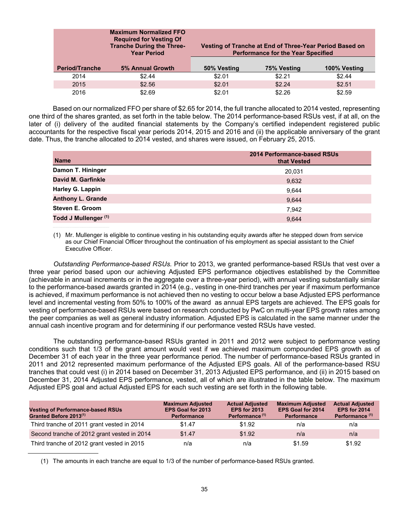|                       | <b>Maximum Normalized FFO</b><br><b>Required for Vesting Of</b><br><b>Tranche During the Three-</b><br><b>Year Period</b> | Vesting of Tranche at End of Three-Year Period Based on<br><b>Performance for the Year Specified</b> |             |              |  |  |
|-----------------------|---------------------------------------------------------------------------------------------------------------------------|------------------------------------------------------------------------------------------------------|-------------|--------------|--|--|
| <b>Period/Tranche</b> | 5% Annual Growth                                                                                                          | 50% Vesting                                                                                          | 75% Vesting | 100% Vesting |  |  |
| 2014                  | \$2.44                                                                                                                    | \$2.01                                                                                               | \$2.21      | \$2.44       |  |  |
| 2015                  | \$2.56                                                                                                                    | \$2.01                                                                                               | \$2.24      | \$2.51       |  |  |
| 2016                  | \$2.69                                                                                                                    | \$2.01                                                                                               | \$2.26      | \$2.59       |  |  |

 Based on our normalized FFO per share of \$2.65 for 2014, the full tranche allocated to 2014 vested, representing one third of the shares granted, as set forth in the table below. The 2014 performance-based RSUs vest, if at all, on the later of (i) delivery of the audited financial statements by the Company's certified independent registered public accountants for the respective fiscal year periods 2014, 2015 and 2016 and (ii) the applicable anniversary of the grant date. Thus, the tranche allocated to 2014 vested, and shares were issued, on February 25, 2015.

| <b>Name</b>              | <b>2014 Performance-based RSUs</b><br>that Vested |
|--------------------------|---------------------------------------------------|
| Damon T. Hininger        | 20,031                                            |
| David M. Garfinkle       | 9,632                                             |
| Harley G. Lappin         | 9,644                                             |
| <b>Anthony L. Grande</b> | 9,644                                             |
| <b>Steven E. Groom</b>   | 7,942                                             |
| Todd J Mullenger (1)     | 9,644                                             |

(1) Mr. Mullenger is eligible to continue vesting in his outstanding equity awards after he stepped down from service as our Chief Financial Officer throughout the continuation of his employment as special assistant to the Chief Executive Officer.

*Outstanding Performance-based RSUs.* Prior to 2013, we granted performance-based RSUs that vest over a three year period based upon our achieving Adjusted EPS performance objectives established by the Committee (achievable in annual increments or in the aggregate over a three-year period), with annual vesting substantially similar to the performance-based awards granted in 2014 (e.g., vesting in one-third tranches per year if maximum performance is achieved, if maximum performance is not achieved then no vesting to occur below a base Adjusted EPS performance level and incremental vesting from 50% to 100% of the award as annual EPS targets are achieved. The EPS goals for vesting of performance-based RSUs were based on research conducted by PwC on multi-year EPS growth rates among the peer companies as well as general industry information. Adjusted EPS is calculated in the same manner under the annual cash incentive program and for determining if our performance vested RSUs have vested.

The outstanding performance-based RSUs granted in 2011 and 2012 were subject to performance vesting conditions such that 1/3 of the grant amount would vest if we achieved maximum compounded EPS growth as of December 31 of each year in the three year performance period. The number of performance-based RSUs granted in 2011 and 2012 represented maximum performance of the Adjusted EPS goals. All of the performance-based RSU tranches that could vest (i) in 2014 based on December 31, 2013 Adjusted EPS performance, and (ii) in 2015 based on December 31, 2014 Adjusted EPS performance, vested, all of which are illustrated in the table below. The maximum Adjusted EPS goal and actual Adjusted EPS for each such vesting are set forth in the following table.

| <b>Vesting of Performance-based RSUs</b><br>Granted Before 2013 <sup>(1)</sup> | <b>Maximum Adjusted</b><br><b>EPS Goal for 2013</b><br><b>Performance</b> | <b>Actual Adjusted</b><br><b>EPS for 2013</b><br>Performance <sup>(1)</sup> | <b>Maximum Adjusted</b><br><b>EPS Goal for 2014</b><br><b>Performance</b> | <b>Actual Adjusted</b><br><b>EPS for 2014</b><br>Performance <sup>(1)</sup> |
|--------------------------------------------------------------------------------|---------------------------------------------------------------------------|-----------------------------------------------------------------------------|---------------------------------------------------------------------------|-----------------------------------------------------------------------------|
| Third tranche of 2011 grant vested in 2014                                     | \$1.47                                                                    | \$1.92                                                                      | n/a                                                                       | n/a                                                                         |
| Second tranche of 2012 grant vested in 2014                                    | \$1.47                                                                    | \$1.92                                                                      | n/a                                                                       | n/a                                                                         |
| Third tranche of 2012 grant vested in 2015                                     | n/a                                                                       | n/a                                                                         | \$1.59                                                                    | \$1.92                                                                      |

(1) The amounts in each tranche are equal to 1/3 of the number of performance-based RSUs granted.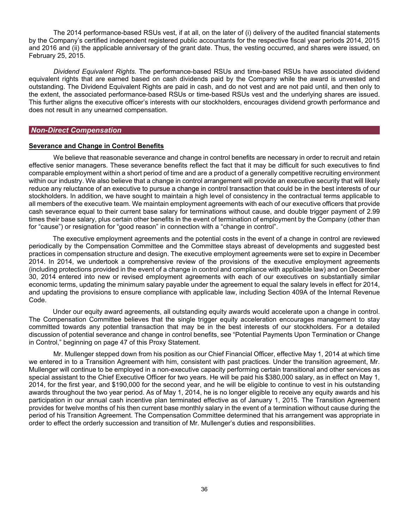The 2014 performance-based RSUs vest, if at all, on the later of (i) delivery of the audited financial statements by the Company's certified independent registered public accountants for the respective fiscal year periods 2014, 2015 and 2016 and (ii) the applicable anniversary of the grant date. Thus, the vesting occurred, and shares were issued, on February 25, 2015.

*Dividend Equivalent Rights.* The performance-based RSUs and time-based RSUs have associated dividend equivalent rights that are earned based on cash dividends paid by the Company while the award is unvested and outstanding. The Dividend Equivalent Rights are paid in cash, and do not vest and are not paid until, and then only to the extent, the associated performance-based RSUs or time-based RSUs vest and the underlying shares are issued. This further aligns the executive officer's interests with our stockholders, encourages dividend growth performance and does not result in any unearned compensation.

### *Non-Direct Compensation*

### **Severance and Change in Control Benefits**

We believe that reasonable severance and change in control benefits are necessary in order to recruit and retain effective senior managers. These severance benefits reflect the fact that it may be difficult for such executives to find comparable employment within a short period of time and are a product of a generally competitive recruiting environment within our industry. We also believe that a change in control arrangement will provide an executive security that will likely reduce any reluctance of an executive to pursue a change in control transaction that could be in the best interests of our stockholders. In addition, we have sought to maintain a high level of consistency in the contractual terms applicable to all members of the executive team. We maintain employment agreements with each of our executive officers that provide cash severance equal to their current base salary for terminations without cause, and double trigger payment of 2.99 times their base salary, plus certain other benefits in the event of termination of employment by the Company (other than for "cause") or resignation for "good reason" in connection with a "change in control".

The executive employment agreements and the potential costs in the event of a change in control are reviewed periodically by the Compensation Committee and the Committee stays abreast of developments and suggested best practices in compensation structure and design. The executive employment agreements were set to expire in December 2014. In 2014, we undertook a comprehensive review of the provisions of the executive employment agreements (including protections provided in the event of a change in control and compliance with applicable law) and on December 30, 2014 entered into new or revised employment agreements with each of our executives on substantially similar economic terms, updating the minimum salary payable under the agreement to equal the salary levels in effect for 2014, and updating the provisions to ensure compliance with applicable law, including Section 409A of the Internal Revenue Code.

Under our equity award agreements, all outstanding equity awards would accelerate upon a change in control. The Compensation Committee believes that the single trigger equity acceleration encourages management to stay committed towards any potential transaction that may be in the best interests of our stockholders. For a detailed discussion of potential severance and change in control benefits, see "Potential Payments Upon Termination or Change in Control," beginning on page 47 of this Proxy Statement.

Mr. Mullenger stepped down from his position as our Chief Financial Officer, effective May 1, 2014 at which time we entered in to a Transition Agreement with him, consistent with past practices. Under the transition agreement, Mr. Mullenger will continue to be employed in a non-executive capacity performing certain transitional and other services as special assistant to the Chief Executive Officer for two years. He will be paid his \$380,000 salary, as in effect on May 1, 2014, for the first year, and \$190,000 for the second year, and he will be eligible to continue to vest in his outstanding awards throughout the two year period. As of May 1, 2014, he is no longer eligible to receive any equity awards and his participation in our annual cash incentive plan terminated effective as of January 1, 2015. The Transition Agreement provides for twelve months of his then current base monthly salary in the event of a termination without cause during the period of his Transition Agreement. The Compensation Committee determined that his arrangement was appropriate in order to effect the orderly succession and transition of Mr. Mullenger's duties and responsibilities.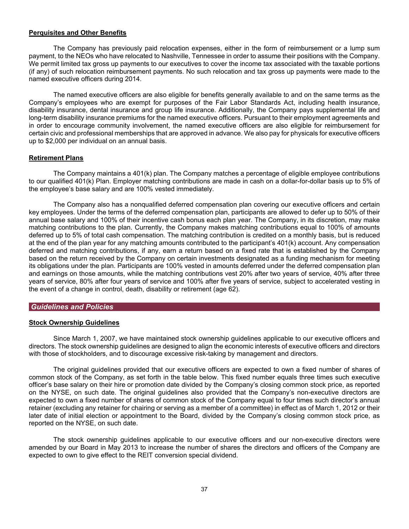### **Perquisites and Other Benefits**

The Company has previously paid relocation expenses, either in the form of reimbursement or a lump sum payment, to the NEOs who have relocated to Nashville, Tennessee in order to assume their positions with the Company. We permit limited tax gross up payments to our executives to cover the income tax associated with the taxable portions (if any) of such relocation reimbursement payments. No such relocation and tax gross up payments were made to the named executive officers during 2014.

The named executive officers are also eligible for benefits generally available to and on the same terms as the Company's employees who are exempt for purposes of the Fair Labor Standards Act, including health insurance, disability insurance, dental insurance and group life insurance. Additionally, the Company pays supplemental life and long-term disability insurance premiums for the named executive officers. Pursuant to their employment agreements and in order to encourage community involvement, the named executive officers are also eligible for reimbursement for certain civic and professional memberships that are approved in advance. We also pay for physicals for executive officers up to \$2,000 per individual on an annual basis.

### **Retirement Plans**

The Company maintains a 401(k) plan. The Company matches a percentage of eligible employee contributions to our qualified 401(k) Plan. Employer matching contributions are made in cash on a dollar-for-dollar basis up to 5% of the employee's base salary and are 100% vested immediately.

The Company also has a nonqualified deferred compensation plan covering our executive officers and certain key employees. Under the terms of the deferred compensation plan, participants are allowed to defer up to 50% of their annual base salary and 100% of their incentive cash bonus each plan year. The Company, in its discretion, may make matching contributions to the plan. Currently, the Company makes matching contributions equal to 100% of amounts deferred up to 5% of total cash compensation. The matching contribution is credited on a monthly basis, but is reduced at the end of the plan year for any matching amounts contributed to the participant's 401(k) account. Any compensation deferred and matching contributions, if any, earn a return based on a fixed rate that is established by the Company based on the return received by the Company on certain investments designated as a funding mechanism for meeting its obligations under the plan. Participants are 100% vested in amounts deferred under the deferred compensation plan and earnings on those amounts, while the matching contributions vest 20% after two years of service, 40% after three years of service, 80% after four years of service and 100% after five years of service, subject to accelerated vesting in the event of a change in control, death, disability or retirement (age 62).

## *Guidelines and Policies*

### **Stock Ownership Guidelines**

Since March 1, 2007, we have maintained stock ownership guidelines applicable to our executive officers and directors. The stock ownership guidelines are designed to align the economic interests of executive officers and directors with those of stockholders, and to discourage excessive risk-taking by management and directors.

The original guidelines provided that our executive officers are expected to own a fixed number of shares of common stock of the Company, as set forth in the table below. This fixed number equals three times such executive officer's base salary on their hire or promotion date divided by the Company's closing common stock price, as reported on the NYSE, on such date. The original guidelines also provided that the Company's non-executive directors are expected to own a fixed number of shares of common stock of the Company equal to four times such director's annual retainer (excluding any retainer for chairing or serving as a member of a committee) in effect as of March 1, 2012 or their later date of initial election or appointment to the Board, divided by the Company's closing common stock price, as reported on the NYSE, on such date.

The stock ownership guidelines applicable to our executive officers and our non-executive directors were amended by our Board in May 2013 to increase the number of shares the directors and officers of the Company are expected to own to give effect to the REIT conversion special dividend.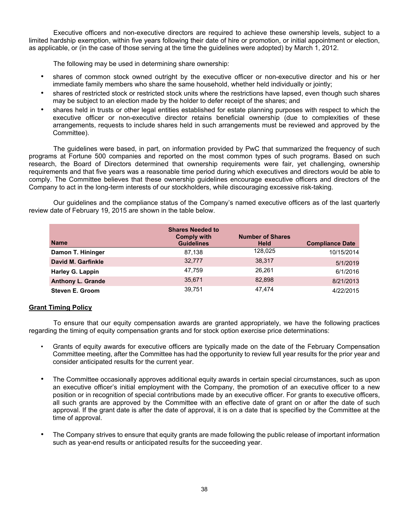Executive officers and non-executive directors are required to achieve these ownership levels, subject to a limited hardship exemption, within five years following their date of hire or promotion, or initial appointment or election, as applicable, or (in the case of those serving at the time the guidelines were adopted) by March 1, 2012.

The following may be used in determining share ownership:

- shares of common stock owned outright by the executive officer or non-executive director and his or her immediate family members who share the same household, whether held individually or jointly;
- shares of restricted stock or restricted stock units where the restrictions have lapsed, even though such shares may be subject to an election made by the holder to defer receipt of the shares; and
- shares held in trusts or other legal entities established for estate planning purposes with respect to which the executive officer or non-executive director retains beneficial ownership (due to complexities of these arrangements, requests to include shares held in such arrangements must be reviewed and approved by the Committee).

The guidelines were based, in part, on information provided by PwC that summarized the frequency of such programs at Fortune 500 companies and reported on the most common types of such programs. Based on such research, the Board of Directors determined that ownership requirements were fair, yet challenging, ownership requirements and that five years was a reasonable time period during which executives and directors would be able to comply. The Committee believes that these ownership guidelines encourage executive officers and directors of the Company to act in the long-term interests of our stockholders, while discouraging excessive risk-taking.

Our guidelines and the compliance status of the Company's named executive officers as of the last quarterly review date of February 19, 2015 are shown in the table below.

| <b>Name</b>              | <b>Shares Needed to</b><br><b>Comply with</b><br><b>Guidelines</b> | <b>Number of Shares</b><br><b>Held</b> | <b>Compliance Date</b> |
|--------------------------|--------------------------------------------------------------------|----------------------------------------|------------------------|
| Damon T. Hininger        | 87.138                                                             | 128,025                                | 10/15/2014             |
| David M. Garfinkle       | 32.777                                                             | 38.317                                 | 5/1/2019               |
| <b>Harley G. Lappin</b>  | 47,759                                                             | 26.261                                 | 6/1/2016               |
| <b>Anthony L. Grande</b> | 35,671                                                             | 82.898                                 | 8/21/2013              |
| <b>Steven E. Groom</b>   | 39,751                                                             | 47,474                                 | 4/22/2015              |

### **Grant Timing Policy**

To ensure that our equity compensation awards are granted appropriately, we have the following practices regarding the timing of equity compensation grants and for stock option exercise price determinations:

- Grants of equity awards for executive officers are typically made on the date of the February Compensation Committee meeting, after the Committee has had the opportunity to review full year results for the prior year and consider anticipated results for the current year.
- The Committee occasionally approves additional equity awards in certain special circumstances, such as upon an executive officer's initial employment with the Company, the promotion of an executive officer to a new position or in recognition of special contributions made by an executive officer. For grants to executive officers, all such grants are approved by the Committee with an effective date of grant on or after the date of such approval. If the grant date is after the date of approval, it is on a date that is specified by the Committee at the time of approval.
- The Company strives to ensure that equity grants are made following the public release of important information such as year-end results or anticipated results for the succeeding year.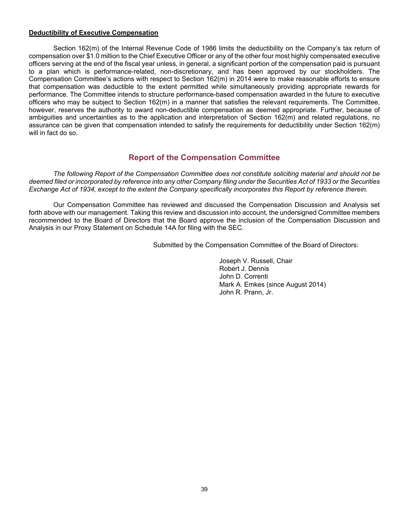### **Deductibility of Executive Compensation**

Section 162(m) of the Internal Revenue Code of 1986 limits the deductibility on the Company's tax return of compensation over \$1.0 million to the Chief Executive Officer or any of the other four most highly compensated executive officers serving at the end of the fiscal year unless, in general, a significant portion of the compensation paid is pursuant to a plan which is performance-related, non-discretionary, and has been approved by our stockholders. The Compensation Committee's actions with respect to Section 162(m) in 2014 were to make reasonable efforts to ensure that compensation was deductible to the extent permitted while simultaneously providing appropriate rewards for performance. The Committee intends to structure performance-based compensation awarded in the future to executive officers who may be subject to Section 162(m) in a manner that satisfies the relevant requirements. The Committee, however, reserves the authority to award non-deductible compensation as deemed appropriate. Further, because of ambiguities and uncertainties as to the application and interpretation of Section 162(m) and related regulations, no assurance can be given that compensation intended to satisfy the requirements for deductibility under Section 162(m) will in fact do so.

# **Report of the Compensation Committee**

*The following Report of the Compensation Committee does not constitute soliciting material and should not be deemed filed or incorporated by reference into any other Company filing under the Securities Act of 1933 or the Securities Exchange Act of 1934, except to the extent the Company specifically incorporates this Report by reference therein.* 

Our Compensation Committee has reviewed and discussed the Compensation Discussion and Analysis set forth above with our management. Taking this review and discussion into account, the undersigned Committee members recommended to the Board of Directors that the Board approve the inclusion of the Compensation Discussion and Analysis in our Proxy Statement on Schedule 14A for filing with the SEC.

Submitted by the Compensation Committee of the Board of Directors:

 Joseph V. Russell, Chair Robert J. Dennis<br>John D. Correnti Mark A. Emkes (since August 2014)<br>John R. Prann, Jr.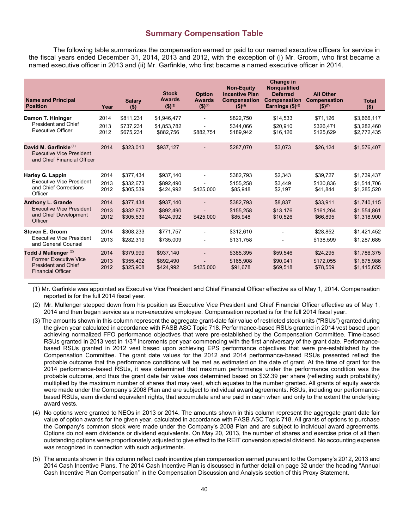# **Summary Compensation Table**

The following table summarizes the compensation earned or paid to our named executive officers for service in the fiscal years ended December 31, 2014, 2013 and 2012, with the exception of (i) Mr. Groom, who first became a named executive officer in 2013 and (ii) Mr. Garfinkle, who first became a named executive officer in 2014.

| <b>Name and Principal</b><br><b>Position</b>                                                                              | Year                 | <b>Salary</b><br>$($ \$)            | <b>Stock</b><br><b>Awards</b><br>$(5)^{(3)}$ | <b>Option</b><br><b>Awards</b><br>$($ \$) <sup>(4)</sup> | <b>Non-Equity</b><br><b>Incentive Plan</b><br><b>Compensation</b><br>$(5)^{(5)}$ | Change in<br><b>Nongualified</b><br><b>Deferred</b><br><b>Compensation</b><br>Earnings $$)^{(6)}$ | <b>All Other</b><br><b>Compensation</b><br>$(5)^{(7)}$ | <b>Total</b><br>( \$)                     |
|---------------------------------------------------------------------------------------------------------------------------|----------------------|-------------------------------------|----------------------------------------------|----------------------------------------------------------|----------------------------------------------------------------------------------|---------------------------------------------------------------------------------------------------|--------------------------------------------------------|-------------------------------------------|
| Damon T. Hininger<br><b>President and Chief</b><br><b>Executive Officer</b>                                               | 2014<br>2013<br>2012 | \$811,231<br>\$737,231<br>\$675.231 | \$1,946,477<br>\$1.853.782<br>\$882.756      | \$882,751                                                | \$822,750<br>\$344.066<br>\$189,942                                              | \$14,533<br>\$20.910<br>\$16,126                                                                  | \$71,126<br>\$326.471<br>\$125,629                     | \$3,666,117<br>\$3.282.460<br>\$2,772,435 |
| David M. Garfinkle <sup>(1)</sup><br>Executive Vice President<br>and Chief Financial Officer                              | 2014                 | \$323,013                           | \$937,127                                    |                                                          | \$287,070                                                                        | \$3,073                                                                                           | \$26,124                                               | \$1,576,407                               |
| Harley G. Lappin<br><b>Executive Vice President</b><br>and Chief Corrections<br>Officer                                   | 2014<br>2013<br>2012 | \$377,434<br>\$332.673<br>\$305,539 | \$937,140<br>\$892.490<br>\$424,992          | \$425,000                                                | \$382,793<br>\$155.258<br>\$85,948                                               | \$2,343<br>\$3.449<br>\$2,197                                                                     | \$39,727<br>\$130.836<br>\$41,844                      | \$1,739,437<br>\$1.514.706<br>\$1,285,520 |
| <b>Anthony L. Grande</b><br><b>Executive Vice President</b><br>and Chief Development<br>Officer                           | 2014<br>2013<br>2012 | \$377.434<br>\$332.673<br>\$305,539 | \$937,140<br>\$892.490<br>\$424,992          | \$425,000                                                | \$382,793<br>\$155,258<br>\$85,948                                               | \$8,837<br>\$13.176<br>\$10,526                                                                   | \$33,911<br>\$161.264<br>\$66,895                      | \$1,740,115<br>\$1,554,861<br>\$1,318,900 |
| <b>Steven E. Groom</b><br><b>Executive Vice President</b><br>and General Counsel                                          | 2014<br>2013         | \$308,233<br>\$282,319              | \$771.757<br>\$735,009                       |                                                          | \$312,610<br>\$131,758                                                           |                                                                                                   | \$28,852<br>\$138,599                                  | \$1,421,452<br>\$1,287,685                |
| Todd J Mullenger <sup>(2)</sup><br><b>Former Executive Vice</b><br><b>President and Chief</b><br><b>Financial Officer</b> | 2014<br>2013<br>2012 | \$379,999<br>\$355,492<br>\$325,908 | \$937,140<br>\$892,490<br>\$424.992          | \$425,000                                                | \$385,395<br>\$165,908<br>\$91,678                                               | \$59,546<br>\$90,041<br>\$69,518                                                                  | \$24,295<br>\$172,055<br>\$78,559                      | \$1,786,375<br>\$1,675,986<br>\$1,415,655 |

(1) Mr. Garfinkle was appointed as Executive Vice President and Chief Financial Officer effective as of May 1, 2014. Compensation reported is for the full 2014 fiscal year.

- (2) Mr. Mullenger stepped down from his position as Executive Vice President and Chief Financial Officer effective as of May 1, 2014 and then began service as a non-executive employee. Compensation reported is for the full 2014 fiscal year.
- (3) The amounts shown in this column represent the aggregate grant-date fair value of restricted stock units ("RSUs") granted during the given year calculated in accordance with FASB ASC Topic 718. Performance-based RSUs granted in 2014 vest based upon achieving normalized FFO performance objectives that were pre-established by the Compensation Committee. Time-based RSUs granted in 2013 vest in 1/3<sup>rd</sup> increments per year commencing with the first anniversary of the grant date. Performancebased RSUs granted in 2012 vest based upon achieving EPS performance objectives that were pre-established by the Compensation Committee. The grant date values for the 2012 and 2014 performance-based RSUs presented reflect the probable outcome that the performance conditions will be met as estimated on the date of grant. At the time of grant for the 2014 performance-based RSUs, it was determined that maximum performance under the performance condition was the probable outcome, and thus the grant date fair value was determined based on \$32.39 per share (reflecting such probability) multiplied by the maximum number of shares that may vest, which equates to the number granted. All grants of equity awards were made under the Company's 2008 Plan and are subject to individual award agreements. RSUs, including our performancebased RSUs, earn dividend equivalent rights, that accumulate and are paid in cash when and only to the extent the underlying award vests.
- (4) No options were granted to NEOs in 2013 or 2014. The amounts shown in this column represent the aggregate grant date fair value of option awards for the given year, calculated in accordance with FASB ASC Topic 718. All grants of options to purchase the Company's common stock were made under the Company's 2008 Plan and are subject to individual award agreements. Options do not earn dividends or dividend equivalents. On May 20, 2013, the number of shares and exercise price of all then outstanding options were proportionately adjusted to give effect to the REIT conversion special dividend. No accounting expense was recognized in connection with such adjustments.
- (5) The amounts shown in this column reflect cash incentive plan compensation earned pursuant to the Company's 2012, 2013 and 2014 Cash Incentive Plans. The 2014 Cash Incentive Plan is discussed in further detail on page 32 under the heading "Annual Cash Incentive Plan Compensation" in the Compensation Discussion and Analysis section of this Proxy Statement.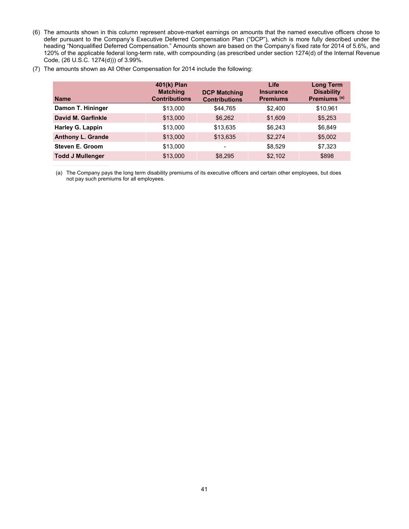(6) The amounts shown in this column represent above-market earnings on amounts that the named executive officers chose to defer pursuant to the Company's Executive Deferred Compensation Plan ("DCP"), which is more fully described under the heading "Nonqualified Deferred Compensation." Amounts shown are based on the Company's fixed rate for 2014 of 5.6%, and 120% of the applicable federal long-term rate, with compounding (as prescribed under section 1274(d) of the Internal Revenue Code, (26 U.S.C. 1274(d))) of 3.99%.

|  | (7) The amounts shown as All Other Compensation for 2014 include the following: |
|--|---------------------------------------------------------------------------------|
|--|---------------------------------------------------------------------------------|

| <b>Name</b>              | 401(k) Plan<br><b>Matching</b><br><b>Contributions</b> | <b>DCP Matching</b><br><b>Contributions</b> | Life<br><b>Insurance</b><br><b>Premiums</b> | <b>Long Term</b><br><b>Disability</b><br>Premiums <sup>(a)</sup> |
|--------------------------|--------------------------------------------------------|---------------------------------------------|---------------------------------------------|------------------------------------------------------------------|
| Damon T. Hininger        | \$13,000                                               | \$44,765                                    | \$2,400                                     | \$10,961                                                         |
| David M. Garfinkle       | \$13,000                                               | \$6,262                                     | \$1,609                                     | \$5,253                                                          |
| Harley G. Lappin         | \$13,000                                               | \$13,635                                    | \$6,243                                     | \$6,849                                                          |
| <b>Anthony L. Grande</b> | \$13,000                                               | \$13,635                                    | \$2,274                                     | \$5,002                                                          |
| <b>Steven E. Groom</b>   | \$13,000                                               | -                                           | \$8,529                                     | \$7,323                                                          |
| <b>Todd J Mullenger</b>  | \$13,000                                               | \$8,295                                     | \$2,102                                     | \$898                                                            |

 (a) The Company pays the long term disability premiums of its executive officers and certain other employees, but does not pay such premiums for all employees.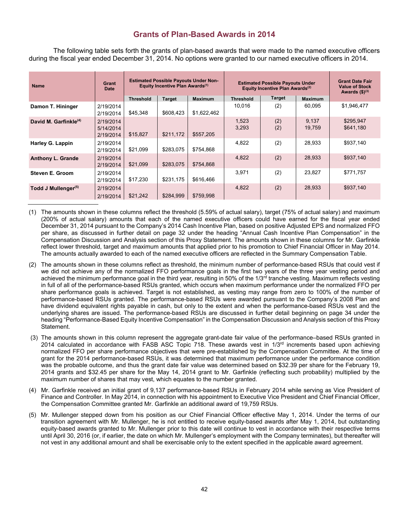# **Grants of Plan-Based Awards in 2014**

The following table sets forth the grants of plan-based awards that were made to the named executive officers during the fiscal year ended December 31, 2014. No options were granted to our named executive officers in 2014.

| <b>Name</b>                       | Grant<br><b>Date</b>                | <b>Estimated Possible Payouts Under Non-</b><br>Equity Incentive Plan Awards <sup>(1)</sup> |               | <b>Estimated Possible Payouts Under</b><br>Equity Incentive Plan Awards <sup>(2)</sup> |                  |               | <b>Grant Date Fair</b><br><b>Value of Stock</b><br>Awards $($)^{(3)}$ |                        |
|-----------------------------------|-------------------------------------|---------------------------------------------------------------------------------------------|---------------|----------------------------------------------------------------------------------------|------------------|---------------|-----------------------------------------------------------------------|------------------------|
|                                   |                                     | <b>Threshold</b>                                                                            | <b>Target</b> | <b>Maximum</b>                                                                         | <b>Threshold</b> | <b>Target</b> | <b>Maximum</b>                                                        |                        |
| Damon T. Hininger                 | 2/19/2014<br>2/19/2014              | \$45,348                                                                                    | \$608,423     | \$1,622,462                                                                            | 10,016           | (2)           | 60.095                                                                | \$1,946,477            |
| David M. Garfinkle <sup>(4)</sup> | 2/19/2014<br>5/14/2014<br>2/19/2014 | \$15,827                                                                                    | \$211,172     | \$557.205                                                                              | 1,523<br>3,293   | (2)<br>(2)    | 9,137<br>19,759                                                       | \$295,947<br>\$641,180 |
| Harley G. Lappin                  | 2/19/2014<br>2/19/2014              | \$21,099                                                                                    | \$283,075     | \$754,868                                                                              | 4,822            | (2)           | 28,933                                                                | \$937,140              |
| <b>Anthony L. Grande</b>          | 2/19/2014<br>2/19/2014              | \$21,099                                                                                    | \$283.075     | \$754.868                                                                              | 4,822            | (2)           | 28,933                                                                | \$937,140              |
| Steven E. Groom                   | 2/19/2014<br>2/19/2014              | \$17,230                                                                                    | \$231,175     | \$616,466                                                                              | 3,971            | (2)           | 23,827                                                                | \$771.757              |
| Todd J Mullenger <sup>(5)</sup>   | 2/19/2014<br>2/19/2014              | \$21,242                                                                                    | \$284,999     | \$759,998                                                                              | 4,822            | (2)           | 28,933                                                                | \$937,140              |

- (1) The amounts shown in these columns reflect the threshold (5.59% of actual salary), target (75% of actual salary) and maximum (200% of actual salary) amounts that each of the named executive officers could have earned for the fiscal year ended December 31, 2014 pursuant to the Company's 2014 Cash Incentive Plan, based on positive Adjusted EPS and normalized FFO per share, as discussed in further detail on page 32 under the heading "Annual Cash Incentive Plan Compensation" in the Compensation Discussion and Analysis section of this Proxy Statement. The amounts shown in these columns for Mr. Garfinkle reflect lower threshold, target and maximum amounts that applied prior to his promotion to Chief Financial Officer in May 2014. The amounts actually awarded to each of the named executive officers are reflected in the Summary Compensation Table.
- (2) The amounts shown in these columns reflect as threshold, the minimum number of performance-based RSUs that could vest if we did not achieve any of the normalized FFO performance goals in the first two years of the three year vesting period and achieved the minimum performance goal in the third year, resulting in 50% of the 1/3rd tranche vesting. Maximum reflects vesting in full of all of the performance-based RSUs granted, which occurs when maximum performance under the normalized FFO per share performance goals is achieved. Target is not established, as vesting may range from zero to 100% of the number of performance-based RSUs granted. The performance-based RSUs were awarded pursuant to the Company's 2008 Plan and have dividend equivalent rights payable in cash, but only to the extent and when the performance-based RSUs vest and the underlying shares are issued. The performance-based RSUs are discussed in further detail beginning on page 34 under the heading "Performance-Based Equity Incentive Compensation" in the Compensation Discussion and Analysis section of this Proxy Statement.
- (3) The amounts shown in this column represent the aggregate grant-date fair value of the performance–based RSUs granted in 2014 calculated in accordance with FASB ASC Topic 718. These awards vest in 1/3rd increments based upon achieving normalized FFO per share performance objectives that were pre-established by the Compensation Committee. At the time of grant for the 2014 performance-based RSUs, it was determined that maximum performance under the performance condition was the probable outcome, and thus the grant date fair value was determined based on \$32.39 per share for the February 19, 2014 grants and \$32.45 per share for the May 14, 2014 grant to Mr. Garfinkle (reflecting such probability) multiplied by the maximum number of shares that may vest, which equates to the number granted.
- (4) Mr. Garfinkle received an initial grant of 9,137 performance-based RSUs in February 2014 while serving as Vice President of Finance and Controller. In May 2014, in connection with his appointment to Executive Vice President and Chief Financial Officer, the Compensation Committee granted Mr. Garfinkle an additional award of 19,759 RSUs.
- (5) Mr. Mullenger stepped down from his position as our Chief Financial Officer effective May 1, 2014. Under the terms of our transition agreement with Mr. Mullenger, he is not entitled to receive equity-based awards after May 1, 2014, but outstanding equity-based awards granted to Mr. Mullenger prior to this date will continue to vest in accordance with their respective terms until April 30, 2016 (or, if earlier, the date on which Mr. Mullenger's employment with the Company terminates), but thereafter will not vest in any additional amount and shall be exercisable only to the extent specified in the applicable award agreement.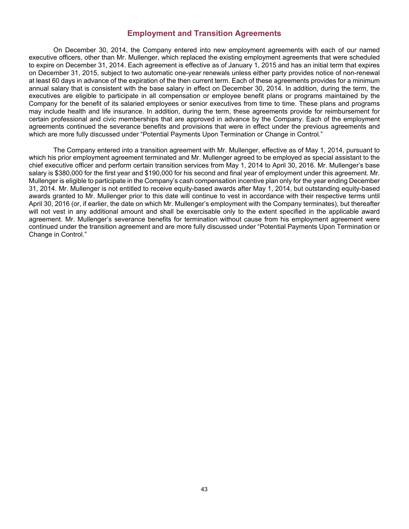## **Employment and Transition Agreements**

On December 30, 2014, the Company entered into new employment agreements with each of our named executive officers, other than Mr. Mullenger, which replaced the existing employment agreements that were scheduled to expire on December 31, 2014. Each agreement is effective as of January 1, 2015 and has an initial term that expires on December 31, 2015, subject to two automatic one-year renewals unless either party provides notice of non-renewal at least 60 days in advance of the expiration of the then current term. Each of these agreements provides for a minimum annual salary that is consistent with the base salary in effect on December 30, 2014. In addition, during the term, the executives are eligible to participate in all compensation or employee benefit plans or programs maintained by the Company for the benefit of its salaried employees or senior executives from time to time. These plans and programs may include health and life insurance. In addition, during the term, these agreements provide for reimbursement for certain professional and civic memberships that are approved in advance by the Company. Each of the employment agreements continued the severance benefits and provisions that were in effect under the previous agreements and which are more fully discussed under "Potential Payments Upon Termination or Change in Control."

The Company entered into a transition agreement with Mr. Mullenger, effective as of May 1, 2014, pursuant to which his prior employment agreement terminated and Mr. Mullenger agreed to be employed as special assistant to the chief executive officer and perform certain transition services from May 1, 2014 to April 30, 2016. Mr. Mullenger's base salary is \$380,000 for the first year and \$190,000 for his second and final year of employment under this agreement. Mr. Mullenger is eligible to participate in the Company's cash compensation incentive plan only for the year ending December 31, 2014. Mr. Mullenger is not entitled to receive equity-based awards after May 1, 2014, but outstanding equity-based awards granted to Mr. Mullenger prior to this date will continue to vest in accordance with their respective terms until April 30, 2016 (or, if earlier, the date on which Mr. Mullenger's employment with the Company terminates), but thereafter will not vest in any additional amount and shall be exercisable only to the extent specified in the applicable award agreement. Mr. Mullenger's severance benefits for termination without cause from his employment agreement were continued under the transition agreement and are more fully discussed under "Potential Payments Upon Termination or Change in Control."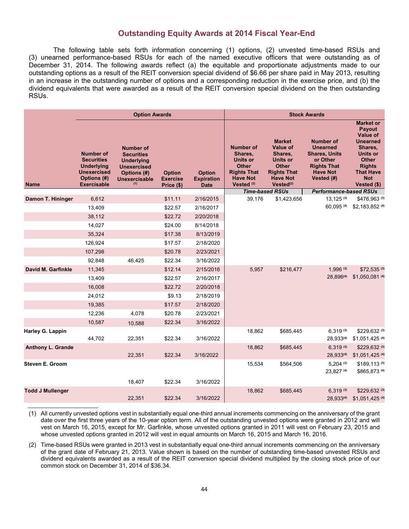## **Outstanding Equity Awards at 2014 Fiscal Year-End**

The following table sets forth information concerning (1) options, (2) unvested time-based RSUs and (3) unearned performance-based RSUs for each of the named executive officers that were outstanding as of December 31, 2014. The following awards reflect (a) the equitable and proportionate adjustments made to our outstanding options as a result of the REIT conversion special dividend of \$6.66 per share paid in May 2013, resulting in an increase in the outstanding number of options and a corresponding reduction in the exercise price, and (b) the dividend equivalents that were awarded as a result of the REIT conversion special dividend on the then outstanding RSUs.

|                         | <b>Option Awards</b>                                                                                                  |                                                                                                                                |                                                |                                                   | <b>Stock Awards</b>                                                                                                              |                                                                                                                                                  |                                                                                                                                |                                                                                                                                                                           |
|-------------------------|-----------------------------------------------------------------------------------------------------------------------|--------------------------------------------------------------------------------------------------------------------------------|------------------------------------------------|---------------------------------------------------|----------------------------------------------------------------------------------------------------------------------------------|--------------------------------------------------------------------------------------------------------------------------------------------------|--------------------------------------------------------------------------------------------------------------------------------|---------------------------------------------------------------------------------------------------------------------------------------------------------------------------|
| <b>Name</b>             | <b>Number of</b><br><b>Securities</b><br><b>Underlying</b><br><b>Unexercised</b><br>Options (#)<br><b>Exercisable</b> | <b>Number of</b><br><b>Securities</b><br><b>Underlying</b><br><b>Unexercised</b><br>Options (#)<br><b>Unexercisable</b><br>(1) | <b>Option</b><br><b>Exercise</b><br>Price (\$) | <b>Option</b><br><b>Expiration</b><br><b>Date</b> | <b>Number of</b><br>Shares,<br><b>Units or</b><br><b>Other</b><br><b>Rights That</b><br><b>Have Not</b><br>Vested <sup>(2)</sup> | <b>Market</b><br><b>Value of</b><br>Shares,<br><b>Units or</b><br><b>Other</b><br><b>Rights That</b><br><b>Have Not</b><br>Vested <sup>(2)</sup> | <b>Number of</b><br><b>Unearned</b><br><b>Shares, Units</b><br>or Other<br><b>Rights That</b><br><b>Have Not</b><br>Vested (#) | <b>Market or</b><br>Payout<br>Value of<br><b>Unearned</b><br>Shares,<br><b>Units or</b><br><b>Other</b><br><b>Rights</b><br><b>That Have</b><br><b>Not</b><br>Vested (\$) |
|                         |                                                                                                                       |                                                                                                                                |                                                |                                                   |                                                                                                                                  | <b>Time-based RSUs</b>                                                                                                                           | <b>Performance-based RSUs</b>                                                                                                  |                                                                                                                                                                           |
| Damon T. Hininger       | 6,612                                                                                                                 |                                                                                                                                | \$11.11                                        | 2/16/2015                                         | 39,176                                                                                                                           | \$1,423,656                                                                                                                                      | $13,125$ (3)<br>60.095 (4)                                                                                                     | \$476,963 (3)<br>\$2,183,852 (4)                                                                                                                                          |
|                         | 13,409                                                                                                                |                                                                                                                                | \$22.57                                        | 2/16/2017                                         |                                                                                                                                  |                                                                                                                                                  |                                                                                                                                |                                                                                                                                                                           |
|                         | 38,112                                                                                                                |                                                                                                                                | \$22.72                                        | 2/20/2018                                         |                                                                                                                                  |                                                                                                                                                  |                                                                                                                                |                                                                                                                                                                           |
|                         | 14,027                                                                                                                |                                                                                                                                | \$24.00                                        | 8/14/2018                                         |                                                                                                                                  |                                                                                                                                                  |                                                                                                                                |                                                                                                                                                                           |
|                         | 35,324                                                                                                                |                                                                                                                                | \$17.38                                        | 8/13/2019                                         |                                                                                                                                  |                                                                                                                                                  |                                                                                                                                |                                                                                                                                                                           |
|                         | 126,924                                                                                                               |                                                                                                                                | \$17.57                                        | 2/18/2020                                         |                                                                                                                                  |                                                                                                                                                  |                                                                                                                                |                                                                                                                                                                           |
|                         | 107,298                                                                                                               |                                                                                                                                | \$20.78                                        | 2/23/2021                                         |                                                                                                                                  |                                                                                                                                                  |                                                                                                                                |                                                                                                                                                                           |
|                         | 92,848                                                                                                                | 46,425                                                                                                                         | \$22.34                                        | 3/16/2022                                         |                                                                                                                                  |                                                                                                                                                  |                                                                                                                                |                                                                                                                                                                           |
| David M. Garfinkle      | 11,345                                                                                                                |                                                                                                                                | \$12.14                                        | 2/15/2016                                         | 5,957                                                                                                                            | \$216,477                                                                                                                                        | $1,996$ (3)                                                                                                                    | \$72,535 (3)                                                                                                                                                              |
|                         | 13,409                                                                                                                |                                                                                                                                | \$22.57                                        | 2/16/2017                                         |                                                                                                                                  |                                                                                                                                                  | 28,896(4)                                                                                                                      | \$1,050,081 (4)                                                                                                                                                           |
|                         | 16,008                                                                                                                |                                                                                                                                | \$22.72                                        | 2/20/2018                                         |                                                                                                                                  |                                                                                                                                                  |                                                                                                                                |                                                                                                                                                                           |
|                         | 24,012                                                                                                                |                                                                                                                                | \$9.13                                         | 2/18/2019                                         |                                                                                                                                  |                                                                                                                                                  |                                                                                                                                |                                                                                                                                                                           |
|                         | 19,385                                                                                                                |                                                                                                                                | \$17.57                                        | 2/18/2020                                         |                                                                                                                                  |                                                                                                                                                  |                                                                                                                                |                                                                                                                                                                           |
|                         | 12,236                                                                                                                | 4,078                                                                                                                          | \$20.78                                        | 2/23/2021                                         |                                                                                                                                  |                                                                                                                                                  |                                                                                                                                |                                                                                                                                                                           |
|                         | 10,587                                                                                                                | 10,588                                                                                                                         | \$22.34                                        | 3/16/2022                                         |                                                                                                                                  |                                                                                                                                                  |                                                                                                                                |                                                                                                                                                                           |
| Harley G. Lappin        | 44,702                                                                                                                | 22,351                                                                                                                         | \$22.34                                        | 3/16/2022                                         | 18,862                                                                                                                           | \$685,445                                                                                                                                        | $6,319^{(3)}$<br>28,933(4)                                                                                                     | \$229,632 (3)<br>\$1,051,425 (4)                                                                                                                                          |
| Anthony L. Grande       |                                                                                                                       | 22,351                                                                                                                         | \$22.34                                        | 3/16/2022                                         | 18,862                                                                                                                           | \$685,445                                                                                                                                        | $6.319^{(3)}$<br>28,933(4)                                                                                                     | \$229,632 (3)<br>\$1,051,425 (4)                                                                                                                                          |
| <b>Steven E. Groom</b>  |                                                                                                                       | 18,407                                                                                                                         | \$22.34                                        | 3/16/2022                                         | 15,534                                                                                                                           | \$564,506                                                                                                                                        | $5,204$ (3)<br>23,827 (4)                                                                                                      | \$189,113 (3)<br>\$865,873 (4)                                                                                                                                            |
| <b>Todd J Mullenger</b> |                                                                                                                       |                                                                                                                                |                                                |                                                   | 18,862                                                                                                                           | \$685,445                                                                                                                                        | $6,319^{(3)}$                                                                                                                  | \$229,632 (3)                                                                                                                                                             |
|                         |                                                                                                                       | 22,351                                                                                                                         | \$22.34                                        | 3/16/2022                                         |                                                                                                                                  |                                                                                                                                                  | 28,933(4)                                                                                                                      | \$1,051,425 (4)                                                                                                                                                           |

(1) All currently unvested options vest in substantially equal one-third annual increments commencing on the anniversary of the grant date over the first three years of the 10-year option term. All of the outstanding unvested options were granted in 2012 and will vest on March 16, 2015, except for Mr. Garfinkle, whose unvested options granted in 2011 will vest on February 23, 2015 and whose unvested options granted in 2012 will vest in equal amounts on March 16, 2015 and March 16, 2016.

(2) Time-based RSUs were granted in 2013 vest in substantially equal one-third annual increments commencing on the anniversary of the grant date of February 21, 2013. Value shown is based on the number of outstanding time-based unvested RSUs and dividend equivalents awarded as a result of the REIT conversion special dividend multiplied by the closing stock price of our common stock on December 31, 2014 of \$36.34.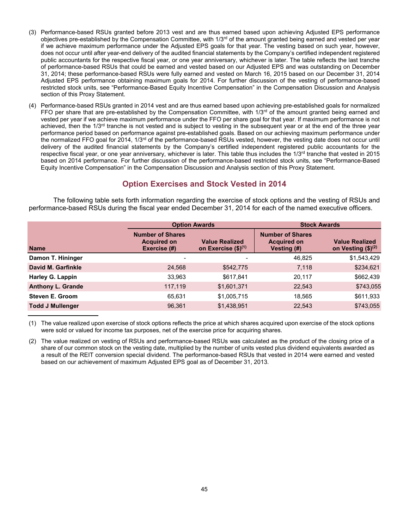- (3) Performance-based RSUs granted before 2013 vest and are thus earned based upon achieving Adjusted EPS performance objectives pre-established by the Compensation Committee, with  $1/3<sup>rd</sup>$  of the amount granted being earned and vested per year if we achieve maximum performance under the Adjusted EPS goals for that year. The vesting based on such year, however, does not occur until after year-end delivery of the audited financial statements by the Company's certified independent registered public accountants for the respective fiscal year, or one year anniversary, whichever is later. The table reflects the last tranche of performance-based RSUs that could be earned and vested based on our Adjusted EPS and was outstanding on December 31, 2014; these performance-based RSUs were fully earned and vested on March 16, 2015 based on our December 31, 2014 Adjusted EPS performance obtaining maximum goals for 2014. For further discussion of the vesting of performance-based restricted stock units, see "Performance-Based Equity Incentive Compensation" in the Compensation Discussion and Analysis section of this Proxy Statement.
- (4) Performance-based RSUs granted in 2014 vest and are thus earned based upon achieving pre-established goals for normalized FFO per share that are pre-established by the Compensation Committee, with 1/3<sup>rd</sup> of the amount granted being earned and vested per year if we achieve maximum performance under the FFO per share goal for that year. If maximum performance is not achieved, then the 1/3<sup>rd</sup> tranche is not vested and is subject to vesting in the subsequent year or at the end of the three year performance period based on performance against pre-established goals. Based on our achieving maximum performance under the normalized FFO goal for 2014, 1/3<sup>rd</sup> of the performance-based RSUs vested, however, the vesting date does not occur until delivery of the audited financial statements by the Company's certified independent registered public accountants for the respective fiscal year, or one year anniversary, whichever is later. This table thus includes the 1/3<sup>rd</sup> tranche that vested in 2015 based on 2014 performance. For further discussion of the performance-based restricted stock units, see "Performance-Based Equity Incentive Compensation" in the Compensation Discussion and Analysis section of this Proxy Statement.

# **Option Exercises and Stock Vested in 2014**

The following table sets forth information regarding the exercise of stock options and the vesting of RSUs and performance-based RSUs during the fiscal year ended December 31, 2014 for each of the named executive officers.

|                          |                                                               | <b>Option Awards</b>                              | <b>Stock Awards</b>                                                 |                                                 |  |  |
|--------------------------|---------------------------------------------------------------|---------------------------------------------------|---------------------------------------------------------------------|-------------------------------------------------|--|--|
| <b>Name</b>              | <b>Number of Shares</b><br><b>Acquired on</b><br>Exercise (#) | <b>Value Realized</b><br>on Exercise $(\$)^{(1)}$ | <b>Number of Shares</b><br><b>Acquired on</b><br><b>Vesting (#)</b> | <b>Value Realized</b><br>on Vesting $($)^{(2)}$ |  |  |
| Damon T. Hininger        | $\overline{\phantom{0}}$                                      |                                                   | 46.825                                                              | \$1,543,429                                     |  |  |
| David M. Garfinkle       | 24,568                                                        | \$542,775                                         | 7,118                                                               | \$234,621                                       |  |  |
| Harley G. Lappin         | 33,963                                                        | \$617,841                                         | 20,117                                                              | \$662,439                                       |  |  |
| <b>Anthony L. Grande</b> | 117,119                                                       | \$1,601,371                                       | 22,543                                                              | \$743,055                                       |  |  |
| <b>Steven E. Groom</b>   | 65,631                                                        | \$1,005,715                                       | 18,565                                                              | \$611,933                                       |  |  |
| <b>Todd J Mullenger</b>  | 96,361                                                        | \$1,438,951                                       | 22,543                                                              | \$743,055                                       |  |  |

(1) The value realized upon exercise of stock options reflects the price at which shares acquired upon exercise of the stock options were sold or valued for income tax purposes, net of the exercise price for acquiring shares.

(2) The value realized on vesting of RSUs and performance-based RSUs was calculated as the product of the closing price of a share of our common stock on the vesting date, multiplied by the number of units vested plus dividend equivalents awarded as a result of the REIT conversion special dividend. The performance-based RSUs that vested in 2014 were earned and vested based on our achievement of maximum Adjusted EPS goal as of December 31, 2013.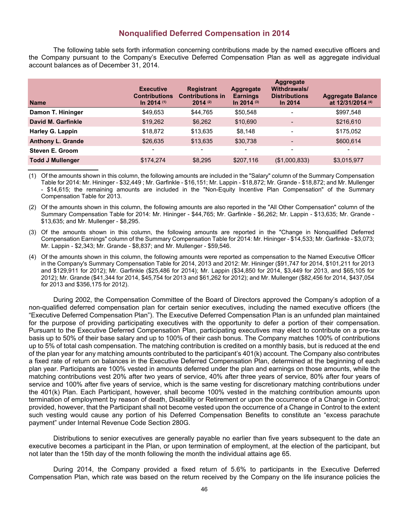## **Nonqualified Deferred Compensation in 2014**

The following table sets forth information concerning contributions made by the named executive officers and the Company pursuant to the Company's Executive Deferred Compensation Plan as well as aggregate individual account balances as of December 31, 2014.

| <b>Name</b>              | <b>Executive</b><br><b>Contributions</b><br>In 2014 $(1)$ | <b>Registrant</b><br><b>Contributions in</b><br>$2014$ (2) | Aggregate<br><b>Earnings</b><br>In 2014 (3) | <b>Aggregate</b><br>Withdrawals/<br><b>Distributions</b><br>In $2014$ | <b>Aggregate Balance</b><br>at 12/31/2014 (4) |
|--------------------------|-----------------------------------------------------------|------------------------------------------------------------|---------------------------------------------|-----------------------------------------------------------------------|-----------------------------------------------|
| Damon T. Hininger        | \$49,653                                                  | \$44,765                                                   | \$50,548                                    |                                                                       | \$997,548                                     |
| David M. Garfinkle       | \$19,262                                                  | \$6,262                                                    | \$10,690                                    |                                                                       | \$216,610                                     |
| <b>Harley G. Lappin</b>  | \$18,872                                                  | \$13,635                                                   | \$8,148                                     | -                                                                     | \$175,052                                     |
| <b>Anthony L. Grande</b> | \$26,635                                                  | \$13,635                                                   | \$30,738                                    | ۰.                                                                    | \$600,614                                     |
| Steven E. Groom          | $\overline{\phantom{0}}$                                  | $\blacksquare$                                             | ۰                                           | Ξ.                                                                    |                                               |
| <b>Todd J Mullenger</b>  | \$174,274                                                 | \$8,295                                                    | \$207,116                                   | (\$1,000,833)                                                         | \$3,015,977                                   |

(1) Of the amounts shown in this column, the following amounts are included in the "Salary" column of the Summary Compensation Table for 2014: Mr. Hininger - \$32,449 ; Mr. Garfinkle - \$16,151; Mr. Lappin - \$18,872; Mr. Grande - \$18,872; and Mr. Mullenger - \$14,615; the remaining amounts are included in the "Non-Equity Incentive Plan Compensation" of the Summary Compensation Table for 2013.

(2) Of the amounts shown in this column, the following amounts are also reported in the "All Other Compensation" column of the Summary Compensation Table for 2014: Mr. Hininger - \$44,765; Mr. Garfinkle - \$6,262; Mr. Lappin - \$13,635; Mr. Grande - \$13,635; and Mr. Mullenger - \$8,295.

- (3) Of the amounts shown in this column, the following amounts are reported in the "Change in Nonqualified Deferred Compensation Earnings" column of the Summary Compensation Table for 2014: Mr. Hininger - \$14,533; Mr. Garfinkle - \$3,073; Mr. Lappin - \$2,343; Mr. Grande - \$8,837; and Mr. Mullenger - \$59,546.
- (4) Of the amounts shown in this column, the following amounts were reported as compensation to the Named Executive Officer in the Company's Summary Compensation Table for 2014, 2013 and 2012: Mr. Hininger (\$91,747 for 2014, \$101,211 for 2013 and \$129,911 for 2012); Mr. Garfinkle (\$25,486 for 2014); Mr. Lappin (\$34,850 for 2014, \$3,449 for 2013, and \$65,105 for 2012); Mr. Grande (\$41,344 for 2014, \$45,754 for 2013 and \$61,262 for 2012); and Mr. Mullenger (\$82,456 for 2014, \$437,054 for 2013 and \$356,175 for 2012).

During 2002, the Compensation Committee of the Board of Directors approved the Company's adoption of a non-qualified deferred compensation plan for certain senior executives, including the named executive officers (the "Executive Deferred Compensation Plan"). The Executive Deferred Compensation Plan is an unfunded plan maintained for the purpose of providing participating executives with the opportunity to defer a portion of their compensation. Pursuant to the Executive Deferred Compensation Plan, participating executives may elect to contribute on a pre-tax basis up to 50% of their base salary and up to 100% of their cash bonus. The Company matches 100% of contributions up to 5% of total cash compensation. The matching contribution is credited on a monthly basis, but is reduced at the end of the plan year for any matching amounts contributed to the participant's 401(k) account. The Company also contributes a fixed rate of return on balances in the Executive Deferred Compensation Plan, determined at the beginning of each plan year. Participants are 100% vested in amounts deferred under the plan and earnings on those amounts, while the matching contributions vest 20% after two years of service, 40% after three years of service, 80% after four years of service and 100% after five years of service, which is the same vesting for discretionary matching contributions under the 401(k) Plan. Each Participant, however, shall become 100% vested in the matching contribution amounts upon termination of employment by reason of death, Disability or Retirement or upon the occurrence of a Change in Control; provided, however, that the Participant shall not become vested upon the occurrence of a Change in Control to the extent such vesting would cause any portion of his Deferred Compensation Benefits to constitute an "excess parachute payment" under Internal Revenue Code Section 280G.

Distributions to senior executives are generally payable no earlier than five years subsequent to the date an executive becomes a participant in the Plan, or upon termination of employment, at the election of the participant, but not later than the 15th day of the month following the month the individual attains age 65.

During 2014, the Company provided a fixed return of 5.6% to participants in the Executive Deferred Compensation Plan, which rate was based on the return received by the Company on the life insurance policies the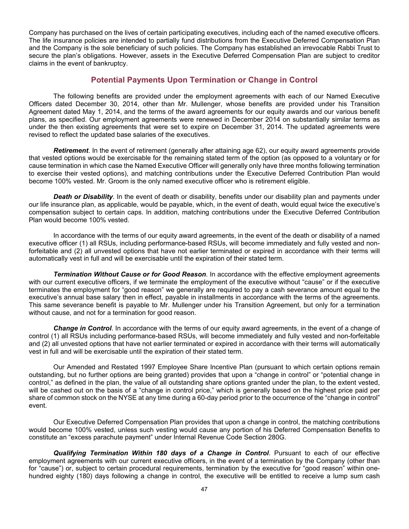Company has purchased on the lives of certain participating executives, including each of the named executive officers. The life insurance policies are intended to partially fund distributions from the Executive Deferred Compensation Plan and the Company is the sole beneficiary of such policies. The Company has established an irrevocable Rabbi Trust to secure the plan's obligations. However, assets in the Executive Deferred Compensation Plan are subject to creditor claims in the event of bankruptcy.

# **Potential Payments Upon Termination or Change in Control**

The following benefits are provided under the employment agreements with each of our Named Executive Officers dated December 30, 2014, other than Mr. Mullenger, whose benefits are provided under his Transition Agreement dated May 1, 2014, and the terms of the award agreements for our equity awards and our various benefit plans, as specified. Our employment agreements were renewed in December 2014 on substantially similar terms as under the then existing agreements that were set to expire on December 31, 2014. The updated agreements were revised to reflect the updated base salaries of the executives.

*Retirement*. In the event of retirement (generally after attaining age 62), our equity award agreements provide that vested options would be exercisable for the remaining stated term of the option (as opposed to a voluntary or for cause termination in which case the Named Executive Officer will generally only have three months following termination to exercise their vested options), and matching contributions under the Executive Deferred Contribution Plan would become 100% vested. Mr. Groom is the only named executive officer who is retirement eligible.

*Death or Disability*. In the event of death or disability, benefits under our disability plan and payments under our life insurance plan, as applicable, would be payable, which, in the event of death, would equal twice the executive's compensation subject to certain caps. In addition, matching contributions under the Executive Deferred Contribution Plan would become 100% vested.

In accordance with the terms of our equity award agreements, in the event of the death or disability of a named executive officer (1) all RSUs, including performance-based RSUs, will become immediately and fully vested and nonforfeitable and (2) all unvested options that have not earlier terminated or expired in accordance with their terms will automatically vest in full and will be exercisable until the expiration of their stated term.

*Termination Without Cause or for Good Reason*. In accordance with the effective employment agreements with our current executive officers, if we terminate the employment of the executive without "cause" or if the executive terminates the employment for "good reason" we generally are required to pay a cash severance amount equal to the executive's annual base salary then in effect, payable in installments in accordance with the terms of the agreements. This same severance benefit is payable to Mr. Mullenger under his Transition Agreement, but only for a termination without cause, and not for a termination for good reason.

*Change in Control*. In accordance with the terms of our equity award agreements, in the event of a change of control (1) all RSUs including performance-based RSUs, will become immediately and fully vested and non-forfeitable and (2) all unvested options that have not earlier terminated or expired in accordance with their terms will automatically vest in full and will be exercisable until the expiration of their stated term.

Our Amended and Restated 1997 Employee Share Incentive Plan (pursuant to which certain options remain outstanding, but no further options are being granted) provides that upon a "change in control" or "potential change in control," as defined in the plan, the value of all outstanding share options granted under the plan, to the extent vested, will be cashed out on the basis of a "change in control price," which is generally based on the highest price paid per share of common stock on the NYSE at any time during a 60-day period prior to the occurrence of the "change in control" event.

Our Executive Deferred Compensation Plan provides that upon a change in control, the matching contributions would become 100% vested, unless such vesting would cause any portion of his Deferred Compensation Benefits to constitute an "excess parachute payment" under Internal Revenue Code Section 280G.

*Qualifying Termination Within 180 days of a Change in Control*. Pursuant to each of our effective employment agreements with our current executive officers, in the event of a termination by the Company (other than for "cause") or, subject to certain procedural requirements, termination by the executive for "good reason" within onehundred eighty (180) days following a change in control, the executive will be entitled to receive a lump sum cash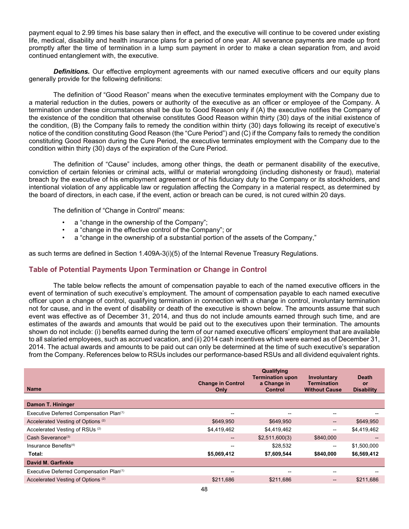payment equal to 2.99 times his base salary then in effect, and the executive will continue to be covered under existing life, medical, disability and health insurance plans for a period of one year. All severance payments are made up front promptly after the time of termination in a lump sum payment in order to make a clean separation from, and avoid continued entanglement with, the executive.

**Definitions.** Our effective employment agreements with our named executive officers and our equity plans generally provide for the following definitions:

The definition of "Good Reason" means when the executive terminates employment with the Company due to a material reduction in the duties, powers or authority of the executive as an officer or employee of the Company. A termination under these circumstances shall be due to Good Reason only if (A) the executive notifies the Company of the existence of the condition that otherwise constitutes Good Reason within thirty (30) days of the initial existence of the condition, (B) the Company fails to remedy the condition within thirty (30) days following its receipt of executive's notice of the condition constituting Good Reason (the "Cure Period") and (C) if the Company fails to remedy the condition constituting Good Reason during the Cure Period, the executive terminates employment with the Company due to the condition within thirty (30) days of the expiration of the Cure Period.

The definition of "Cause" includes, among other things, the death or permanent disability of the executive, conviction of certain felonies or criminal acts, willful or material wrongdoing (including dishonesty or fraud), material breach by the executive of his employment agreement or of his fiduciary duty to the Company or its stockholders, and intentional violation of any applicable law or regulation affecting the Company in a material respect, as determined by the board of directors, in each case, if the event, action or breach can be cured, is not cured within 20 days.

The definition of "Change in Control" means:

- a "change in the ownership of the Company";
- a "change in the effective control of the Company"; or
- a "change in the ownership of a substantial portion of the assets of the Company,"

as such terms are defined in Section 1.409A-3(i)(5) of the Internal Revenue Treasury Regulations.

## **Table of Potential Payments Upon Termination or Change in Control**

The table below reflects the amount of compensation payable to each of the named executive officers in the event of termination of such executive's employment. The amount of compensation payable to each named executive officer upon a change of control, qualifying termination in connection with a change in control, involuntary termination not for cause, and in the event of disability or death of the executive is shown below. The amounts assume that such event was effective as of December 31, 2014, and thus do not include amounts earned through such time, and are estimates of the awards and amounts that would be paid out to the executives upon their termination. The amounts shown do not include: (i) benefits earned during the term of our named executive officers' employment that are available to all salaried employees, such as accrued vacation, and (ii) 2014 cash incentives which were earned as of December 31, 2014. The actual awards and amounts to be paid out can only be determined at the time of such executive's separation from the Company. References below to RSUs includes our performance-based RSUs and all dividend equivalent rights.

| <b>Name</b>                                   | <b>Change in Control</b><br>Only      | Qualifying<br><b>Termination upon</b><br>a Change in<br>Control | Involuntary<br><b>Termination</b><br><b>Without Cause</b> | <b>Death</b><br>or<br><b>Disability</b> |
|-----------------------------------------------|---------------------------------------|-----------------------------------------------------------------|-----------------------------------------------------------|-----------------------------------------|
| Damon T. Hininger                             |                                       |                                                                 |                                                           |                                         |
| Executive Deferred Compensation Plan(1)       | --                                    |                                                                 | $\overline{\phantom{a}}$                                  |                                         |
| Accelerated Vesting of Options <sup>(2)</sup> | \$649,950                             | \$649,950                                                       | $\hspace{0.05cm} \hspace{0.02cm} \hspace{0.02cm} \dots$   | \$649,950                               |
| Accelerated Vesting of RSUs <sup>(2)</sup>    | \$4,419,462                           | \$4,419,462                                                     | $\hspace{0.05cm}$ – $\hspace{0.05cm}$                     | \$4,419,462                             |
| Cash Severance <sup>(3)</sup>                 | $\hspace{0.05cm}$ – $\hspace{0.05cm}$ | \$2,511,600(3)                                                  | \$840,000                                                 | $\hspace{0.05cm}$ – $\hspace{0.05cm}$   |
| Insurance Benefits <sup>(4)</sup>             | --                                    | \$28,532                                                        | $\hspace{0.05cm}$ – $\hspace{0.05cm}$                     | \$1,500,000                             |
| Total:                                        | \$5,069,412                           | \$7,609,544                                                     | \$840,000                                                 | \$6,569,412                             |
| David M. Garfinkle                            |                                       |                                                                 |                                                           |                                         |
| Executive Deferred Compensation Plan(1)       | --                                    | $- -$                                                           | $-$                                                       |                                         |
| Accelerated Vesting of Options <sup>(2)</sup> | \$211,686                             | \$211,686                                                       | $\qquad \qquad -$                                         | \$211,686                               |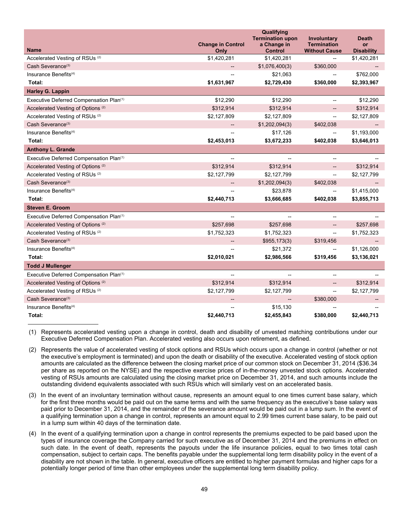|                                                     | <b>Change in Control</b> | Qualifying<br><b>Termination upon</b><br>a Change in | Involuntary<br><b>Termination</b>     | <b>Death</b><br><b>or</b> |
|-----------------------------------------------------|--------------------------|------------------------------------------------------|---------------------------------------|---------------------------|
| <b>Name</b>                                         | Only                     | <b>Control</b>                                       | <b>Without Cause</b>                  | <b>Disability</b>         |
| Accelerated Vesting of RSUs <sup>(2)</sup>          | \$1,420,281              | \$1,420,281                                          |                                       | \$1,420,281               |
| Cash Severance <sup>(3)</sup>                       |                          | \$1,076,400(3)                                       | \$360,000                             |                           |
| Insurance Benefits <sup>(4)</sup>                   |                          | \$21,063                                             |                                       | \$762,000                 |
| Total:                                              | \$1,631,967              | \$2,729,430                                          | \$360,000                             | \$2,393,967               |
| <b>Harley G. Lappin</b>                             |                          |                                                      |                                       |                           |
| Executive Deferred Compensation Plan(1)             | \$12,290                 | \$12,290                                             | $\overline{\phantom{0}}$              | \$12,290                  |
| Accelerated Vesting of Options <sup>(2)</sup>       | \$312,914                | \$312,914                                            |                                       | \$312,914                 |
| Accelerated Vesting of RSUs <sup>(2)</sup>          | \$2,127,809              | \$2,127,809                                          | --                                    | \$2,127,809               |
| Cash Severance <sup>(3)</sup>                       |                          | \$1,202,094(3)                                       | \$402,038                             |                           |
| Insurance Benefits <sup>(4)</sup>                   |                          | \$17,126                                             | --                                    | \$1,193,000               |
| Total:                                              | \$2,453,013              | \$3,672,233                                          | \$402,038                             | \$3,646,013               |
| <b>Anthony L. Grande</b>                            |                          |                                                      |                                       |                           |
| Executive Deferred Compensation Plan <sup>(1)</sup> |                          |                                                      |                                       |                           |
| Accelerated Vesting of Options <sup>(2)</sup>       | \$312,914                | \$312,914                                            | $\overline{\phantom{0}}$              | \$312,914                 |
| Accelerated Vesting of RSUs <sup>(2)</sup>          | \$2,127,799              | \$2,127,799                                          | --                                    | \$2,127,799               |
| Cash Severance <sup>(3)</sup>                       |                          | \$1,202,094(3)                                       | \$402,038                             |                           |
| Insurance Benefits <sup>(4)</sup>                   |                          | \$23,878                                             |                                       | \$1,415,000               |
| Total:                                              | \$2,440,713              | \$3,666,685                                          | \$402,038                             | \$3,855,713               |
| <b>Steven E. Groom</b>                              |                          |                                                      |                                       |                           |
| Executive Deferred Compensation Plan <sup>(1)</sup> | $\overline{\phantom{0}}$ |                                                      | $\overline{a}$                        |                           |
| Accelerated Vesting of Options <sup>(2)</sup>       | \$257,698                | \$257,698                                            | --                                    | \$257,698                 |
| Accelerated Vesting of RSUs <sup>(2)</sup>          | \$1,752,323              | \$1,752,323                                          | $\overline{\phantom{a}}$              | \$1,752,323               |
| Cash Severance <sup>(3)</sup>                       | --                       | \$955,173(3)                                         | \$319,456                             |                           |
| Insurance Benefits <sup>(4)</sup>                   |                          | \$21,372                                             | --                                    | \$1,126,000               |
| Total:                                              | \$2,010,021              | \$2,986,566                                          | \$319,456                             | \$3,136,021               |
| <b>Todd J Mullenger</b>                             |                          |                                                      |                                       |                           |
| Executive Deferred Compensation Plan(1)             |                          |                                                      |                                       |                           |
| Accelerated Vesting of Options <sup>(2)</sup>       | \$312,914                | \$312,914                                            | --                                    | \$312,914                 |
| Accelerated Vesting of RSUs <sup>(2)</sup>          | \$2,127,799              | \$2,127,799                                          | $\hspace{0.05cm}$ – $\hspace{0.05cm}$ | \$2,127,799               |
| Cash Severance <sup>(3)</sup>                       | --                       |                                                      | \$380,000                             |                           |
| Insurance Benefits <sup>(4)</sup>                   | $-$                      | \$15,130                                             |                                       |                           |
| Total:                                              | \$2,440,713              | \$2,455,843                                          | \$380,000                             | \$2,440,713               |

(1) Represents accelerated vesting upon a change in control, death and disability of unvested matching contributions under our Executive Deferred Compensation Plan. Accelerated vesting also occurs upon retirement, as defined.

- (2) Represents the value of accelerated vesting of stock options and RSUs which occurs upon a change in control (whether or not the executive's employment is terminated) and upon the death or disability of the executive. Accelerated vesting of stock option amounts are calculated as the difference between the closing market price of our common stock on December 31, 2014 (\$36.34 per share as reported on the NYSE) and the respective exercise prices of in-the-money unvested stock options. Accelerated vesting of RSUs amounts are calculated using the closing market price on December 31, 2014, and such amounts include the outstanding dividend equivalents associated with such RSUs which will similarly vest on an accelerated basis.
- (3) In the event of an involuntary termination without cause, represents an amount equal to one times current base salary, which for the first three months would be paid out on the same terms and with the same frequency as the executive's base salary was paid prior to December 31, 2014, and the remainder of the severance amount would be paid out in a lump sum. In the event of a qualifying termination upon a change in control, represents an amount equal to 2.99 times current base salary, to be paid out in a lump sum within 40 days of the termination date.
- (4) In the event of a qualifying termination upon a change in control represents the premiums expected to be paid based upon the types of insurance coverage the Company carried for such executive as of December 31, 2014 and the premiums in effect on such date. In the event of death, represents the payouts under the life insurance policies, equal to two times total cash compensation, subject to certain caps. The benefits payable under the supplemental long term disability policy in the event of a disability are not shown in the table. In general, executive officers are entitled to higher payment formulas and higher caps for a potentially longer period of time than other employees under the supplemental long term disability policy.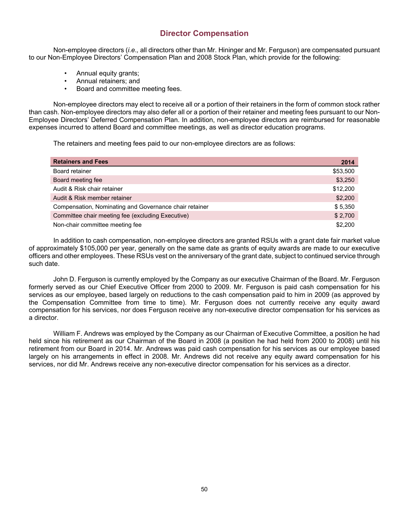# **Director Compensation**

Non-employee directors (*i.e*.*,* all directors other than Mr. Hininger and Mr. Ferguson) are compensated pursuant to our Non-Employee Directors' Compensation Plan and 2008 Stock Plan, which provide for the following:

- Annual equity grants;
- Annual retainers; and
- Board and committee meeting fees.

Non-employee directors may elect to receive all or a portion of their retainers in the form of common stock rather than cash. Non-employee directors may also defer all or a portion of their retainer and meeting fees pursuant to our Non-Employee Directors' Deferred Compensation Plan. In addition, non-employee directors are reimbursed for reasonable expenses incurred to attend Board and committee meetings, as well as director education programs.

The retainers and meeting fees paid to our non-employee directors are as follows:

| <b>Retainers and Fees</b>                              | 2014     |
|--------------------------------------------------------|----------|
| Board retainer                                         | \$53,500 |
| Board meeting fee                                      | \$3,250  |
| Audit & Risk chair retainer                            | \$12,200 |
| Audit & Risk member retainer                           | \$2,200  |
| Compensation, Nominating and Governance chair retainer | \$5,350  |
| Committee chair meeting fee (excluding Executive)      | \$2,700  |
| Non-chair committee meeting fee                        | \$2,200  |

In addition to cash compensation, non-employee directors are granted RSUs with a grant date fair market value of approximately \$105,000 per year, generally on the same date as grants of equity awards are made to our executive officers and other employees. These RSUs vest on the anniversary of the grant date, subject to continued service through such date.

John D. Ferguson is currently employed by the Company as our executive Chairman of the Board. Mr. Ferguson formerly served as our Chief Executive Officer from 2000 to 2009. Mr. Ferguson is paid cash compensation for his services as our employee, based largely on reductions to the cash compensation paid to him in 2009 (as approved by the Compensation Committee from time to time). Mr. Ferguson does not currently receive any equity award compensation for his services, nor does Ferguson receive any non-executive director compensation for his services as a director.

William F. Andrews was employed by the Company as our Chairman of Executive Committee, a position he had held since his retirement as our Chairman of the Board in 2008 (a position he had held from 2000 to 2008) until his retirement from our Board in 2014. Mr. Andrews was paid cash compensation for his services as our employee based largely on his arrangements in effect in 2008. Mr. Andrews did not receive any equity award compensation for his services, nor did Mr. Andrews receive any non-executive director compensation for his services as a director.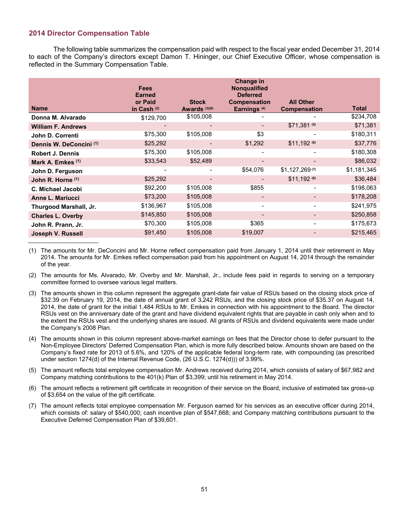## **2014 Director Compensation Table**

The following table summarizes the compensation paid with respect to the fiscal year ended December 31, 2014 to each of the Company's directors except Damon T. Hininger, our Chief Executive Officer, whose compensation is reflected in the Summary Compensation Table.

|                                    | <b>Fees</b><br><b>Earned</b> |                                          | <b>Change in</b><br><b>Nongualified</b><br><b>Deferred</b> |                                         |              |
|------------------------------------|------------------------------|------------------------------------------|------------------------------------------------------------|-----------------------------------------|--------------|
| <b>Name</b>                        | or Paid<br>in Cash (2)       | <b>Stock</b><br>Awards <sup>(3)(8)</sup> | <b>Compensation</b><br>Earnings <sup>(4)</sup>             | <b>All Other</b><br><b>Compensation</b> | <b>Total</b> |
| Donna M. Alvarado                  | \$129,700                    | \$105,008                                |                                                            |                                         | \$234,708    |
| <b>William F. Andrews</b>          |                              |                                          |                                                            | \$71,381 (5)                            | \$71,381     |
| John D. Correnti                   | \$75,300                     | \$105,008                                | \$3                                                        |                                         | \$180,311    |
| Dennis W. DeConcini <sup>(1)</sup> | \$25,292                     |                                          | \$1,292                                                    | $$11,192$ (6)                           | \$37,776     |
| <b>Robert J. Dennis</b>            | \$75,300                     | \$105,008                                |                                                            |                                         | \$180,308    |
| Mark A. Emkes (1)                  | \$33,543                     | \$52,489                                 |                                                            |                                         | \$86,032     |
| John D. Ferguson                   |                              |                                          | \$54,076                                                   | $$1,127,269^{(7)}$                      | \$1,181,345  |
| John R. Horne (1)                  | \$25,292                     |                                          |                                                            | $$11,192$ (6)                           | \$36,484     |
| C. Michael Jacobi                  | \$92,200                     | \$105,008                                | \$855                                                      |                                         | \$198,063    |
| <b>Anne L. Mariucci</b>            | \$73,200                     | \$105,008                                |                                                            |                                         | \$178,208    |
| Thurgood Marshall, Jr.             | \$136,967                    | \$105,008                                |                                                            |                                         | \$241,975    |
| <b>Charles L. Overby</b>           | \$145,850                    | \$105,008                                |                                                            |                                         | \$250,858    |
| John R. Prann, Jr.                 | \$70,300                     | \$105,008                                | \$365                                                      |                                         | \$175,673    |
| Joseph V. Russell                  | \$91,450                     | \$105,008                                | \$19,007                                                   |                                         | \$215,465    |

(1) The amounts for Mr. DeConcini and Mr. Horne reflect compensation paid from January 1, 2014 until their retirement in May 2014. The amounts for Mr. Emkes reflect compensation paid from his appointment on August 14, 2014 through the remainder of the year.

(2) The amounts for Ms. Alvarado, Mr. Overby and Mr. Marshall, Jr., include fees paid in regards to serving on a temporary committee formed to oversee various legal matters.

- (3) The amounts shown in this column represent the aggregate grant-date fair value of RSUs based on the closing stock price of \$32.39 on February 19, 2014, the date of annual grant of 3,242 RSUs, and the closing stock price of \$35.37 on August 14, 2014, the date of grant for the initial 1,484 RSUs to Mr. Emkes in connection with his appointment to the Board. The director RSUs vest on the anniversary date of the grant and have dividend equivalent rights that are payable in cash only when and to the extent the RSUs vest and the underlying shares are issued. All grants of RSUs and dividend equivalents were made under the Company's 2008 Plan.
- (4) The amounts shown in this column represent above-market earnings on fees that the Director chose to defer pursuant to the Non-Employee Directors' Deferred Compensation Plan, which is more fully described below. Amounts shown are based on the Company's fixed rate for 2013 of 5.6%, and 120% of the applicable federal long-term rate, with compounding (as prescribed under section 1274(d) of the Internal Revenue Code, (26 U.S.C. 1274(d))) of 3.99%.
- (5) The amount reflects total employee compensation Mr. Andrews received during 2014, which consists of salary of \$67,982 and Company matching contributions to the 401(k) Plan of \$3,399; until his retirement in May 2014.
- (6) The amount reflects a retirement gift certificate in recognition of their service on the Board, inclusive of estimated tax gross-up of \$3,654 on the value of the gift certificate.
- (7) The amount reflects total employee compensation Mr. Ferguson earned for his services as an executive officer during 2014, which consists of: salary of \$540,000; cash incentive plan of \$547,668; and Company matching contributions pursuant to the Executive Deferred Compensation Plan of \$39,601.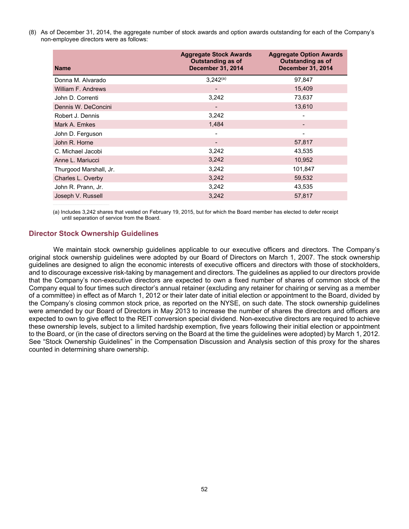(8) As of December 31, 2014, the aggregate number of stock awards and option awards outstanding for each of the Company's non-employee directors were as follows:

| <b>Name</b>            | <b>Aggregate Stock Awards</b><br><b>Outstanding as of</b><br><b>December 31, 2014</b> | <b>Aggregate Option Awards</b><br><b>Outstanding as of</b><br><b>December 31, 2014</b> |
|------------------------|---------------------------------------------------------------------------------------|----------------------------------------------------------------------------------------|
| Donna M. Alvarado      | $3.242^{(a)}$                                                                         | 97,847                                                                                 |
| William F. Andrews     | -                                                                                     | 15,409                                                                                 |
| John D. Correnti       | 3,242                                                                                 | 73,637                                                                                 |
| Dennis W. DeConcini    |                                                                                       | 13,610                                                                                 |
| Robert J. Dennis       | 3,242                                                                                 |                                                                                        |
| Mark A. Emkes          | 1,484                                                                                 |                                                                                        |
| John D. Ferguson       |                                                                                       |                                                                                        |
| John R. Horne          | $\qquad \qquad \blacksquare$                                                          | 57,817                                                                                 |
| C. Michael Jacobi      | 3,242                                                                                 | 43,535                                                                                 |
| Anne L. Mariucci       | 3,242                                                                                 | 10,952                                                                                 |
| Thurgood Marshall, Jr. | 3,242                                                                                 | 101,847                                                                                |
| Charles L. Overby      | 3,242                                                                                 | 59,532                                                                                 |
| John R. Prann, Jr.     | 3,242                                                                                 | 43,535                                                                                 |
| Joseph V. Russell      | 3,242                                                                                 | 57,817                                                                                 |
|                        |                                                                                       |                                                                                        |

(a) Includes 3,242 shares that vested on February 19, 2015, but for which the Board member has elected to defer receipt until separation of service from the Board.

### **Director Stock Ownership Guidelines**

We maintain stock ownership guidelines applicable to our executive officers and directors. The Company's original stock ownership guidelines were adopted by our Board of Directors on March 1, 2007. The stock ownership guidelines are designed to align the economic interests of executive officers and directors with those of stockholders, and to discourage excessive risk-taking by management and directors. The guidelines as applied to our directors provide that the Company's non-executive directors are expected to own a fixed number of shares of common stock of the Company equal to four times such director's annual retainer (excluding any retainer for chairing or serving as a member of a committee) in effect as of March 1, 2012 or their later date of initial election or appointment to the Board, divided by the Company's closing common stock price, as reported on the NYSE, on such date. The stock ownership guidelines were amended by our Board of Directors in May 2013 to increase the number of shares the directors and officers are expected to own to give effect to the REIT conversion special dividend. Non-executive directors are required to achieve these ownership levels, subject to a limited hardship exemption, five years following their initial election or appointment to the Board, or (in the case of directors serving on the Board at the time the guidelines were adopted) by March 1, 2012. See "Stock Ownership Guidelines" in the Compensation Discussion and Analysis section of this proxy for the shares counted in determining share ownership.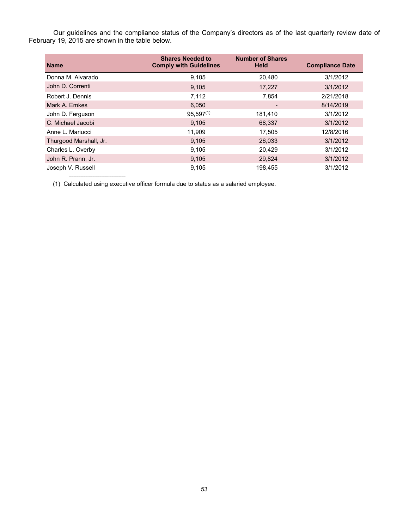Our guidelines and the compliance status of the Company's directors as of the last quarterly review date of February 19, 2015 are shown in the table below.

| <b>Name</b>            | <b>Shares Needed to</b><br><b>Comply with Guidelines</b> | <b>Number of Shares</b><br><b>Held</b> | <b>Compliance Date</b> |
|------------------------|----------------------------------------------------------|----------------------------------------|------------------------|
| Donna M. Alvarado      | 9,105                                                    | 20,480                                 | 3/1/2012               |
| John D. Correnti       | 9,105                                                    | 17,227                                 | 3/1/2012               |
| Robert J. Dennis       | 7,112                                                    | 7,854                                  | 2/21/2018              |
| Mark A. Emkes          | 6,050                                                    |                                        | 8/14/2019              |
| John D. Ferguson       | $95,597^{(1)}$                                           | 181,410                                | 3/1/2012               |
| C. Michael Jacobi      | 9,105                                                    | 68,337                                 | 3/1/2012               |
| Anne L. Mariucci       | 11,909                                                   | 17,505                                 | 12/8/2016              |
| Thurgood Marshall, Jr. | 9,105                                                    | 26,033                                 | 3/1/2012               |
| Charles L. Overby      | 9,105                                                    | 20.429                                 | 3/1/2012               |
| John R. Prann, Jr.     | 9,105                                                    | 29,824                                 | 3/1/2012               |
| Joseph V. Russell      | 9,105                                                    | 198.455                                | 3/1/2012               |

(1) Calculated using executive officer formula due to status as a salaried employee.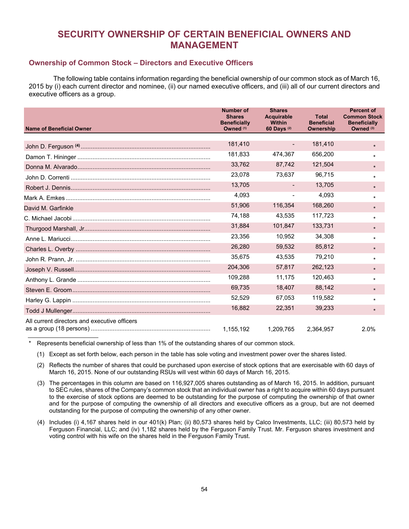# **SECURITY OWNERSHIP OF CERTAIN BENEFICIAL OWNERS AND MANAGEMENT**

# **Ownership of Common Stock – Directors and Executive Officers**

The following table contains information regarding the beneficial ownership of our common stock as of March 16, 2015 by (i) each current director and nominee, (ii) our named executive officers, and (iii) all of our current directors and executive officers as a group.

| <b>Name of Beneficial Owner</b>              | <b>Number of</b><br><b>Shares</b><br><b>Beneficially</b><br>Owned <sup>(1)</sup> | <b>Shares</b><br><b>Acquirable</b><br><b>Within</b><br>60 Days (2) | <b>Total</b><br><b>Beneficial</b><br>Ownership | <b>Percent of</b><br><b>Common Stock</b><br><b>Beneficially</b><br>Owned <sup>(3)</sup> |
|----------------------------------------------|----------------------------------------------------------------------------------|--------------------------------------------------------------------|------------------------------------------------|-----------------------------------------------------------------------------------------|
|                                              |                                                                                  |                                                                    |                                                |                                                                                         |
|                                              | 181,410                                                                          |                                                                    | 181,410                                        | $\star$                                                                                 |
|                                              | 181,833                                                                          | 474,367                                                            | 656,200                                        | $\star$                                                                                 |
|                                              | 33,762                                                                           | 87,742                                                             | 121,504                                        | $\star$                                                                                 |
|                                              | 23,078                                                                           | 73,637                                                             | 96,715                                         | *                                                                                       |
|                                              | 13,705                                                                           |                                                                    | 13,705                                         | $\star$                                                                                 |
|                                              | 4,093                                                                            |                                                                    | 4,093                                          | $^\star$                                                                                |
| David M. Garfinkle                           | 51,906                                                                           | 116,354                                                            | 168,260                                        | $\star$                                                                                 |
|                                              | 74,188                                                                           | 43,535                                                             | 117,723                                        | *                                                                                       |
|                                              | 31,884                                                                           | 101,847                                                            | 133,731                                        | $\star$                                                                                 |
|                                              | 23.356                                                                           | 10.952                                                             | 34,308                                         | *                                                                                       |
|                                              | 26,280                                                                           | 59,532                                                             | 85,812                                         | $\star$                                                                                 |
|                                              | 35,675                                                                           | 43,535                                                             | 79,210                                         | $\star$                                                                                 |
|                                              | 204,306                                                                          | 57,817                                                             | 262,123                                        | $\star$                                                                                 |
|                                              | 109.288                                                                          | 11.175                                                             | 120.463                                        | *                                                                                       |
|                                              | 69,735                                                                           | 18,407                                                             | 88,142                                         | $\star$                                                                                 |
|                                              | 52,529                                                                           | 67,053                                                             | 119,582                                        | *                                                                                       |
|                                              | 16,882                                                                           | 22,351                                                             | 39,233                                         | $\star$                                                                                 |
| All current directors and executive officers |                                                                                  |                                                                    |                                                |                                                                                         |
|                                              | 1,155,192                                                                        | 1.209.765                                                          | 2.364.957                                      | 2.0%                                                                                    |

Represents beneficial ownership of less than 1% of the outstanding shares of our common stock.

(1) Except as set forth below, each person in the table has sole voting and investment power over the shares listed.

(2) Reflects the number of shares that could be purchased upon exercise of stock options that are exercisable with 60 days of March 16, 2015. None of our outstanding RSUs will vest within 60 days of March 16, 2015.

- (3) The percentages in this column are based on 116,927,005 shares outstanding as of March 16, 2015. In addition, pursuant to SEC rules, shares of the Company's common stock that an individual owner has a right to acquire within 60 days pursuant to the exercise of stock options are deemed to be outstanding for the purpose of computing the ownership of that owner and for the purpose of computing the ownership of all directors and executive officers as a group, but are not deemed outstanding for the purpose of computing the ownership of any other owner.
- (4) Includes (i) 4,167 shares held in our 401(k) Plan; (ii) 80,573 shares held by Calco Investments, LLC; (iii) 80,573 held by Ferguson Financial, LLC; and (iv) 1,182 shares held by the Ferguson Family Trust. Mr. Ferguson shares investment and voting control with his wife on the shares held in the Ferguson Family Trust.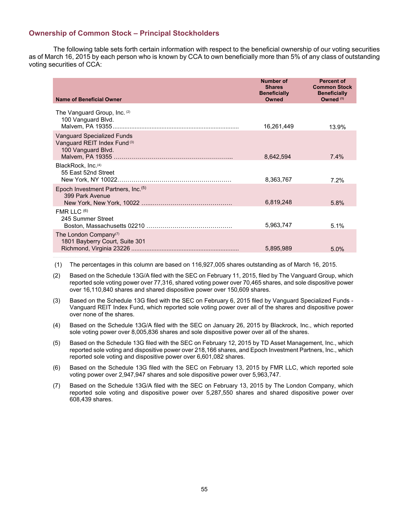## **Ownership of Common Stock – Principal Stockholders**

The following table sets forth certain information with respect to the beneficial ownership of our voting securities as of March 16, 2015 by each person who is known by CCA to own beneficially more than 5% of any class of outstanding voting securities of CCA:

| Name of Beneficial Owner                                                                | <b>Number of</b><br><b>Shares</b><br><b>Beneficially</b><br>Owned | <b>Percent of</b><br><b>Common Stock</b><br><b>Beneficially</b><br>Owned <sup>(1)</sup> |
|-----------------------------------------------------------------------------------------|-------------------------------------------------------------------|-----------------------------------------------------------------------------------------|
| The Vanguard Group, Inc. (2)<br>100 Vanguard Blvd.                                      | 16,261,449                                                        | 13.9%                                                                                   |
| <b>Vanguard Specialized Funds</b><br>Vanguard REIT Index Fund (3)<br>100 Vanguard Blvd. | 8,642,594                                                         | $7.4\%$                                                                                 |
| BlackRock, Inc. <sup>(4)</sup><br>55 East 52nd Street<br>New York, NY 10022.            | 8.363.767                                                         | 7.2%                                                                                    |
| Epoch Investment Partners, Inc. <sup>(5)</sup><br>399 Park Avenue                       | 6,819,248                                                         | 5.8%                                                                                    |
| FMR LLC $(6)$<br>245 Summer Street                                                      | 5,963,747                                                         | 5.1%                                                                                    |
| The London Company <sup>(7)</sup><br>1801 Bayberry Court, Suite 301                     | 5,895,989                                                         | 5.0%                                                                                    |

(1) The percentages in this column are based on 116,927,005 shares outstanding as of March 16, 2015.

(2) Based on the Schedule 13G/A filed with the SEC on February 11, 2015, filed by The Vanguard Group, which reported sole voting power over 77,316, shared voting power over 70,465 shares, and sole dispositive power over 16,110,840 shares and shared dispositive power over 150,609 shares.

(3) Based on the Schedule 13G filed with the SEC on February 6, 2015 filed by Vanguard Specialized Funds - Vanguard REIT Index Fund, which reported sole voting power over all of the shares and dispositive power over none of the shares.

(4) Based on the Schedule 13G/A filed with the SEC on January 26, 2015 by Blackrock, Inc., which reported sole voting power over 8,005,836 shares and sole dispositive power over all of the shares.

(5) Based on the Schedule 13G filed with the SEC on February 12, 2015 by TD Asset Management, Inc., which reported sole voting and dispositive power over 218,166 shares, and Epoch Investment Partners, Inc., which reported sole voting and dispositive power over 6,601,082 shares.

(6) Based on the Schedule 13G filed with the SEC on February 13, 2015 by FMR LLC, which reported sole voting power over 2,947,947 shares and sole dispositive power over 5,963,747.

(7) Based on the Schedule 13G/A filed with the SEC on February 13, 2015 by The London Company, which reported sole voting and dispositive power over 5,287,550 shares and shared dispositive power over 608,439 shares.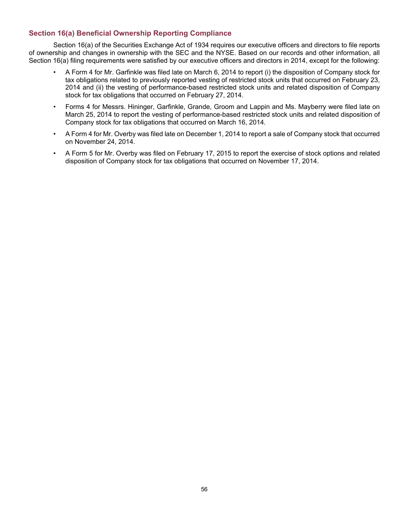# **Section 16(a) Beneficial Ownership Reporting Compliance**

Section 16(a) of the Securities Exchange Act of 1934 requires our executive officers and directors to file reports of ownership and changes in ownership with the SEC and the NYSE. Based on our records and other information, all Section 16(a) filing requirements were satisfied by our executive officers and directors in 2014, except for the following:

- A Form 4 for Mr. Garfinkle was filed late on March 6, 2014 to report (i) the disposition of Company stock for tax obligations related to previously reported vesting of restricted stock units that occurred on February 23, 2014 and (ii) the vesting of performance-based restricted stock units and related disposition of Company stock for tax obligations that occurred on February 27, 2014.
- Forms 4 for Messrs. Hininger, Garfinkle, Grande, Groom and Lappin and Ms. Mayberry were filed late on March 25, 2014 to report the vesting of performance-based restricted stock units and related disposition of Company stock for tax obligations that occurred on March 16, 2014.
- A Form 4 for Mr. Overby was filed late on December 1, 2014 to report a sale of Company stock that occurred on November 24, 2014.
- A Form 5 for Mr. Overby was filed on February 17, 2015 to report the exercise of stock options and related disposition of Company stock for tax obligations that occurred on November 17, 2014.